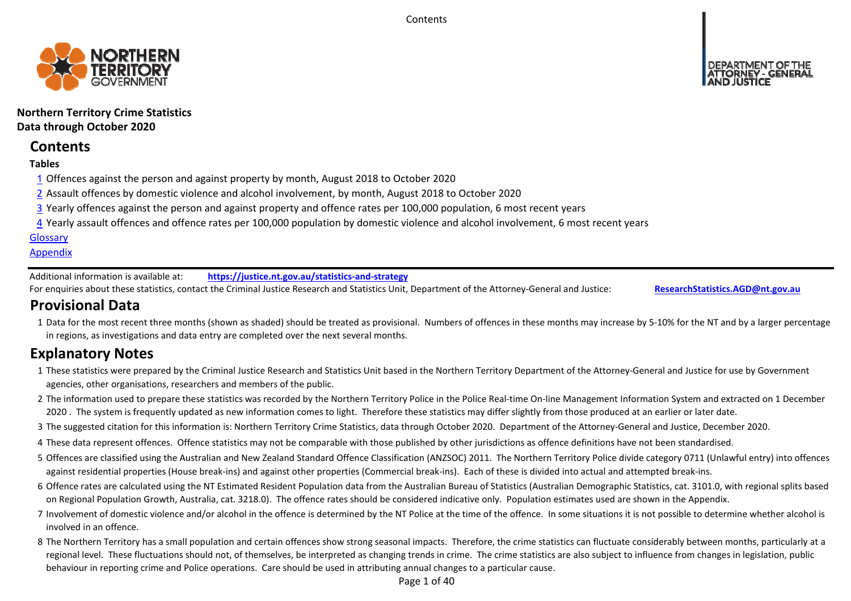**Contents** 



## **Northern Territory Crime Statistics Data through October 2020**

# **Contents**

## **Tables**

- 1 Offences against the person and against property by month, August 2018 to October 2020
- 2 Assault offences by domestic violence and alcohol involvement, by month, August 2018 to October 2020
- 3 Yearly offences against the person and against property and offence rates per 100,000 population, 6 most recent years
- 4 Yearly assault offences and offence rates per 100,000 population by domestic violence and alcohol involvement, 6 most recent years

## **Glossary**

## **Appendix**

Additional information is available at:**https://justice.nt.gov.au/statistics‐and‐strategy**

For enquiries about these statistics, contact the Criminal Justice Research and Statistics Unit, Department of the Attorney‐General and Justice: **ResearchStatistics.AGD@nt.gov.au**

# **Provisional Data**

1 Data for the most recent three months (shown as shaded) should be treated as provisional. Numbers of offences in these months may increase by 5‐10% for the NT and by a larger percentage in regions, as investigations and data entry are completed over the next several months.

# **Explanatory Notes**

- 1These statistics were prepared by the Criminal Justice Research and Statistics Unit based in the Northern Territory Department of the Attorney‐General and Justice for use by Government agencies, other organisations, researchers and members of the public.
- 2 The information used to prepare these statistics was recorded by the Northern Territory Police in the Police Real‐time On‐line Management Information System and extracted on 1 December 2020. The system is frequently updated as new information comes to light. Therefore these statistics may differ slightly from those produced at an earlier or later date.
- 3 The suggested citation for this information is: Northern Territory Crime Statistics, data through October 2020. Department of the Attorney-General and Justice, December 2020.
- 4These data represent offences. Offence statistics may not be comparable with those published by other jurisdictions as offence definitions have not been standardised.
- 5 Offences are classified using the Australian and New Zealand Standard Offence Classification (ANZSOC) 2011. The Northern Territory Police divide category 0711 (Unlawful entry) into offences against residential properties (House break‐ins) and against other properties (Commercial break‐ins). Each of these is divided into actual and attempted break‐ins.
- 6 Offence rates are calculated using the NT Estimated Resident Population data from the Australian Bureau of Statistics (Australian Demographic Statistics, cat. 3101.0, with regional splits based on Regional Population Growth, Australia, cat. 3218.0). The offence rates should be considered indicative only. Population estimates used are shown in the Appendix.
- 7 Involvement of domestic violence and/or alcohol in the offence is determined by the NT Police at the time of the offence. In some situations it is not possible to determine whether alcohol is involved in an offence.
- 8 The Northern Territory has a small population and certain offences show strong seasonal impacts. Therefore, the crime statistics can fluctuate considerably between months, particularly at a regional level. These fluctuations should not, of themselves, be interpreted as changing trends in crime. The crime statistics are also subject to influence from changes in legislation, public behaviour in reporting crime and Police operations. Care should be used in attributing annual changes to a particular cause.

Page 1 of 40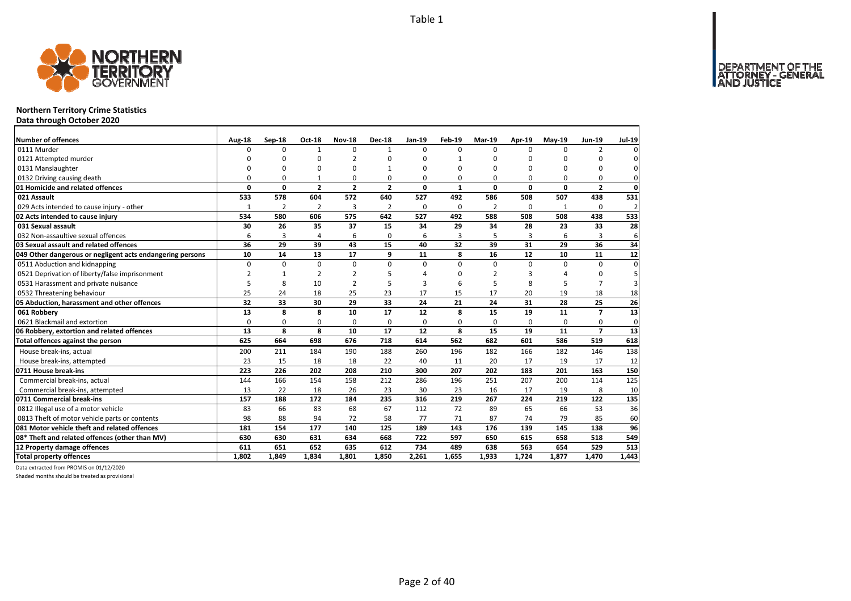

## **Northern Territory Crime Statistics**

**Data through October 2020**

| <b>Number of offences</b>                                 | Aug-18         | Sep-18         | <b>Oct-18</b>  | <b>Nov-18</b>  | <b>Dec-18</b>  | Jan-19   | Feb-19       | Mar-19         | Apr-19         | $May-19$ | Jun-19         | <b>Jul-19</b>           |
|-----------------------------------------------------------|----------------|----------------|----------------|----------------|----------------|----------|--------------|----------------|----------------|----------|----------------|-------------------------|
| 0111 Murder                                               | <sup>0</sup>   | 0              | $\mathbf{1}$   | $\mathbf 0$    | $\mathbf{1}$   | $\Omega$ | $\Omega$     | $\Omega$       | $\Omega$       | $\Omega$ | $\overline{2}$ |                         |
| 0121 Attempted murder                                     | $\Omega$       | 0              | $\Omega$       | $\overline{2}$ | n              | $\Omega$ | 1            | ŋ              | $\Omega$       |          | O              | 0                       |
| 0131 Manslaughter                                         | 0              | 0              | 0              | 0              |                | $\Omega$ | $\Omega$     | O              | 0              |          | 0              | $\mathbf{0}$            |
| 0132 Driving causing death                                | $\Omega$       | 0              |                | $\Omega$       | $\Omega$       | $\Omega$ | 0            | O              | $\Omega$       | $\Omega$ | $\Omega$       | 0                       |
| 01 Homicide and related offences                          | 0              | 0              | $\overline{2}$ | $\overline{2}$ | $\overline{2}$ | 0        | $\mathbf{1}$ | 0              | $\mathbf 0$    | $\Omega$ | $\overline{2}$ | $\mathbf 0$             |
| 021 Assault                                               | 533            | 578            | 604            | 572            | 640            | 527      | 492          | 586            | 508            | 507      | 438            | 531                     |
| 029 Acts intended to cause injury - other                 | 1              | $\overline{2}$ | $\overline{2}$ | 3              | 2              | $\Omega$ | 0            | $\overline{2}$ | $\Omega$       | 1        | $\Omega$       | $\overline{\mathbf{c}}$ |
| 02 Acts intended to cause injury                          | 534            | 580            | 606            | 575            | 642            | 527      | 492          | 588            | 508            | 508      | 438            | 533                     |
| 031 Sexual assault                                        | 30             | 26             | 35             | 37             | 15             | 34       | 29           | 34             | 28             | 23       | 33             | 28                      |
| 032 Non-assaultive sexual offences                        | 6              | 3              | 4              | 6              | $\Omega$       | 6        | 3            | 5              | $\overline{3}$ | 6        | 3              | 6                       |
| 03 Sexual assault and related offences                    | 36             | 29             | 39             | 43             | 15             | 40       | 32           | 39             | 31             | 29       | 36             | 34                      |
| 049 Other dangerous or negligent acts endangering persons | 10             | 14             | 13             | 17             | 9              | 11       | 8            | 16             | 12             | 10       | 11             | 12                      |
| 0511 Abduction and kidnapping                             | $\Omega$       | $\Omega$       | $\Omega$       | $\Omega$       | $\Omega$       | $\Omega$ | $\Omega$     | $\Omega$       | $\Omega$       | $\Omega$ | $\Omega$       | $\Omega$                |
| 0521 Deprivation of liberty/false imprisonment            | $\overline{2}$ | $\mathbf{1}$   | $\overline{2}$ | $\overline{2}$ |                | Δ        | ŋ            | 2              | 3              |          | 0              | 5                       |
| 0531 Harassment and private nuisance                      | 5              | 8              | 10             | $\overline{2}$ |                | з        | 6            | 5              | 8              |          | 7              | 3                       |
| 0532 Threatening behaviour                                | 25             | 24             | 18             | 25             | 23             | 17       | 15           | 17             | 20             | 19       | 18             | 18                      |
| 05 Abduction, harassment and other offences               | 32             | 33             | 30             | 29             | 33             | 24       | 21           | 24             | 31             | 28       | 25             | 26                      |
| 061 Robbery                                               | 13             | 8              | 8              | 10             | 17             | 12       | 8            | 15             | 19             | 11       | $\overline{7}$ | 13                      |
| 0621 Blackmail and extortion                              | 0              | 0              | 0              | 0              | 0              | 0        | 0            | 0              | 0              | $\Omega$ | 0              | 0                       |
| 06 Robbery, extortion and related offences                | 13             | 8              | 8              | 10             | 17             | 12       | 8            | 15             | 19             | 11       | $\overline{ }$ | 13                      |
| Total offences against the person                         | 625            | 664            | 698            | 676            | 718            | 614      | 562          | 682            | 601            | 586      | 519            | 618                     |
| House break-ins, actual                                   | 200            | 211            | 184            | 190            | 188            | 260      | 196          | 182            | 166            | 182      | 146            | 138                     |
| House break-ins, attempted                                | 23             | 15             | 18             | 18             | 22             | 40       | 11           | 20             | 17             | 19       | 17             | 12                      |
| 0711 House break-ins                                      | 223            | 226            | 202            | 208            | 210            | 300      | 207          | 202            | 183            | 201      | 163            | 150                     |
| Commercial break-ins, actual                              | 144            | 166            | 154            | 158            | 212            | 286      | 196          | 251            | 207            | 200      | 114            | 125                     |
| Commercial break-ins, attempted                           | 13             | 22             | 18             | 26             | 23             | 30       | 23           | 16             | 17             | 19       | 8              | 10                      |
| 0711 Commercial break-ins                                 | 157            | 188            | 172            | 184            | 235            | 316      | 219          | 267            | 224            | 219      | 122            | 135                     |
| 0812 Illegal use of a motor vehicle                       | 83             | 66             | 83             | 68             | 67             | 112      | 72           | 89             | 65             | 66       | 53             | 36                      |
| 0813 Theft of motor vehicle parts or contents             | 98             | 88             | 94             | 72             | 58             | 77       | 71           | 87             | 74             | 79       | 85             | 60                      |
| 081 Motor vehicle theft and related offences              | 181            | 154            | 177            | 140            | 125            | 189      | 143          | 176            | 139            | 145      | 138            | 96                      |
| 08* Theft and related offences (other than MV)            | 630            | 630            | 631            | 634            | 668            | 722      | 597          | 650            | 615            | 658      | 518            | 549                     |
| 12 Property damage offences                               | 611            | 651            | 652            | 635            | 612            | 734      | 489          | 638            | 563            | 654      | 529            | 513                     |
| <b>Total property offences</b>                            | 1,802          | 1,849          | 1.834          | 1.801          | 1.850          | 2,261    | 1,655        | 1,933          | 1,724          | 1,877    | 1,470          | 1,443                   |

Data extracted from PROMIS on 01/12/2020

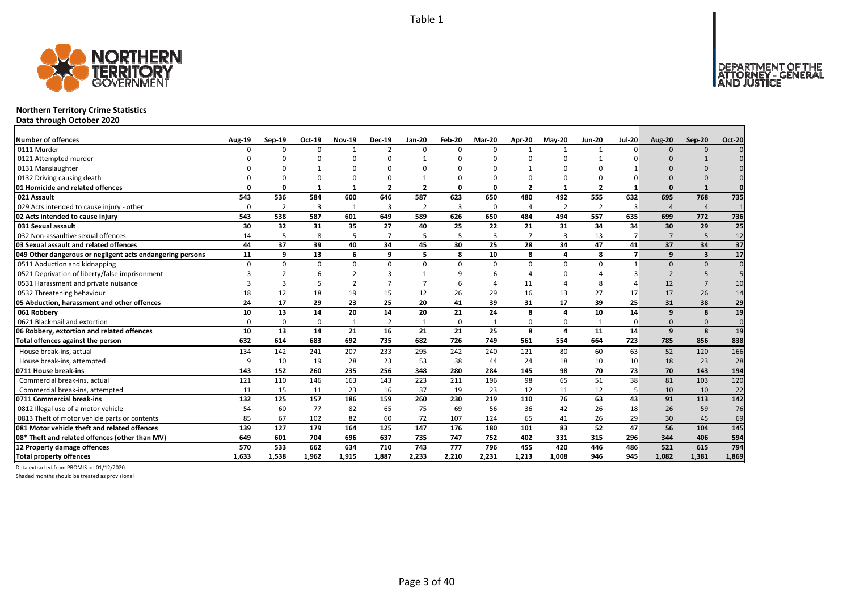

## **Northern Territory Crime Statistics**

**Data through October 2020**

| <b>Number of offences</b>                                 | <b>Aug-19</b> | Sep-19   | Oct-19       | <b>Nov-19</b>           | <b>Dec-19</b>  | <b>Jan-20</b>           | Feb-20   | Mar-20         | Apr-20         | $May-20$                | <b>Jun-20</b>  | <b>Jul-20</b>  | <b>Aug-20</b>         | Sep-20                  | <b>Oct-20</b>   |
|-----------------------------------------------------------|---------------|----------|--------------|-------------------------|----------------|-------------------------|----------|----------------|----------------|-------------------------|----------------|----------------|-----------------------|-------------------------|-----------------|
| 0111 Murder                                               | n             | $\Omega$ | $\Omega$     | $\overline{1}$          | $\overline{2}$ | $\Omega$                | $\Omega$ | $\Omega$       | $\mathbf{1}$   | $\mathbf{1}$            |                | $\Omega$       | $\Omega$              | $\Omega$                |                 |
| 0121 Attempted murder                                     |               |          | $\Omega$     | n                       | ŋ              |                         |          | n              | $\Omega$       |                         |                |                |                       |                         |                 |
| 0131 Manslaughter                                         |               |          |              | O                       | O              |                         |          | n              |                |                         |                |                |                       |                         |                 |
| 0132 Driving causing death                                |               |          | $\Omega$     | $\Omega$                | 0              |                         |          | $\Omega$       | $\Omega$       | 0                       |                |                | $\Omega$              |                         |                 |
| 01 Homicide and related offences                          | O             | n        | $\mathbf{1}$ | $\overline{\mathbf{1}}$ | $\overline{2}$ | $\overline{\mathbf{z}}$ | $\Omega$ | $\Omega$       | $\overline{2}$ | $\overline{\mathbf{1}}$ | $\overline{2}$ | $\mathbf{1}$   | $\Omega$              |                         | $\Omega$        |
| 021 Assault                                               | 543           | 536      | 584          | 600                     | 646            | 587                     | 623      | 650            | 480            | 492                     | 555            | 632            | 695                   | 768                     | 735             |
| 029 Acts intended to cause injury - other                 | O             | 2        | 3            | 1                       | 3              | $\overline{2}$          | 3        | O              | $\overline{4}$ | 2                       | $\overline{2}$ | 3              | $\boldsymbol{\Delta}$ | $\overline{4}$          |                 |
| 02 Acts intended to cause injury                          | 543           | 538      | 587          | 601                     | 649            | 589                     | 626      | 650            | 484            | 494                     | 557            | 635            | 699                   | 772                     | 736             |
| 031 Sexual assault                                        | 30            | 32       | 31           | 35                      | 27             | 40                      | 25       | 22             | 21             | 31                      | 34             | 34             | 30                    | 29                      | $\overline{25}$ |
| 032 Non-assaultive sexual offences                        | 14            | 5        | 8            | 5                       | $\overline{7}$ |                         | 5        | $\overline{3}$ | $\overline{7}$ | $\overline{3}$          | 13             | $\overline{7}$ | $\overline{7}$        | 5                       | 12              |
| 03 Sexual assault and related offences                    | 44            | 37       | 39           | 40                      | 34             | 45                      | 30       | 25             | 28             | 34                      | 47             | 41             | 37                    | 34                      | $\overline{37}$ |
| 049 Other dangerous or negligent acts endangering persons | 11            | q        | 13           | 6                       | 9              |                         | 8        | 10             | 8              | 4                       | 8              | $\overline{7}$ | 9                     | $\overline{\mathbf{3}}$ | 17              |
| 0511 Abduction and kidnapping                             | $\Omega$      |          | $\Omega$     | $\mathbf 0$             | 0              | U                       | $\Omega$ | $\Omega$       | $\Omega$       | $\Omega$                | $\Omega$       |                | $\Omega$              | $\Omega$                | $\Omega$        |
| 0521 Deprivation of liberty/false imprisonment            |               |          |              | $\mathcal{P}$           | 3              |                         |          |                |                | O                       |                |                | $\mathcal{P}$         | 5                       |                 |
| 0531 Harassment and private nuisance                      |               |          |              | $\mathcal{P}$           | $\overline{7}$ |                         |          |                | 11             | Δ                       |                |                | 12                    | $\overline{7}$          | 10              |
| 0532 Threatening behaviour                                | 18            | 12       | 18           | 19                      | 15             | 12                      | 26       | 29             | 16             | 13                      | 27             | 17             | 17                    | 26                      | 14              |
| 05 Abduction, harassment and other offences               | 24            | 17       | 29           | 23                      | 25             | 20                      | 41       | 39             | 31             | 17                      | 39             | 25             | 31                    | 38                      | 29              |
| 061 Robbery                                               | 10            | 13       | 14           | 20                      | 14             | 20                      | 21       | 24             | 8              | 4                       | 10             | 14             | $\mathbf{q}$          | 8                       | 19              |
| 0621 Blackmail and extortion                              | $\Omega$      | $\Omega$ | $\Omega$     | $\overline{1}$          | $\overline{2}$ |                         | 0        |                | $\Omega$       | 0                       |                | O              | $\Omega$              | $\Omega$                | $\mathbf{0}$    |
| 06 Robbery, extortion and related offences                | 10            | 13       | 14           | 21                      | 16             | 21                      | 21       | 25             | 8              | 4                       | 11             | 14             | $\mathbf{q}$          | $\mathbf{8}$            | 19              |
| Total offences against the person                         | 632           | 614      | 683          | 692                     | 735            | 682                     | 726      | 749            | 561            | 554                     | 664            | 723            | 785                   | 856                     | 838             |
| House break-ins, actual                                   | 134           | 142      | 241          | 207                     | 233            | 295                     | 242      | 240            | 121            | 80                      | 60             | 63             | 52                    | 120                     | 166             |
| House break-ins, attempted                                | q             | 10       | 19           | 28                      | 23             | 53                      | 38       | 44             | 24             | 18                      | 10             | 10             | 18                    | 23                      | 28              |
| 0711 House break-ins                                      | 143           | 152      | 260          | 235                     | 256            | 348                     | 280      | 284            | 145            | 98                      | 70             | 73             | 70                    | 143                     | 194             |
| Commercial break-ins, actual                              | 121           | 110      | 146          | 163                     | 143            | 223                     | 211      | 196            | 98             | 65                      | 51             | 38             | 81                    | 103                     | 120             |
| Commercial break-ins, attempted                           | 11            | 15       | 11           | 23                      | 16             | 37                      | 19       | 23             | 12             | 11                      | 12             | 5              | 10                    | 10                      | 22              |
| 0711 Commercial break-ins                                 | 132           | 125      | 157          | 186                     | 159            | 260                     | 230      | 219            | 110            | 76                      | 63             | 43             | 91                    | 113                     | 142             |
| 0812 Illegal use of a motor vehicle                       | 54            | 60       | 77           | 82                      | 65             | 75                      | 69       | 56             | 36             | 42                      | 26             | 18             | 26                    | 59                      | 76              |
| 0813 Theft of motor vehicle parts or contents             | 85            | 67       | 102          | 82                      | 60             | 72                      | 107      | 124            | 65             | 41                      | 26             | 29             | 30                    | 45                      | 69              |
| 081 Motor vehicle theft and related offences              | 139           | 127      | 179          | 164                     | 125            | 147                     | 176      | 180            | 101            | 83                      | 52             | 47             | 56                    | 104                     | 145             |
| 08* Theft and related offences (other than MV)            | 649           | 601      | 704          | 696                     | 637            | 735                     | 747      | 752            | 402            | 331                     | 315            | 296            | 344                   | 406                     | 594             |
| 12 Property damage offences                               | 570           | 533      | 662          | 634                     | 710            | 743                     | 777      | 796            | 455            | 420                     | 446            | 486            | 521                   | 615                     | 794             |
| <b>Total property offences</b>                            | 1.633         | 1.538    | 1,962        | 1,915                   | 1.887          | 2.233                   | 2.210    | 2,231          | 1,213          | 1.008                   | 946            | 945            | 1.082                 | 1,381                   | 1,869           |

Data extracted from PROMIS on 01/12/2020

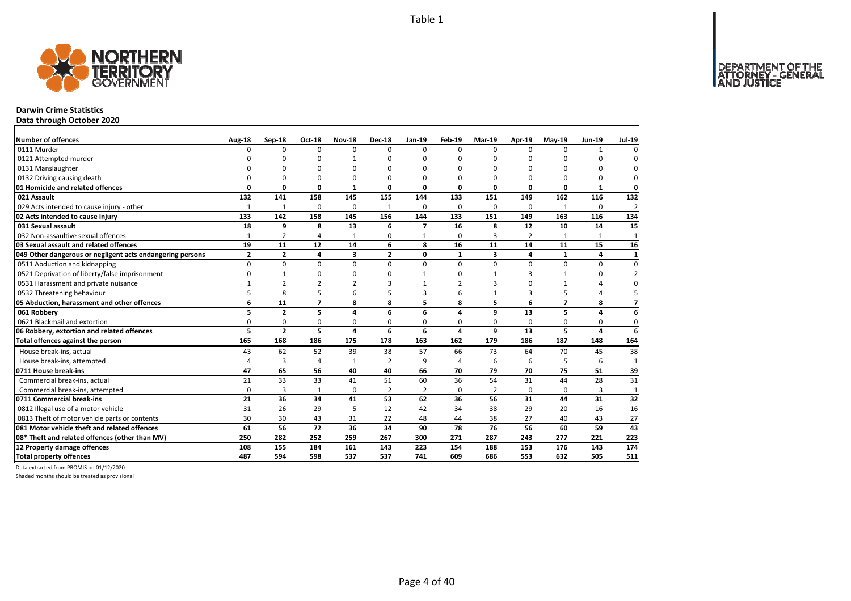

## **Darwin Crime Statistics**

**Data through October 2020**

| <b>Number of offences</b>                                 | Aug-18         | Sep-18         | <b>Oct-18</b>  | <b>Nov-18</b>  | <b>Dec-18</b>  | Jan-19         | Feb-19        | Mar-19                  | Apr-19         | $May-19$       | Jun-19   | <b>Jul-19</b>  |
|-----------------------------------------------------------|----------------|----------------|----------------|----------------|----------------|----------------|---------------|-------------------------|----------------|----------------|----------|----------------|
| 0111 Murder                                               | <sup>0</sup>   | 0              | $\Omega$       | $\Omega$       | $\Omega$       | $\Omega$       | $\Omega$      | $\Omega$                | $\Omega$       | $\Omega$       | 1        |                |
| 0121 Attempted murder                                     | U              | 0              | ŋ              | $\mathbf{1}$   |                | $\Omega$       | ŋ             | n                       | n              |                | O        |                |
| 0131 Manslaughter                                         | $\Omega$       | 0              | O              | $\Omega$       |                | $\Omega$       | $\Omega$      | O                       | $\Omega$       |                | 0        | 0              |
| 0132 Driving causing death                                | $\Omega$       | 0              | 0              | $\Omega$       |                | $\Omega$       | 0             | O                       | $\Omega$       |                | $\Omega$ | 0              |
| 01 Homicide and related offences                          | 0              | 0              | $\mathbf 0$    | $\mathbf{1}$   | $\Omega$       | 0              | 0             | 0                       | $\mathbf 0$    | $\Omega$       | 1        | $\mathbf 0$    |
| 021 Assault                                               | 132            | 141            | 158            | 145            | 155            | 144            | 133           | 151                     | 149            | 162            | 116      | 132            |
| 029 Acts intended to cause injury - other                 | 1              | $\overline{1}$ | $\Omega$       | $\Omega$       | $\mathbf{1}$   | $\Omega$       | 0             | $\Omega$                | $\Omega$       | 1              | $\Omega$ | $\overline{2}$ |
| 02 Acts intended to cause injury                          | 133            | 142            | 158            | 145            | 156            | 144            | 133           | 151                     | 149            | 163            | 116      | 134            |
| 031 Sexual assault                                        | 18             | 9              | 8              | 13             | 6              | $\overline{7}$ | 16            | 8                       | 12             | 10             | 14       | 15             |
| 032 Non-assaultive sexual offences                        | $\mathbf{1}$   | $\overline{2}$ | 4              | $\mathbf{1}$   | $\Omega$       | $\mathbf{1}$   | 0             | 3                       | $\overline{2}$ | $\mathbf{1}$   | 1        | $\mathbf{1}$   |
| 03 Sexual assault and related offences                    | 19             | 11             | 12             | 14             | 6              | 8              | 16            | 11                      | 14             | 11             | 15       | 16             |
| 049 Other dangerous or negligent acts endangering persons | $\overline{2}$ | $\overline{2}$ | 4              | 3              | $\overline{2}$ | 0              | $\mathbf{1}$  | $\overline{\mathbf{3}}$ | 4              | 1              | 4        | $\mathbf{1}$   |
| 0511 Abduction and kidnapping                             | $\Omega$       | $\Omega$       | $\Omega$       | $\Omega$       | $\Omega$       | $\Omega$       | $\Omega$      | $\Omega$                | $\Omega$       | $\Omega$       | $\Omega$ | $\Omega$       |
| 0521 Deprivation of liberty/false imprisonment            | $\Omega$       | $\mathbf{1}$   | $\Omega$       | $\Omega$       |                |                | ŋ             |                         | 3              |                | 0        |                |
| 0531 Harassment and private nuisance                      |                | $\overline{2}$ | $\overline{a}$ | $\mathcal{P}$  |                |                | $\mathcal{P}$ | 3                       | $\Omega$       |                | Δ        |                |
| 0532 Threatening behaviour                                | 5              | 8              | 5              | 6              |                | 3              | 6             |                         | 3              | 5              | 4        |                |
| 05 Abduction, harassment and other offences               | 6              | 11             | $\overline{7}$ | 8              | 8              | 5              | 8             | 5                       | 6              | $\overline{7}$ | 8        | 7              |
| 061 Robbery                                               | 5              | $\overline{2}$ | 5              | 4              | 6              | 6              | 4             | 9                       | 13             | 5              | 4        | 6              |
| 0621 Blackmail and extortion                              | 0              | 0              | 0              | 0              | 0              | 0              | 0             | 0                       | 0              | 0              | 0        | 0              |
| 06 Robbery, extortion and related offences                | 5              | $\overline{2}$ | 5              | $\overline{a}$ | 6              | 6              | 4             | 9                       | 13             | 5              | 4        | 6              |
| Total offences against the person                         | 165            | 168            | 186            | 175            | 178            | 163            | 162           | 179                     | 186            | 187            | 148      | 164            |
| House break-ins, actual                                   | 43             | 62             | 52             | 39             | 38             | 57             | 66            | 73                      | 64             | 70             | 45       | 38             |
| House break-ins, attempted                                | 4              | 3              | $\overline{4}$ | $\mathbf{1}$   | $\overline{2}$ | 9              | 4             | 6                       | 6              | 5              | 6        | $\mathbf{1}$   |
| 0711 House break-ins                                      | 47             | 65             | 56             | 40             | 40             | 66             | 70            | 79                      | 70             | 75             | 51       | 39             |
| Commercial break-ins, actual                              | 21             | 33             | 33             | 41             | 51             | 60             | 36            | 54                      | 31             | 44             | 28       | 31             |
| Commercial break-ins, attempted                           | 0              | 3              | 1              | $\mathbf 0$    | 2              | $\overline{2}$ | 0             | $\overline{2}$          | 0              | 0              | 3        | $\mathbf{1}$   |
| 0711 Commercial break-ins                                 | 21             | 36             | 34             | 41             | 53             | 62             | 36            | 56                      | 31             | 44             | 31       | 32             |
| 0812 Illegal use of a motor vehicle                       | 31             | 26             | 29             | 5              | 12             | 42             | 34            | 38                      | 29             | 20             | 16       | 16             |
| 0813 Theft of motor vehicle parts or contents             | 30             | 30             | 43             | 31             | 22             | 48             | 44            | 38                      | 27             | 40             | 43       | 27             |
| 081 Motor vehicle theft and related offences              | 61             | 56             | 72             | 36             | 34             | 90             | 78            | 76                      | 56             | 60             | 59       | 43             |
| 08* Theft and related offences (other than MV)            | 250            | 282            | 252            | 259            | 267            | 300            | 271           | 287                     | 243            | 277            | 221      | 223            |
| 12 Property damage offences                               | 108            | 155            | 184            | 161            | 143            | 223            | 154           | 188                     | 153            | 176            | 143      | 174            |
| <b>Total property offences</b>                            | 487            | 594            | 598            | 537            | 537            | 741            | 609           | 686                     | 553            | 632            | 505      | 511            |

Data extracted from PROMIS on 01/12/2020

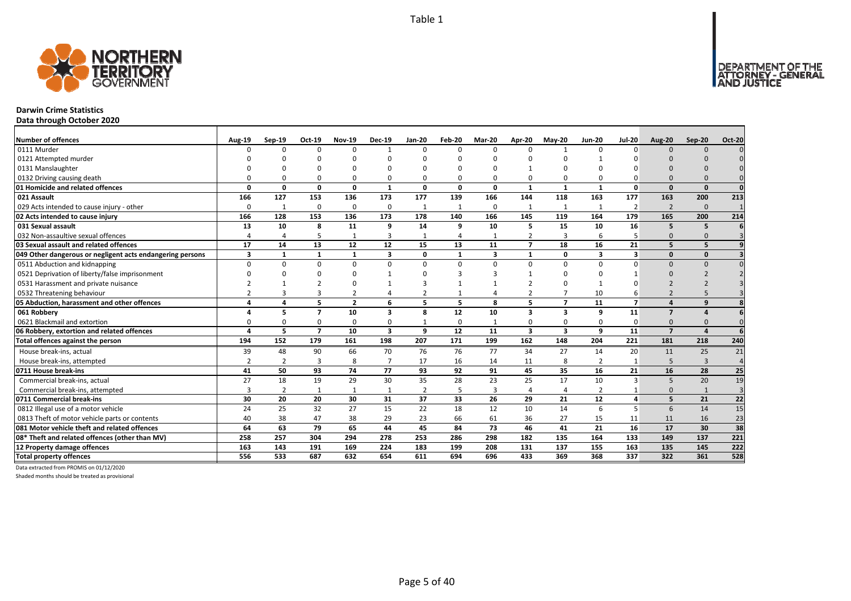

#### **Darwin Crime Statistics**

**Data through October 2020**

| <b>Number of offences</b>                                 | Aug-19         | $Sep-19$       | Oct-19                   | <b>Nov-19</b>  | <b>Dec-19</b>  | <b>Jan-20</b>  | Feb-20         | <b>Mar-20</b> | Apr-20                  | <b>Mav-20</b>  | <b>Jun-20</b>  | <b>Jul-20</b>  | <b>Aug-20</b>  | Sep-20         | <b>Oct-20</b> |
|-----------------------------------------------------------|----------------|----------------|--------------------------|----------------|----------------|----------------|----------------|---------------|-------------------------|----------------|----------------|----------------|----------------|----------------|---------------|
| 0111 Murder                                               | n              | n              | $\Omega$                 | $\Omega$       | $\mathbf{1}$   | $\Omega$       | <sup>n</sup>   | $\Omega$      | $\Omega$                | $\mathbf{1}$   | n              | n              | $\Omega$       | $\Omega$       |               |
| 0121 Attempted murder                                     |                |                |                          |                | n              |                |                |               |                         |                |                |                |                |                |               |
| 0131 Manslaughter                                         |                |                |                          |                | ŋ              |                |                |               |                         | ŋ              |                |                |                |                |               |
| 0132 Driving causing death                                |                |                | n                        | 0              | 0              |                |                | $\Omega$      | 0                       | 0              |                |                |                |                |               |
| 01 Homicide and related offences                          | $\Omega$       | 0              | $\Omega$                 | $\mathbf{0}$   | $\mathbf{1}$   | $\Omega$       | n              | $\Omega$      | $\mathbf{1}$            | $\mathbf{1}$   | $\mathbf{1}$   | O              | $\Omega$       | $\Omega$       | $\Omega$      |
| 021 Assault                                               | 166            | 127            | 153                      | 136            | 173            | 177            | 139            | 166           | 144                     | 118            | 163            | 177            | 163            | 200            | 213           |
| 029 Acts intended to cause injury - other                 | $\Omega$       | 1              | $\Omega$                 | 0              | 0              | $\mathbf{1}$   | 1              | $\Omega$      | 1                       | 1              | 1              | $\overline{2}$ | $\overline{2}$ | $\mathbf{0}$   |               |
| 02 Acts intended to cause injury                          | 166            | 128            | 153                      | 136            | 173            | 178            | 140            | 166           | 145                     | 119            | 164            | 179            | 165            | 200            | 214           |
| 031 Sexual assault                                        | 13             | 10             | 8                        | 11             | 9              | 14             | 9              | 10            | 5                       | 15             | 10             | 16             | 5              | 5              |               |
| 032 Non-assaultive sexual offences                        |                | $\overline{a}$ | 5                        | 1              | 3              |                | $\overline{a}$ |               | $\overline{2}$          | 3              | 6              |                | $\Omega$       | $\Omega$       |               |
| 03 Sexual assault and related offences                    | 17             | 14             | 13                       | 12             | 12             | 15             | 13             | 11            | $\overline{7}$          | 18             | 16             | 21             | 5              | 5              |               |
| 049 Other dangerous or negligent acts endangering persons | 3              | $\mathbf{1}$   |                          | $\mathbf{1}$   | 3              | $\Omega$       | $\mathbf 1$    | 3             | $\mathbf{1}$            | 0              | 3              | 3              | $\Omega$       | $\Omega$       |               |
| 0511 Abduction and kidnapping                             | $\Omega$       | <sup>0</sup>   | $\Omega$                 | $\mathbf 0$    | $\Omega$       | $\Omega$       | $\Omega$       | $\Omega$      | $\Omega$                | $\Omega$       | $\Omega$       |                | $\Omega$       | $\Omega$       |               |
| 0521 Deprivation of liberty/false imprisonment            |                |                |                          | C              |                |                |                |               |                         | ŋ              |                |                |                |                |               |
| 0531 Harassment and private nuisance                      |                |                |                          | n              | $\mathbf{1}$   |                |                |               |                         | ŋ              |                |                |                |                |               |
| 0532 Threatening behaviour                                |                |                |                          | $\overline{2}$ | 4              |                |                |               |                         | 7              | 10             |                |                |                |               |
| 05 Abduction, harassment and other offences               | $\mathbf{A}$   | 4              | 5                        | $\overline{2}$ | 6              | 5              | 5              | 8             | 5                       | $\overline{7}$ | 11             | $\overline{7}$ |                | q              |               |
| 061 Robbery                                               |                | 5              | $\overline{\phantom{a}}$ | 10             | 3              | 8              | 12             | 10            | $\overline{\mathbf{3}}$ | 3              | 9              | 11             | $\overline{ }$ |                |               |
| 0621 Blackmail and extortion                              |                | O              | $\Omega$                 | $\Omega$       | $\mathbf 0$    |                | $\Omega$       |               | $\Omega$                | $\Omega$       | $\Omega$       | <sup>0</sup>   | $\Omega$       |                |               |
| 06 Robbery, extortion and related offences                |                | 5              | $\overline{ }$           | 10             | 3              | 9              | 12             | 11            | $\overline{\mathbf{3}}$ | 3              | q              | 11             | $\overline{z}$ |                |               |
| Total offences against the person                         | 194            | 152            | 179                      | 161            | 198            | 207            | 171            | 199           | 162                     | 148            | 204            | 221            | 181            | 218            | 240           |
| House break-ins, actual                                   | 39             | 48             | 90                       | 66             | 70             | 76             | 76             | 77            | 34                      | 27             | 14             | 20             | 11             | 25             | 21            |
| House break-ins, attempted                                | $\overline{2}$ | 2              | 3                        | 8              | $\overline{7}$ | 17             | 16             | 14            | 11                      | 8              | 2              | $\mathbf{1}$   | 5              | $\overline{3}$ | $\Delta$      |
| 0711 House break-ins                                      | 41             | 50             | 93                       | 74             | 77             | 93             | 92             | 91            | 45                      | 35             | 16             | 21             | 16             | 28             | 25            |
| Commercial break-ins, actual                              | 27             | 18             | 19                       | 29             | 30             | 35             | 28             | 23            | 25                      | 17             | 10             | 3              | 5              | 20             | 19            |
| Commercial break-ins, attempted                           |                | 2              |                          | $\mathbf{1}$   | 1              | $\overline{2}$ | 5              | 3             | $\overline{4}$          | 4              | $\overline{2}$ |                | $\Omega$       | $\mathbf{1}$   |               |
| 0711 Commercial break-ins                                 | 30             | 20             | 20                       | 30             | 31             | 37             | 33             | 26            | 29                      | 21             | 12             | 4              | 5              | 21             | 22            |
| 0812 Illegal use of a motor vehicle                       | 24             | 25             | 32                       | 27             | 15             | 22             | 18             | 12            | 10                      | 14             | 6              | 5              | 6              | 14             | 15            |
| 0813 Theft of motor vehicle parts or contents             | 40             | 38             | 47                       | 38             | 29             | 23             | 66             | 61            | 36                      | 27             | 15             | 11             | 11             | 16             | 23            |
| 081 Motor vehicle theft and related offences              | 64             | 63             | 79                       | 65             | 44             | 45             | 84             | 73            | 46                      | 41             | 21             | 16             | 17             | 30             | 38            |
| 08* Theft and related offences (other than MV)            | 258            | 257            | 304                      | 294            | 278            | 253            | 286            | 298           | 182                     | 135            | 164            | 133            | 149            | 137            | 221           |
| 12 Property damage offences                               | 163            | 143            | 191                      | 169            | 224            | 183            | 199            | 208           | 131                     | 137            | 155            | 163            | 135            | 145            | 222           |
| <b>Total property offences</b>                            | 556            | 533            | 687                      | 632            | 654            | 611            | 694            | 696           | 433                     | 369            | 368            | 337            | 322            | 361            | 528           |

Data extracted from PROMIS on 01/12/2020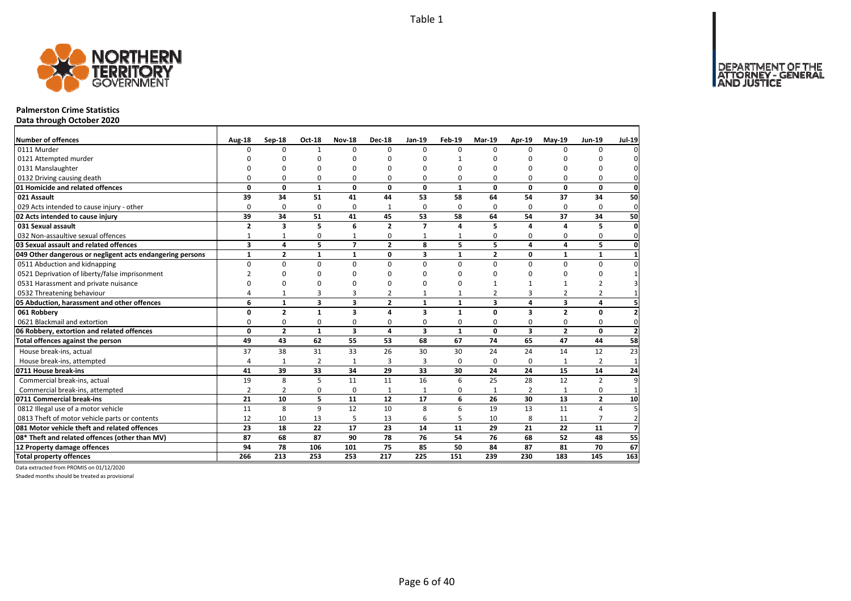

#### **Palmerston Crime Statistics**

**Data through October 2020**

| <b>Number of offences</b>                                 | Aug-18         | Sep-18         | Oct-18         | <b>Nov-18</b>           | <b>Dec-18</b>  | Jan-19         | Feb-19       | Mar-19         | Apr-19                  | <b>Mav-19</b>  | Jun-19                  | <b>Jul-19</b>  |
|-----------------------------------------------------------|----------------|----------------|----------------|-------------------------|----------------|----------------|--------------|----------------|-------------------------|----------------|-------------------------|----------------|
| 0111 Murder                                               | $\Omega$       | $\Omega$       | $\overline{1}$ | $\Omega$                | $\Omega$       | $\Omega$       | $\Omega$     | $\Omega$       | $\Omega$                | $\Omega$       | $\Omega$                |                |
| 0121 Attempted murder                                     | ŋ              | <sup>0</sup>   | $\Omega$       | n                       |                | $\Omega$       | 1            | n              | n                       |                | n                       |                |
| 0131 Manslaughter                                         | $\Omega$       | O              | O              | $\Omega$                |                | $\Omega$       | O            | O              | n                       |                | 0                       |                |
| 0132 Driving causing death                                | $\Omega$       | 0              | 0              | $\Omega$                | 0              | 0              | 0            | O              | $\Omega$                | $\Omega$       | $\Omega$                | 0              |
| 01 Homicide and related offences                          | 0              | $\mathbf{0}$   | $\mathbf{1}$   | 0                       | 0              | $\mathbf{0}$   | $\mathbf{1}$ | $\mathbf{0}$   | $\mathbf{0}$            | 0              | $\mathbf{0}$            | $\mathbf 0$    |
| 021 Assault                                               | 39             | 34             | 51             | 41                      | 44             | 53             | 58           | 64             | 54                      | 37             | 34                      | 50             |
| 029 Acts intended to cause injury - other                 | $\Omega$       | 0              | 0              | 0                       | $\mathbf{1}$   | $\Omega$       | 0            | $\Omega$       | $\Omega$                | $\Omega$       | $\Omega$                | $\mathbf{0}$   |
| 02 Acts intended to cause injury                          | 39             | 34             | 51             | 41                      | 45             | 53             | 58           | 64             | 54                      | 37             | 34                      | 50             |
| 031 Sexual assault                                        | $\overline{2}$ | 3              | 5              | 6                       | $\overline{2}$ | $\overline{ }$ | 4            | 5.             | 4                       | $\Delta$       | 5                       | $\mathbf{0}$   |
| 032 Non-assaultive sexual offences                        | $\mathbf{1}$   | $\mathbf{1}$   | 0              | 1                       | 0              | $\mathbf{1}$   | 1            | 0              | 0                       | 0              | 0                       | $\Omega$       |
| 03 Sexual assault and related offences                    | 3              | 4              | 5              | $\overline{7}$          | $\mathbf{2}$   | 8              | 5            | 5              | 4                       | 4              | 5                       | $\mathbf{0}$   |
| 049 Other dangerous or negligent acts endangering persons | $\mathbf{1}$   | $\overline{2}$ | $\mathbf{1}$   | $\mathbf{1}$            | $\mathbf{0}$   | 3              | $\mathbf{1}$ | $\overline{2}$ | 0                       | 1              | $\mathbf{1}$            | -1             |
| 0511 Abduction and kidnapping                             | $\Omega$       | $\Omega$       | $\mathbf 0$    | $\Omega$                | $\Omega$       | $\Omega$       | $\Omega$     | $\Omega$       | $\Omega$                | $\Omega$       | $\Omega$                |                |
| 0521 Deprivation of liberty/false imprisonment            | $\overline{2}$ | 0              | 0              | $\Omega$                |                | ŋ              | n            | ŋ              | $\Omega$                | n              | 0                       |                |
| 0531 Harassment and private nuisance                      | $\Omega$       | 0              | O              | n                       |                | $\Omega$       | n            |                | 1                       |                | $\overline{2}$          |                |
| 0532 Threatening behaviour                                | 4              | $\mathbf{1}$   | 3              | 3                       | 2              | $\mathbf{1}$   | $\mathbf{1}$ | $\overline{2}$ | 3                       | $\overline{2}$ | $\overline{2}$          |                |
| 05 Abduction, harassment and other offences               | 6              | $\mathbf{1}$   | 3              | $\overline{\mathbf{3}}$ | $\overline{2}$ | $\mathbf{1}$   | $\mathbf{1}$ | 3              | $\overline{a}$          | 3              | 4                       |                |
| 061 Robbery                                               | 0              | $\overline{2}$ | $\mathbf{1}$   | $\overline{\mathbf{3}}$ | 4              | 3              | $\mathbf{1}$ | 0              | $\overline{\mathbf{3}}$ | $\overline{2}$ | 0                       | $\overline{2}$ |
| 0621 Blackmail and extortion                              | $\Omega$       | 0              | 0              | 0                       | 0              | 0              | 0            | 0              | 0                       | 0              | 0                       | 0              |
| 06 Robbery, extortion and related offences                | 0              | $\overline{2}$ | $\mathbf{1}$   | $\overline{\mathbf{3}}$ | 4              | 3              | $\mathbf{1}$ | $\mathbf{0}$   | $\overline{\mathbf{3}}$ | $\overline{2}$ | 0                       | $\overline{2}$ |
| Total offences against the person                         | 49             | 43             | 62             | 55                      | 53             | 68             | 67           | 74             | 65                      | 47             | 44                      | 58             |
| House break-ins, actual                                   | 37             | 38             | 31             | 33                      | 26             | 30             | 30           | 24             | 24                      | 14             | 12                      | 23             |
| House break-ins, attempted                                | 4              | $\mathbf{1}$   | $\overline{2}$ | $\mathbf{1}$            | 3              | 3              | 0            | 0              | 0                       |                | $\overline{2}$          | $\mathbf{1}$   |
| 0711 House break-ins                                      | 41             | 39             | 33             | 34                      | 29             | 33             | 30           | 24             | 24                      | 15             | 14                      | 24             |
| Commercial break-ins, actual                              | 19             | 8              | 5              | 11                      | 11             | 16             | 6            | 25             | 28                      | 12             | $\overline{2}$          | q              |
| Commercial break-ins, attempted                           | $\overline{2}$ | $\overline{2}$ | 0              | 0                       | $\mathbf{1}$   | $\mathbf{1}$   | 0            | 1              | $\overline{2}$          | $\mathbf{1}$   | 0                       |                |
| 0711 Commercial break-ins                                 | 21             | 10             | 5              | 11                      | 12             | 17             | 6            | 26             | 30                      | 13             | $\overline{\mathbf{2}}$ | 10             |
| 0812 Illegal use of a motor vehicle                       | 11             | 8              | 9              | 12                      | 10             | 8              | 6            | 19             | 13                      | 11             | 4                       | 5              |
| 0813 Theft of motor vehicle parts or contents             | 12             | 10             | 13             | 5                       | 13             | 6              | 5            | 10             | 8                       | 11             | $\overline{7}$          | $\overline{2}$ |
| 081 Motor vehicle theft and related offences              | 23             | 18             | 22             | 17                      | 23             | 14             | 11           | 29             | 21                      | 22             | 11                      | $\overline{z}$ |
| 08* Theft and related offences (other than MV)            | 87             | 68             | 87             | 90                      | 78             | 76             | 54           | 76             | 68                      | 52             | 48                      | 55             |
| 12 Property damage offences                               | 94             | 78             | 106            | 101                     | 75             | 85             | 50           | 84             | 87                      | 81             | 70                      | 67             |
| <b>Total property offences</b>                            | 266            | 213            | 253            | 253                     | 217            | 225            | 151          | 239            | 230                     | 183            | 145                     | 163            |

Data extracted from PROMIS on 01/12/2020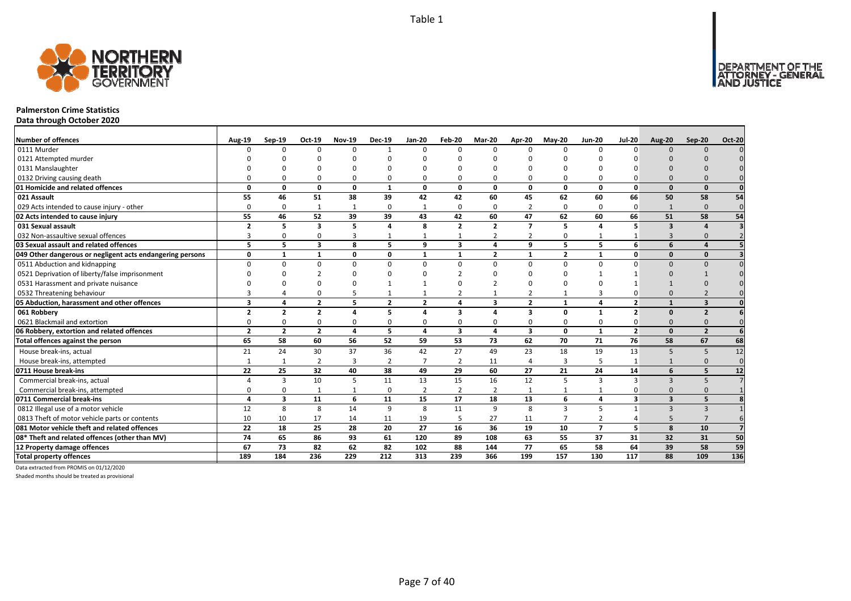

#### **Palmerston Crime Statistics**

**Data through October 2020**

| <b>Number of offences</b>                                 | <b>Aug-19</b>            | Sep-19         | Oct-19                  | <b>Nov-19</b>           | <b>Dec-19</b>  | $Jan-20$       | Feb-20         | <b>Mar-20</b>  | Apr-20         | <b>May-20</b>     | <b>Jun-20</b>  | <b>Jul-20</b>           | <b>Aug-20</b>           | Sep-20         | <b>Oct-20</b> |
|-----------------------------------------------------------|--------------------------|----------------|-------------------------|-------------------------|----------------|----------------|----------------|----------------|----------------|-------------------|----------------|-------------------------|-------------------------|----------------|---------------|
| 0111 Murder                                               |                          | $\Omega$       | $\Omega$                | $\Omega$                | $\mathbf{1}$   | $\Omega$       | $\Omega$       | $\Omega$       | $\Omega$       | 0                 | $\Omega$       | $\Omega$                | $\Omega$                | $\Omega$       |               |
| 0121 Attempted murder                                     |                          |                |                         |                         |                |                |                |                |                |                   |                |                         |                         |                |               |
| 0131 Manslaughter                                         |                          |                |                         |                         |                |                |                |                |                |                   |                |                         |                         |                |               |
| 0132 Driving causing death                                |                          |                | $\Omega$                | $\Omega$                | 0              |                |                | $\Omega$       | $\Omega$       | 0                 |                |                         |                         |                |               |
| 01 Homicide and related offences                          | $\Omega$                 | U              | 0                       | $\Omega$                | $\mathbf{1}$   | $\Omega$       | $\Omega$       | n              | $\Omega$       | $\Omega$          | $\Omega$       | $\Omega$                | $\Omega$                | $\Omega$       |               |
| 021 Assault                                               | 55                       | 46             | 51                      | 38                      | 39             | 42             | 42             | 60             | 45             | 62                | 60             | 66                      | 50                      | 58             | 54            |
| 029 Acts intended to cause injury - other                 |                          | $\Omega$       | 1                       | 1                       | 0              |                | 0              | $\Omega$       | $\overline{2}$ | 0                 | $\Omega$       | 0                       | $\mathbf{1}$            | $\Omega$       | $\Omega$      |
| 02 Acts intended to cause injury                          | 55                       | 46             | 52                      | 39                      | 39             | 43             | 42             | 60             | 47             | 62                | 60             | 66                      | 51                      | 58             | 54            |
| 031 Sexual assault                                        | $\overline{2}$           | 5              | 3                       | 5                       | 4              | 8              | $\overline{2}$ | $\overline{2}$ | $\overline{7}$ | 5                 |                | 5                       | $\overline{\mathbf{3}}$ |                |               |
| 032 Non-assaultive sexual offences                        |                          | ŋ              | $\Omega$                | $\overline{3}$          | $\mathbf{1}$   |                |                | $\overline{2}$ | $\overline{2}$ | 0                 |                |                         | $\mathbf{3}$            | $\Omega$       |               |
| 03 Sexual assault and related offences                    | 5.                       | 5              | 3                       | 8                       | 5              | q              | 3              | 4              | 9              | 5                 | 5              | 6                       | 6                       |                |               |
| 049 Other dangerous or negligent acts endangering persons | 0                        | $\mathbf{1}$   | 1                       | $\mathbf{0}$            | 0              | -1             | 1              | $\overline{2}$ | 1              | $\overline{2}$    | -1             | $\mathbf{0}$            | $\Omega$                | $\mathbf{0}$   |               |
| 0511 Abduction and kidnapping                             |                          | $\Omega$       | $\Omega$                | $\Omega$                | $\Omega$       | $\Omega$       | $\Omega$       | $\Omega$       | $\Omega$       | $\Omega$          | $\Omega$       |                         | $\Omega$                | $\Omega$       |               |
| 0521 Deprivation of liberty/false imprisonment            |                          |                |                         | ∩                       |                |                |                | ∩              |                |                   |                |                         |                         |                |               |
| 0531 Harassment and private nuisance                      |                          |                | n                       |                         |                |                |                |                |                |                   |                |                         |                         |                |               |
| 0532 Threatening behaviour                                |                          |                | U                       |                         |                |                |                |                |                | 1                 |                |                         |                         |                |               |
| 05 Abduction, harassment and other offences               | 3                        |                | $\overline{\mathbf{z}}$ | 5                       | $\overline{2}$ | $\overline{2}$ |                | 3              | $\overline{2}$ | $\mathbf{1}$      | $\Delta$       | $\overline{\mathbf{z}}$ |                         | 3              |               |
| 061 Robbery                                               | $\overline{\phantom{a}}$ | $\overline{2}$ | $\overline{\mathbf{z}}$ | $\Delta$                | 5              |                | 3              | Δ              | 3              | 0                 |                | $\overline{\mathbf{z}}$ | $\Omega$                | $\overline{2}$ |               |
| 0621 Blackmail and extortion                              |                          |                | $\Omega$                | $\Omega$                | 0              |                |                | $\Omega$       | $\Omega$       | 0                 |                |                         | $\Omega$                |                |               |
| 06 Robbery, extortion and related offences                | $\overline{2}$           | $\overline{2}$ | $\mathbf{2}$            | $\overline{\mathbf{a}}$ | 5              | 4              | 3              | 4              | 3              | 0                 | $\mathbf{1}$   | $\overline{2}$          | $\Omega$                | $\overline{2}$ |               |
| Total offences against the person                         | 65                       | 58             | 60                      | 56                      | 52             | 59             | 53             | 73             | 62             | 70                | 71             | 76                      | 58                      | 67             | 68            |
| House break-ins, actual                                   | 21                       | 24             | 30                      | 37                      | 36             | 42             | 27             | 49             | 23             | 18                | 19             | 13                      | 5                       | 5              | 12            |
| House break-ins, attempted                                |                          |                | $\overline{2}$          | $\overline{3}$          | $\overline{2}$ |                | $\overline{2}$ | 11             | $\overline{4}$ | 3                 |                |                         |                         | $\Omega$       | $\Omega$      |
| 0711 House break-ins                                      | 22                       | 25             | 32                      | 40                      | 38             | 49             | 29             | 60             | 27             | 21                | 24             | 14                      | 6                       | 5              | 12            |
| Commercial break-ins, actual                              |                          | 3              | 10                      | 5                       | 11             | 13             | 15             | 16             | 12             | 5                 | 3              | 3                       | $\mathbf{3}$            | -5             |               |
| Commercial break-ins, attempted                           |                          |                |                         | 1                       | 0              | 2              | $\overline{2}$ | $\overline{2}$ | 1              | 1                 |                |                         | $\Omega$                | $\Omega$       |               |
| 0711 Commercial break-ins                                 | Δ                        | $\mathbf{3}$   | 11                      | 6                       | 11             | 15             | 17             | 18             | 13             | 6                 | 4              | 3                       | $\overline{\mathbf{3}}$ | 5              |               |
| 0812 Illegal use of a motor vehicle                       | 12                       | 8              | 8                       | 14                      | 9              | 8              | 11             | 9              | 8              | $\overline{3}$    | 5              |                         | $\mathbf{3}$            | $\overline{3}$ |               |
| 0813 Theft of motor vehicle parts or contents             | 10                       | 10             | 17                      | 14                      | 11             | 19             | 5              | 27             | 11             | $\overline{7}$    | $\overline{2}$ |                         | 5                       |                |               |
| 081 Motor vehicle theft and related offences              | 22                       | 18             | 25                      | 28                      | 20             | 27             | 16             | 36             | 19             | 10                | $\overline{7}$ | 5                       | $\mathbf{8}$            | 10             |               |
| 08* Theft and related offences (other than MV)            | 74                       | 65             | 86                      | 93                      | 61             | 120            | 89             | 108            | 63             | 55                | 37             | 31                      | 32                      | 31             | 50            |
| 12 Property damage offences                               | 67                       | 73             | 82                      | 62                      | 82             | 102            | 88             | 144            | 77             | 65                | 58             | 64                      | 39                      | 58             | 59            |
| <b>Total property offences</b>                            | 189                      | 184            | 236                     | $\overline{229}$        | 212            | 313            | 239            | 366            | 199            | $\frac{157}{157}$ | 130            | 117                     | 88                      | 109            | 136           |

Data extracted from PROMIS on 01/12/2020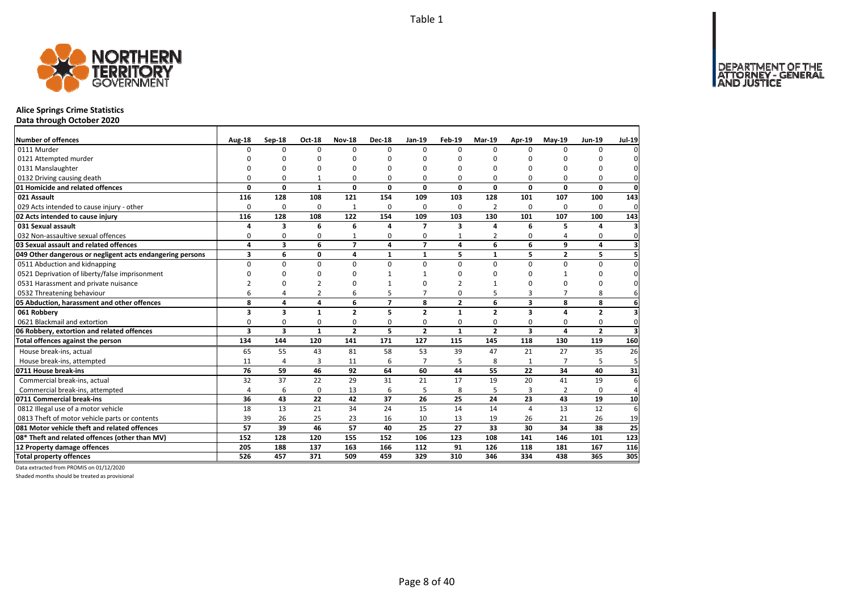

## **Alice Springs Crime Statistics**

**Data through October 2020**

| <b>Number of offences</b>                                 | Aug-18         | Sep-18   | Oct-18         | <b>Nov-18</b>  | <b>Dec-18</b>  | Jan-19         | Feb-19         | Mar-19         | Apr-19                  | $May-19$       | <b>Jun-19</b>  | <b>Jul-19</b>           |
|-----------------------------------------------------------|----------------|----------|----------------|----------------|----------------|----------------|----------------|----------------|-------------------------|----------------|----------------|-------------------------|
| 0111 Murder                                               | 0              | 0        | $\Omega$       | $\Omega$       | $\Omega$       | $\Omega$       | $\Omega$       | $\Omega$       | $\Omega$                | $\Omega$       | 0              | 0                       |
| 0121 Attempted murder                                     | n              | ŋ        | 0              | n              | ŋ              | n              | ŋ              | ŋ              |                         | ŋ              | $\Omega$       | 0                       |
| 0131 Manslaughter                                         | n              | $\Omega$ | n              | n              |                |                | ŋ              | U              |                         | ŋ              | $\Omega$       | $\mathbf 0$             |
| 0132 Driving causing death                                | 0              | 0        | 1              | $\Omega$       | 0              | $\Omega$       | 0              | O              | $\Omega$                | 0              | 0              | 0                       |
| 01 Homicide and related offences                          | 0              | 0        | $\mathbf{1}$   | 0              | 0              | $\Omega$       | 0              | 0              | 0                       | 0              | $\mathbf{0}$   | $\mathbf{0}$            |
| 021 Assault                                               | 116            | 128      | 108            | 121            | 154            | 109            | 103            | 128            | 101                     | 107            | 100            | 143                     |
| 029 Acts intended to cause injury - other                 | $\Omega$       | $\Omega$ | $\Omega$       | 1              | $\Omega$       | $\Omega$       | 0              | $\overline{2}$ | $\Omega$                | $\Omega$       | $\Omega$       | 0                       |
| 02 Acts intended to cause injury                          | 116            | 128      | 108            | 122            | 154            | 109            | 103            | 130            | 101                     | 107            | 100            | 143                     |
| 031 Sexual assault                                        | 4              | 3        | 6              | 6              | $\mathbf{A}$   | $\overline{ }$ | 3              | 4              | 6                       | 5              | $\overline{a}$ | 3                       |
| 032 Non-assaultive sexual offences                        | 0              | 0        | 0              | $\mathbf{1}$   | 0              | 0              | $\mathbf{1}$   | 2              | 0                       | 4              | 0              | $\mathbf 0$             |
| 03 Sexual assault and related offences                    | 4              | 3        | 6              | $\overline{7}$ | 4              | $\overline{ }$ | 4              | 6              | 6                       | 9              | 4              | $\overline{\mathbf{3}}$ |
| 049 Other dangerous or negligent acts endangering persons | 3              | 6        | 0              | 4              | $\mathbf{1}$   | $\mathbf{1}$   | 5              | $\mathbf{1}$   | 5                       | $\overline{2}$ | 5              | 5 <sup>1</sup>          |
| 0511 Abduction and kidnapping                             | $\Omega$       | 0        | $\mathbf 0$    | $\Omega$       | $\Omega$       | $\Omega$       | $\Omega$       | $\Omega$       | $\Omega$                | 0              | $\Omega$       | 0                       |
| 0521 Deprivation of liberty/false imprisonment            | $\Omega$       | O        | 0              | $\Omega$       |                | $\mathbf{1}$   | O              | 0              | <sup>0</sup>            | 1              | $\Omega$       | 0                       |
| 0531 Harassment and private nuisance                      | $\mathcal{P}$  | O        | 2              | O              |                |                | $\mathfrak{p}$ | 1              | 0                       | $\Omega$       | O              | $\mathbf 0$             |
| 0532 Threatening behaviour                                | 6              | 4        | $\overline{2}$ | 6              | 5              | $\overline{7}$ | 0              | 5              | 3                       | 7              | 8              | 6                       |
| 05 Abduction, harassment and other offences               | 8              | 4        | 4              | 6              | $\overline{ }$ | 8              | $\overline{2}$ | 6              | 3                       | 8              | 8              | 6                       |
| 061 Robberv                                               | 3              | 3        | $\mathbf{1}$   | $\overline{2}$ | 5              | $\overline{2}$ | $\mathbf{1}$   | $\overline{2}$ | $\overline{\mathbf{3}}$ | 4              | $\overline{2}$ | 3                       |
| 0621 Blackmail and extortion                              | $\Omega$       | 0        | 0              | $\Omega$       | 0              | $\Omega$       | 0              | 0              | $\Omega$                | $\Omega$       | $\mathbf 0$    | $\Omega$                |
| 06 Robbery, extortion and related offences                | 3              | 3        | $\mathbf{1}$   | $\overline{2}$ | 5              | $\overline{2}$ | $\mathbf{1}$   | $\overline{2}$ | $\overline{\mathbf{3}}$ | $\overline{a}$ | $\overline{2}$ | $\overline{\mathbf{3}}$ |
| Total offences against the person                         | 134            | 144      | 120            | 141            | 171            | 127            | 115            | 145            | 118                     | 130            | 119            | 160                     |
| House break-ins, actual                                   | 65             | 55       | 43             | 81             | 58             | 53             | 39             | 47             | 21                      | 27             | 35             | 26                      |
| House break-ins, attempted                                | 11             | 4        | 3              | 11             | 6              | $\overline{7}$ | 5              | 8              |                         |                | 5              | 5 <sup>1</sup>          |
| 0711 House break-ins                                      | 76             | 59       | 46             | 92             | 64             | 60             | 44             | 55             | 22                      | 34             | 40             | 31                      |
| Commercial break-ins, actual                              | 32             | 37       | 22             | 29             | 31             | 21             | 17             | 19             | 20                      | 41             | 19             | 6                       |
| Commercial break-ins, attempted                           | $\overline{a}$ | 6        | 0              | 13             | 6              | 5              | 8              | 5              | 3                       | $\overline{2}$ | $\mathbf 0$    | $\overline{4}$          |
| 0711 Commercial break-ins                                 | 36             | 43       | 22             | 42             | 37             | 26             | 25             | 24             | 23                      | 43             | 19             | 10                      |
| 0812 Illegal use of a motor vehicle                       | 18             | 13       | 21             | 34             | 24             | 15             | 14             | 14             | $\Delta$                | 13             | 12             | 6                       |
| 0813 Theft of motor vehicle parts or contents             | 39             | 26       | 25             | 23             | 16             | 10             | 13             | 19             | 26                      | 21             | 26             | 19                      |
| 081 Motor vehicle theft and related offences              | 57             | 39       | 46             | 57             | 40             | 25             | 27             | 33             | 30                      | 34             | 38             | 25                      |
| 08* Theft and related offences (other than MV)            | 152            | 128      | 120            | 155            | 152            | 106            | 123            | 108            | 141                     | 146            | 101            | 123                     |
| 12 Property damage offences                               | 205            | 188      | 137            | 163            | 166            | 112            | 91             | 126            | 118                     | 181            | 167            | 116                     |
| <b>Total property offences</b>                            | 526            | 457      | 371            | 509            | 459            | 329            | 310            | 346            | 334                     | 438            | 365            | 305                     |

Data extracted from PROMIS on 01/12/2020

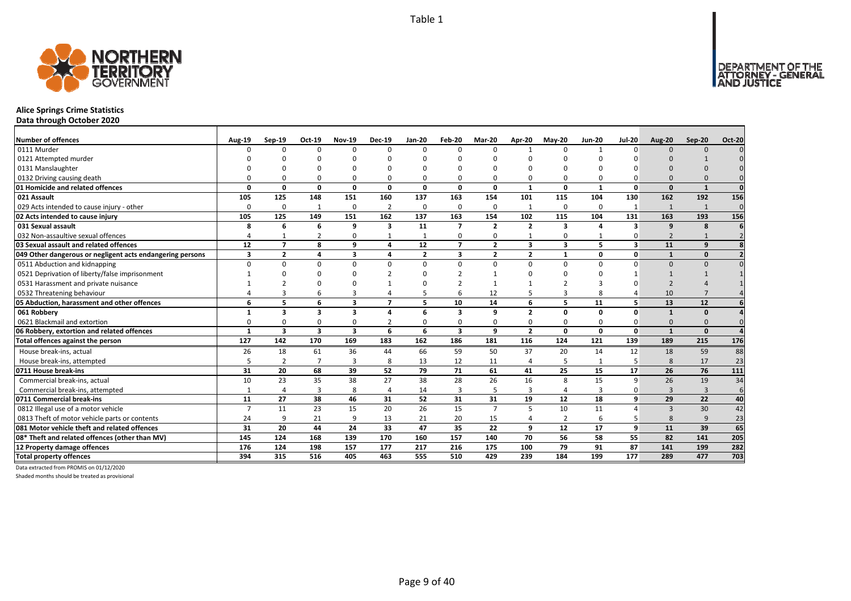

## **Alice Springs Crime Statistics**

**Data through October 2020**

| <b>Number of offences</b>                                 | <b>Aug-19</b>  | $Sep-19$       | Oct-19                  | <b>Nov-19</b>           | <b>Dec-19</b>  | <b>Jan-20</b>  | Feb-20                  | Mar-20         | Apr-20         | <b>May-20</b>           | <b>Jun-20</b> | <b>Jul-20</b> | <b>Aug-20</b>            | Sep-20         | <b>Oct-20</b>  |
|-----------------------------------------------------------|----------------|----------------|-------------------------|-------------------------|----------------|----------------|-------------------------|----------------|----------------|-------------------------|---------------|---------------|--------------------------|----------------|----------------|
| 0111 Murder                                               |                | <sup>n</sup>   | $\Omega$                | $\Omega$                | $\Omega$       | n              | $\Omega$                | $\Omega$       | $\mathbf{1}$   | $\Omega$                |               | $\Omega$      | $\Omega$                 | $\Omega$       |                |
| 0121 Attempted murder                                     |                |                |                         |                         |                |                |                         |                |                |                         |               |               |                          |                |                |
| 0131 Manslaughter                                         |                |                |                         |                         | ŋ              |                |                         | n              |                |                         |               |               |                          |                |                |
| 0132 Driving causing death                                |                |                | $\Omega$                | 0                       | $\Omega$       |                |                         | O              | $\Omega$       | 0                       |               |               | $\Omega$                 |                |                |
| 01 Homicide and related offences                          | n              | n              | $\Omega$                | $\Omega$                | $\Omega$       | $\Omega$       | $\Omega$                | $\Omega$       | $\mathbf{1}$   | $\Omega$                | -1            | $\Omega$      | $\Omega$                 | $\mathbf{1}$   | $\Omega$       |
| 021 Assault                                               | 105            | 125            | 148                     | 151                     | 160            | 137            | 163                     | 154            | 101            | 115                     | 104           | 130           | 162                      | 192            | 156            |
| 029 Acts intended to cause injury - other                 | $\Omega$       | 0              | 1                       | $\mathbf 0$             | $\overline{2}$ | $\Omega$       | 0                       | $\Omega$       | 1              | 0                       | $\Omega$      |               | 1                        | 1              | $\Omega$       |
| 02 Acts intended to cause injury                          | 105            | 125            | 149                     | 151                     | 162            | 137            | 163                     | 154            | 102            | 115                     | 104           | 131           | 163                      | 193            | 156            |
| 031 Sexual assault                                        | 8              | 6              | 6                       | 9                       | 3              | 11             | $\overline{7}$          | $\overline{2}$ | $\overline{2}$ | $\overline{\mathbf{3}}$ | $\mathbf{A}$  | 3             | $\mathbf{q}$             | 8              |                |
| 032 Non-assaultive sexual offences                        |                |                | $\overline{2}$          | $\Omega$                | 1              |                | 0                       | $\Omega$       |                | 0                       |               |               | $\overline{\phantom{0}}$ |                | $\overline{z}$ |
| 03 Sexual assault and related offences                    | 12             | $\overline{7}$ | 8                       | 9                       | 4              | 12             | $\overline{7}$          | $\overline{2}$ | 3              | 3                       | 5             | 3             | 11                       | 9              |                |
| 049 Other dangerous or negligent acts endangering persons | 3              | $\overline{2}$ | $\mathbf{A}$            | $\overline{\mathbf{3}}$ | 4              | $\overline{2}$ | 3                       | $\overline{2}$ | $\overline{2}$ | 1                       | $\Omega$      | $\mathbf{0}$  |                          | $\mathbf{0}$   |                |
| 0511 Abduction and kidnapping                             | $\Omega$       | U              | $\Omega$                | $\Omega$                | $\Omega$       | $\Omega$       | $\Omega$                | $\Omega$       | $\Omega$       | $\Omega$                | $\Omega$      | $\Omega$      | $\Omega$                 | $\Omega$       |                |
| 0521 Deprivation of liberty/false imprisonment            |                |                |                         | -C                      | $\mathcal{P}$  |                |                         |                | ∩              |                         |               |               |                          |                |                |
| 0531 Harassment and private nuisance                      |                |                |                         |                         |                |                |                         |                |                |                         |               |               |                          |                |                |
| 0532 Threatening behaviour                                |                |                |                         | 3                       | 4              |                |                         | 12             |                | 3                       |               |               | 10                       |                |                |
| 05 Abduction, harassment and other offences               | 6              | 5              | 6                       | $\overline{\mathbf{3}}$ | $\overline{ }$ | 5              | 10                      | 14             | 6              | 5                       | 11            |               | 13                       | 12             |                |
| 061 Robbery                                               |                | 3              | 3                       | $\mathbf{3}$            | 4              | 6              | 3                       | q              | $\overline{2}$ | 0                       | $\Omega$      | $\Omega$      |                          | $\Omega$       |                |
| 0621 Blackmail and extortion                              |                |                | $\Omega$                | 0                       | $\overline{2}$ |                |                         | $\Omega$       | $\Omega$       | 0                       |               |               | $\Omega$                 |                |                |
| 06 Robbery, extortion and related offences                | $\mathbf{1}$   | 3              | $\overline{\mathbf{3}}$ | $\overline{\mathbf{3}}$ | 6              | 6              | $\overline{\mathbf{3}}$ | 9              | $\overline{2}$ | 0                       | 0             | $\mathbf{0}$  | $\mathbf{1}$             | $\Omega$       |                |
| Total offences against the person                         | 127            | 142            | 170                     | 169                     | 183            | 162            | 186                     | 181            | 116            | 124                     | 121           | 139           | 189                      | 215            | 176            |
| House break-ins, actual                                   | 26             | 18             | 61                      | 36                      | 44             | 66             | 59                      | 50             | 37             | 20                      | 14            | 12            | 18                       | 59             | 88             |
| House break-ins, attempted                                |                | $\overline{2}$ | $\overline{7}$          | $\overline{3}$          | 8              | 13             | 12                      | 11             | $\overline{4}$ | 5                       |               | 5             | 8                        | 17             | 23             |
| 0711 House break-ins                                      | 31             | 20             | 68                      | 39                      | 52             | 79             | 71                      | 61             | 41             | 25                      | 15            | 17            | 26                       | 76             | 111            |
| Commercial break-ins, actual                              | 10             | 23             | 35                      | 38                      | 27             | 38             | 28                      | 26             | 16             | 8                       | 15            | 9             | 26                       | 19             | 34             |
| Commercial break-ins, attempted                           |                | 4              | 3                       | 8                       | 4              | 14             | 3                       | 5              | 3              | 4                       | 3             |               | 3                        | $\overline{3}$ | 6              |
| 0711 Commercial break-ins                                 | 11             | 27             | 38                      | 46                      | 31             | 52             | 31                      | 31             | 19             | 12                      | 18            | 9             | 29                       | 22             | 40             |
| 0812 Illegal use of a motor vehicle                       | $\overline{7}$ | 11             | 23                      | 15                      | 20             | 26             | 15                      | $\overline{7}$ | 5              | 10                      | 11            |               | $\overline{3}$           | 30             | 42             |
| 0813 Theft of motor vehicle parts or contents             | 24             | 9              | 21                      | 9                       | 13             | 21             | 20                      | 15             | $\overline{4}$ | $\overline{2}$          | 6             |               | 8                        | 9              | 23             |
| 081 Motor vehicle theft and related offences              | 31             | 20             | 44                      | 24                      | 33             | 47             | 35                      | 22             | 9              | 12                      | 17            | 9             | 11                       | 39             | 65             |
| 08* Theft and related offences (other than MV)            | 145            | 124            | 168                     | 139                     | 170            | 160            | 157                     | 140            | 70             | 56                      | 58            | 55            | 82                       | 141            | 205            |
| 12 Property damage offences                               | 176            | 124            | 198                     | 157                     | 177            | 217            | 216                     | 175            | 100            | 79                      | 91            | 87            | 141                      | 199            | 282            |
| <b>Total property offences</b>                            | 394            | 315            | 516                     | 405                     | 463            | 555            | 510                     | 429            | 239            | 184                     | 199           | 177           | 289                      | 477            | 703            |

Data extracted from PROMIS on 01/12/2020

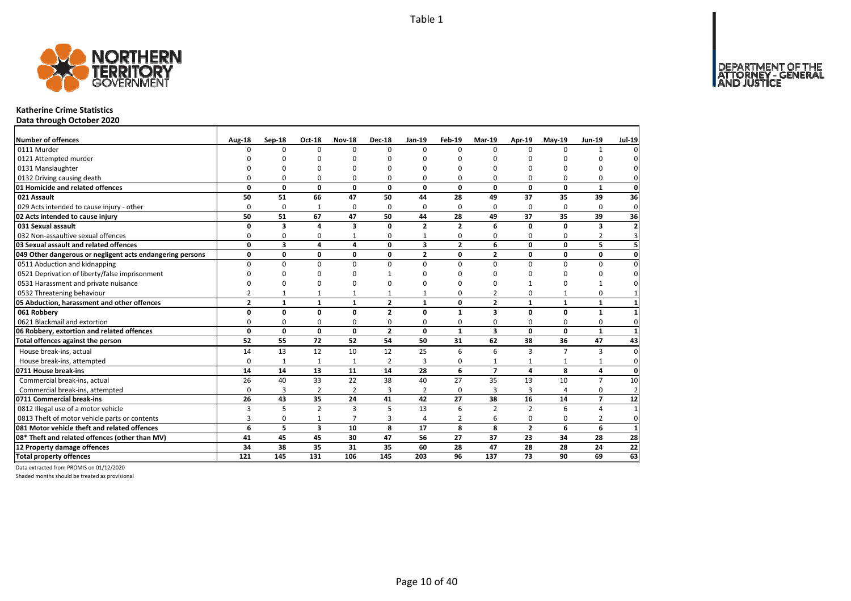

#### **Katherine Crime Statistics**

**Data through October 2020**

| Number of offences                                        | Aug-18         | Sep-18       | <b>Oct-18</b>           | <b>Nov-18</b>           | <b>Dec-18</b>  | Jan-19         | Feb-19         | Mar-19                  | Apr-19         | $May-19$       | <b>Jun-19</b>  | <b>Jul-19</b>            |
|-----------------------------------------------------------|----------------|--------------|-------------------------|-------------------------|----------------|----------------|----------------|-------------------------|----------------|----------------|----------------|--------------------------|
| 0111 Murder                                               | $\Omega$       | $\Omega$     | 0                       | $\Omega$                | $\Omega$       | $\Omega$       | $\Omega$       | $\Omega$                | $\Omega$       | $\Omega$       | 1              |                          |
| 0121 Attempted murder                                     |                | $\Omega$     | U                       | C                       |                | ŋ              | n              | n                       | n              |                | ŋ              |                          |
| 0131 Manslaughter                                         |                | $\Omega$     | O                       | $\Omega$                |                | $\Omega$       | O              | O                       | $\Omega$       |                | 0              |                          |
| 0132 Driving causing death                                | $\Omega$       | $\Omega$     | 0                       | $\Omega$                |                | 0              | 0              | O                       | $\Omega$       |                | $\Omega$       |                          |
| 01 Homicide and related offences                          | 0              | $\mathbf{0}$ | 0                       | $\mathbf 0$             | $\mathbf{0}$   | 0              | 0              | 0                       | $\mathbf{0}$   | 0              | 1              | $\mathbf 0$              |
| 021 Assault                                               | 50             | 51           | 66                      | 47                      | 50             | 44             | 28             | 49                      | 37             | 35             | 39             | 36                       |
| 029 Acts intended to cause injury - other                 | $\Omega$       | 0            | 1                       | $\Omega$                | $\Omega$       | $\Omega$       | 0              | $\Omega$                | $\Omega$       | $\Omega$       | $\Omega$       | $\mathbf{0}$             |
| 02 Acts intended to cause injury                          | 50             | 51           | 67                      | 47                      | 50             | 44             | 28             | 49                      | 37             | 35             | 39             | 36                       |
| 031 Sexual assault                                        | $\Omega$       | 3            | 4                       | $\overline{\mathbf{3}}$ | $\Omega$       | $\overline{2}$ | $\overline{2}$ | 6                       | $\Omega$       | O              | 3              | $\overline{\phantom{a}}$ |
| 032 Non-assaultive sexual offences                        | 0              | 0            | 0                       | 1                       | $\Omega$       | 1              | 0              | 0                       | 0              | $\Omega$       | $\overline{2}$ |                          |
| 03 Sexual assault and related offences                    | 0              | 3            | 4                       | 4                       | 0              | 3              | $\overline{2}$ | 6                       | $\mathbf{0}$   | 0              | 5              |                          |
| 049 Other dangerous or negligent acts endangering persons | 0              | 0            | 0                       | 0                       | $\mathbf{0}$   | $\overline{2}$ | 0              | $\overline{2}$          | $\mathbf 0$    | 0              | $\mathbf{0}$   | 0                        |
| 0511 Abduction and kidnapping                             | $\Omega$       | $\Omega$     | $\Omega$                | $\Omega$                | $\Omega$       | 0              | 0              | $\Omega$                | $\Omega$       | $\Omega$       | $\Omega$       |                          |
| 0521 Deprivation of liberty/false imprisonment            | n              | $\Omega$     | O                       | $\Omega$                |                | ŋ              | n              | ŋ                       | $\Omega$       |                | 0              |                          |
| 0531 Harassment and private nuisance                      | n              | $\Omega$     | O                       | $\Omega$                |                | ŋ              | n              | O                       | $\mathbf{1}$   |                |                |                          |
| 0532 Threatening behaviour                                | $\overline{2}$ | $\mathbf{1}$ | $\mathbf{1}$            | $\mathbf{1}$            |                |                | 0              | $\overline{2}$          | $\mathbf 0$    | 1              | 0              |                          |
| 05 Abduction, harassment and other offences               | $\overline{2}$ | $\mathbf{1}$ | $\mathbf{1}$            | $\mathbf{1}$            | $\overline{2}$ | $\mathbf{1}$   | 0              | $\overline{2}$          | $\mathbf{1}$   | $\mathbf{1}$   | $\mathbf{1}$   |                          |
| 061 Robbery                                               | 0              | 0            | 0                       | 0                       | $\overline{2}$ | $\Omega$       | $\mathbf{1}$   | 3                       | $\mathbf{0}$   | $\Omega$       | $\mathbf{1}$   |                          |
| 0621 Blackmail and extortion                              | 0              | 0            | 0                       | 0                       | 0              | 0              | 0              | 0                       | 0              | 0              | 0              | 0                        |
| 06 Robbery, extortion and related offences                | $\mathbf 0$    | $\mathbf{0}$ | $\mathbf{0}$            | $\mathbf 0$             | $\overline{2}$ | $\mathbf{0}$   | $\mathbf{1}$   | $\overline{\mathbf{3}}$ | $\mathbf 0$    | 0              | $\mathbf{1}$   | $\mathbf{1}$             |
| Total offences against the person                         | 52             | 55           | 72                      | 52                      | 54             | 50             | 31             | 62                      | 38             | 36             | 47             | 43                       |
| House break-ins, actual                                   | 14             | 13           | 12                      | 10                      | 12             | 25             | 6              | 6                       | $\overline{3}$ | $\overline{7}$ | 3              | $\Omega$                 |
| House break-ins, attempted                                | $\Omega$       | $\mathbf{1}$ | $\mathbf{1}$            | $\mathbf{1}$            | $\overline{2}$ | 3              | 0              | $\mathbf{1}$            | $\mathbf{1}$   |                | $\mathbf{1}$   | $\Omega$                 |
| 0711 House break-ins                                      | 14             | 14           | 13                      | 11                      | 14             | 28             | 6              | $\overline{7}$          | $\overline{a}$ | 8              | 4              | $\Omega$                 |
| Commercial break-ins, actual                              | 26             | 40           | 33                      | 22                      | 38             | 40             | 27             | 35                      | 13             | 10             | $\overline{7}$ | 10                       |
| Commercial break-ins, attempted                           | $\Omega$       | 3            | $\overline{2}$          | $\overline{2}$          | 3              | 2              | 0              | 3                       | 3              |                | 0              | $\overline{2}$           |
| 0711 Commercial break-ins                                 | 26             | 43           | 35                      | 24                      | 41             | 42             | 27             | 38                      | 16             | 14             | $\overline{7}$ | 12                       |
| 0812 Illegal use of a motor vehicle                       | 3              | 5            | $\overline{2}$          | $\overline{3}$          | 5              | 13             | 6              | $\overline{2}$          | $\overline{2}$ | 6              | 4              | $\overline{1}$           |
| 0813 Theft of motor vehicle parts or contents             | 3              | 0            | $\mathbf{1}$            | $\overline{7}$          | 3              | 4              | 2              | 6                       | 0              | 0              | 2              | 0                        |
| 081 Motor vehicle theft and related offences              | 6              | 5            | $\overline{\mathbf{3}}$ | 10                      | 8              | 17             | 8              | 8                       | $\overline{2}$ | 6              | 6              | $\mathbf{1}$             |
| 08* Theft and related offences (other than MV)            | 41             | 45           | 45                      | 30                      | 47             | 56             | 27             | 37                      | 23             | 34             | 28             | 28                       |
| 12 Property damage offences                               | 34             | 38           | 35                      | 31                      | 35             | 60             | 28             | 47                      | 28             | 28             | 24             | $\overline{22}$          |
| <b>Total property offences</b>                            | 121            | 145          | 131                     | 106                     | 145            | 203            | 96             | 137                     | 73             | 90             | 69             | 63                       |

Data extracted from PROMIS on 01/12/2020

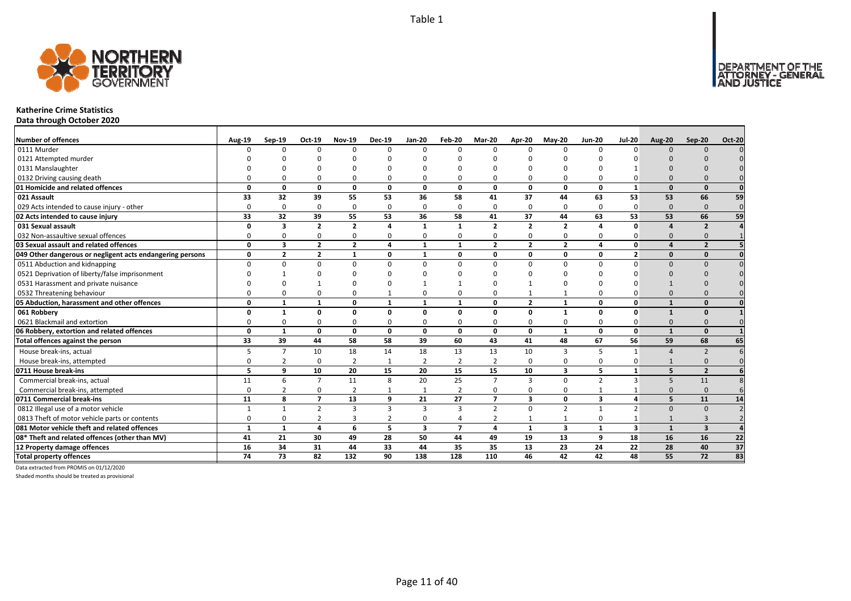

#### **Katherine Crime Statistics**

**Data through October 2020**

| <b>Number of offences</b>                                 | <b>Aug-19</b> | $Sep-19$                | Oct-19         | <b>Nov-19</b>    | <b>Dec-19</b>  | $Jan-20$                | Feb-20         | Mar-20         | Apr-20                  | <b>May-20</b>           | <b>Jun-20</b>           | <b>Jul-20</b>           | <b>Aug-20</b> | Sep-20                   | <b>Oct-20</b>   |
|-----------------------------------------------------------|---------------|-------------------------|----------------|------------------|----------------|-------------------------|----------------|----------------|-------------------------|-------------------------|-------------------------|-------------------------|---------------|--------------------------|-----------------|
| 0111 Murder                                               |               | <sup>n</sup>            | $\Omega$       | $\Omega$         | $\Omega$       | $\Omega$                | n              | $\Omega$       | $\Omega$                | 0                       | $\Omega$                | $\Omega$                | $\Omega$      | $\Omega$                 |                 |
| 0121 Attempted murder                                     |               |                         |                |                  |                |                         |                |                |                         |                         |                         |                         |               |                          |                 |
| 0131 Manslaughter                                         |               |                         |                |                  | ŋ              |                         |                |                |                         |                         |                         |                         |               |                          |                 |
| 0132 Driving causing death                                |               |                         | n              |                  | $\Omega$       |                         |                |                |                         | 0                       |                         |                         |               |                          |                 |
| 01 Homicide and related offences                          | n             | n                       | $\Omega$       | $\mathbf{0}$     | $\mathbf{0}$   | $\Omega$                | 0              | $\Omega$       | $\mathbf{0}$            | 0                       | $\Omega$                | $\mathbf{1}$            |               | $\Omega$                 | $\mathbf{0}$    |
| 021 Assault                                               | 33            | 32                      | 39             | 55               | 53             | 36                      | 58             | 41             | 37                      | 44                      | 63                      | 53                      | 53            | 66                       | 59              |
| 029 Acts intended to cause injury - other                 | $\Omega$      | 0                       | $\Omega$       | $\Omega$         | $\mathbf 0$    | $\Omega$                | 0              | $\Omega$       | $\Omega$                | 0                       | $\Omega$                | 0                       | $\Omega$      | $\Omega$                 | $\overline{0}$  |
| 02 Acts intended to cause injury                          | 33            | 32                      | 39             | 55               | 53             | 36                      | 58             | 41             | 37                      | 44                      | 63                      | 53                      | 53            | 66                       | 59              |
| 031 Sexual assault                                        | n             | $\mathbf{3}$            | $\overline{2}$ | $\overline{2}$   | 4              | $\mathbf{1}$            | $\mathbf{1}$   | $\overline{2}$ | $\overline{2}$          | $\overline{2}$          |                         | O                       |               | $\overline{\phantom{a}}$ |                 |
| 032 Non-assaultive sexual offences                        |               | n                       | $\Omega$       | $\mathbf 0$      | $\mathbf 0$    | $\Omega$                | 0              | $\Omega$       | $\Omega$                | 0                       | $\Omega$                | O                       | $\Omega$      |                          |                 |
| 03 Sexual assault and related offences                    | $\Omega$      | 3                       | $\overline{2}$ | $\overline{2}$   | 4              | 1                       | $\mathbf{1}$   | $\overline{2}$ | $\overline{2}$          | $\overline{2}$          | 4                       | $\Omega$                |               | $\overline{\phantom{a}}$ |                 |
| 049 Other dangerous or negligent acts endangering persons | 0             | $\overline{\mathbf{z}}$ | $\overline{2}$ | $\mathbf{1}$     | 0              | 1                       | 0              | $\Omega$       | $\mathbf{0}$            | 0                       | 0                       | $\overline{2}$          |               | $\Omega$                 |                 |
| 0511 Abduction and kidnapping                             | $\Omega$      |                         | $\Omega$       | $\Omega$         | $\Omega$       | $\Omega$                |                |                | $\Omega$                | $\Omega$                | $\Omega$                | $\Omega$                |               |                          |                 |
| 0521 Deprivation of liberty/false imprisonment            |               |                         |                |                  | ŋ              |                         |                |                |                         |                         |                         |                         |               |                          |                 |
| 0531 Harassment and private nuisance                      |               |                         |                |                  | ŋ              |                         |                |                |                         | ŋ                       |                         |                         |               |                          |                 |
| 0532 Threatening behaviour                                |               |                         | n              | $\Omega$         | 1              | 0                       |                |                |                         | $\mathbf{1}$            |                         |                         |               |                          |                 |
| 05 Abduction, harassment and other offences               | $\Omega$      |                         | $\mathbf{1}$   | 0                | $\mathbf{1}$   | $\mathbf{1}$            |                | $\Omega$       | $\overline{2}$          | $\mathbf{1}$            | $\Omega$                | $\Omega$                |               | $\Omega$                 |                 |
| 061 Robbery                                               | n             |                         | $\Omega$       | $\Omega$         | 0              | $\Omega$                | 0              | $\Omega$       | $\Omega$                | $\mathbf{1}$            | $\Omega$                | $\Omega$                | $\mathbf{1}$  |                          |                 |
| 0621 Blackmail and extortion                              |               |                         | n              | $\Omega$         | 0              | $\Omega$                |                |                | $\Omega$                | 0                       | $\Omega$                |                         |               |                          |                 |
| 06 Robbery, extortion and related offences                | $\Omega$      | $\mathbf{1}$            | 0              | $\mathbf 0$      | 0              | $\mathbf{0}$            | 0              | $\Omega$       | $\mathbf 0$             | $\mathbf{1}$            | $\mathbf{0}$            | $\mathbf{0}$            | $\mathbf{1}$  | $\Omega$                 |                 |
| Total offences against the person                         | 33            | 39                      | 44             | 58               | 58             | 39                      | 60             | 43             | 41                      | 48                      | 67                      | 56                      | 59            | 68                       | 65              |
| House break-ins, actual                                   |               | $\overline{7}$          | 10             | 18               | 14             | 18                      | 13             | 13             | 10                      | 3                       |                         | $\mathbf 1$             |               |                          |                 |
| House break-ins, attempted                                |               | 2                       | $\Omega$       | $\overline{2}$   | $\mathbf{1}$   | $\mathfrak{p}$          | $\overline{2}$ | $\overline{2}$ | $\Omega$                | $\Omega$                | $\Omega$                | O                       |               |                          |                 |
| 0711 House break-ins                                      | 5             | 9                       | 10             | 20               | 15             | 20                      | 15             | 15             | 10                      | 3                       | 5                       | $\mathbf{1}$            |               | $\overline{2}$           |                 |
| Commercial break-ins, actual                              | 11            | 6                       | $\overline{7}$ | 11               | 8              | 20                      | 25             | $\overline{7}$ | $\overline{3}$          | 0                       | $\overline{2}$          | $\overline{3}$          | 5             | 11                       |                 |
| Commercial break-ins, attempted                           | $\Omega$      |                         | $\Omega$       | $\overline{2}$   | 1              |                         | 2              | $\Omega$       | $\Omega$                | 0                       |                         |                         |               | $\Omega$                 |                 |
| 0711 Commercial break-ins                                 | 11            | 8                       | $\overline{7}$ | 13               | 9              | 21                      | 27             | $\overline{7}$ | $\overline{\mathbf{3}}$ | 0                       | $\overline{\mathbf{3}}$ | $\overline{4}$          | 5             | 11                       | 14              |
| 0812 Illegal use of a motor vehicle                       | $\mathbf{1}$  | $\mathbf{1}$            | $\overline{2}$ | $\overline{3}$   | 3              | 3                       | $\overline{3}$ | $\overline{2}$ | $\Omega$                | $\overline{2}$          | $\mathbf{1}$            | $\mathfrak{p}$          | $\Omega$      | $\Omega$                 |                 |
| 0813 Theft of motor vehicle parts or contents             | 0             |                         | $\overline{2}$ | $\overline{3}$   | $\overline{2}$ | $\Omega$                | 4              | $\overline{2}$ | -1                      | 1                       | $\Omega$                |                         |               | 3                        |                 |
| 081 Motor vehicle theft and related offences              | $\mathbf{1}$  | $\mathbf{1}$            | 4              | 6                | 5              | $\overline{\mathbf{3}}$ | $\overline{7}$ | 4              | $\mathbf{1}$            | $\overline{\mathbf{3}}$ | $\mathbf{1}$            | $\overline{\mathbf{3}}$ | $\mathbf{1}$  | $\overline{\mathbf{3}}$  |                 |
| 08* Theft and related offences (other than MV)            | 41            | 21                      | 30             | 49               | 28             | 50                      | 44             | 49             | 19                      | 13                      | 9                       | 18                      | 16            | 16                       | 22              |
| 12 Property damage offences                               | 16            | 34                      | 31             | 44               | 33             | 44                      | 35             | 35             | 13                      | 23                      | 24                      | 22                      | 28            | 40                       | 37              |
| <b>Total property offences</b>                            | 74            | 73                      | 82             | $\overline{132}$ | 90             | 138                     | 128            | 110            | 46                      | 42                      | 42                      | 48                      | 55            | 72                       | $\overline{83}$ |

Data extracted from PROMIS on 01/12/2020

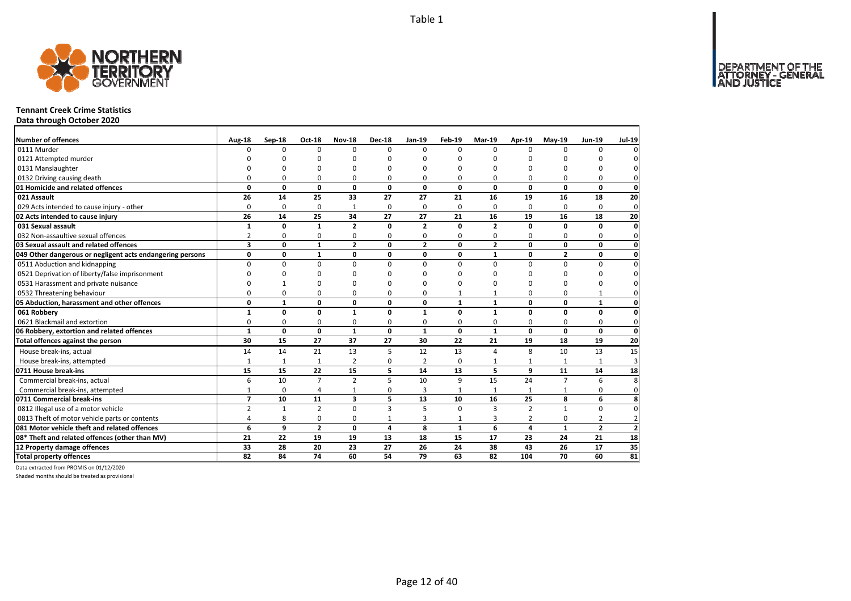DEPARTMENT OF THE<br>ATTORNEY - GENERAL



#### **Tennant Creek Crime Statistics**

**Data through October 2020**

| Number of offences                                        | Aug-18         | Sep-18       | <b>Oct-18</b>  | <b>Nov-18</b>           | <b>Dec-18</b>  | $Jan-19$       | Feb-19       | Mar-19         | Apr-19         | $May-19$        | <b>Jun-19</b>  | <b>Jul-19</b>   |
|-----------------------------------------------------------|----------------|--------------|----------------|-------------------------|----------------|----------------|--------------|----------------|----------------|-----------------|----------------|-----------------|
| 0111 Murder                                               | $\Omega$       | 0            | $\Omega$       | $\Omega$                | $\Omega$       | $\Omega$       | $\Omega$     | <sup>0</sup>   | $\Omega$       | $\Omega$        | 0              | $\Omega$        |
| 0121 Attempted murder                                     |                | ŋ            | n              | C                       |                |                | $\Omega$     | n              | C              |                 |                | $\Omega$        |
| 0131 Manslaughter                                         |                | $\Omega$     | O              | n                       |                |                | 0            | O              | $\Omega$       |                 | O              | $\mathbf{0}$    |
| 0132 Driving causing death                                | $\Omega$       | $\Omega$     | 0              | $\Omega$                | $\Omega$       | $\Omega$       | $\Omega$     | O              | $\Omega$       | $\Omega$        | 0              | $\mathbf{0}$    |
| 01 Homicide and related offences                          | 0              | 0            | 0              | 0                       | 0              | 0              | 0            | 0              | 0              | 0               | $\mathbf 0$    | $\mathbf{0}$    |
| 021 Assault                                               | 26             | 14           | 25             | 33                      | 27             | 27             | 21           | 16             | 19             | 16              | 18             | 20              |
| 029 Acts intended to cause injury - other                 | $\Omega$       | 0            | $\mathbf 0$    | 1                       | $\Omega$       | $\Omega$       | 0            | $\Omega$       | $\Omega$       | $\Omega$        | 0              | $\mathbf 0$     |
| 02 Acts intended to cause injury                          | 26             | 14           | 25             | 34                      | 27             | 27             | 21           | 16             | 19             | 16              | 18             | 20              |
| 031 Sexual assault                                        | 1              | 0            | $\mathbf{1}$   | $\overline{2}$          | $\Omega$       | $\overline{2}$ | $\Omega$     | $\overline{2}$ | $\mathbf 0$    | $\Omega$        | 0              | $\mathbf{0}$    |
| 032 Non-assaultive sexual offences                        | $\overline{2}$ | 0            | 0              | $\Omega$                | 0              | $\Omega$       | 0            | 0              | $\Omega$       | 0               | 0              | $\mathbf 0$     |
| 03 Sexual assault and related offences                    | 3              | 0            | $\mathbf{1}$   | $\overline{2}$          | 0              | $\overline{2}$ | 0            | $\overline{2}$ | 0              | 0               | 0              | $\mathbf{0}$    |
| 049 Other dangerous or negligent acts endangering persons | 0              | 0            | $\mathbf{1}$   | 0                       | 0              | 0              | 0            | $\mathbf{1}$   | 0              | $\overline{2}$  | 0              | $\mathbf{0}$    |
| 0511 Abduction and kidnapping                             | $\Omega$       | $\Omega$     | $\Omega$       | $\Omega$                | $\Omega$       | $\Omega$       | $\Omega$     | $\Omega$       | $\Omega$       | $\Omega$        | 0              | $\mathbf 0$     |
| 0521 Deprivation of liberty/false imprisonment            | ∩              | ŋ            | 0              | n                       |                | ∩              | ŋ            | 0              | $\Omega$       | O               | ŋ              | $\mathbf{0}$    |
| 0531 Harassment and private nuisance                      |                |              | 0              | n                       |                |                | $\Omega$     | O              | $\Omega$       | $\Omega$        | O              | $\mathbf{0}$    |
| 0532 Threatening behaviour                                | $\Omega$       | 0            | 0              | $\mathbf 0$             | $\Omega$       | $\Omega$       | $\mathbf{1}$ | $\mathbf{1}$   | 0              | 0               | $\mathbf{1}$   | $\mathbf{0}$    |
| 05 Abduction, harassment and other offences               | 0              | $\mathbf{1}$ | 0              | $\mathbf 0$             | $\mathbf{0}$   | $\mathbf{0}$   | $\mathbf{1}$ | $\mathbf{1}$   | 0              | 0               | 1              | $\mathbf{0}$    |
| 061 Robbery                                               | $\mathbf{1}$   | 0            | 0              | $\mathbf{1}$            | 0              | $\mathbf{1}$   | 0            | $\mathbf{1}$   | 0              | 0               | 0              | $\mathbf{0}$    |
| 0621 Blackmail and extortion                              | 0              | 0            | 0              | 0                       | 0              | 0              | 0            | 0              | $\mathbf 0$    | 0               | 0              | $\mathbf{0}$    |
| 06 Robbery, extortion and related offences                | $\mathbf{1}$   | 0            | $\mathbf 0$    | $\mathbf{1}$            | 0              | $\mathbf{1}$   | $\mathbf{0}$ | $\mathbf{1}$   | 0              | 0               | $\mathbf 0$    | $\mathbf{0}$    |
| Total offences against the person                         | 30             | 15           | 27             | 37                      | 27             | 30             | 22           | 21             | 19             | 18              | 19             | 20              |
| House break-ins, actual                                   | 14             | 14           | 21             | 13                      | 5              | 12             | 13           | 4              | 8              | 10              | 13             | 15              |
| House break-ins, attempted                                | $\mathbf{1}$   | $\mathbf{1}$ | $\mathbf{1}$   | $\overline{2}$          | 0              | $\overline{2}$ | 0            |                |                |                 |                | $\overline{3}$  |
| 0711 House break-ins                                      | 15             | 15           | 22             | 15                      | 5              | 14             | 13           | 5              | 9              | 11              | 14             | 18              |
| Commercial break-ins, actual                              | 6              | 10           | $\overline{7}$ | $\overline{2}$          | 5              | 10             | 9            | 15             | 24             | $\overline{7}$  | 6              | 8               |
| Commercial break-ins, attempted                           | $\mathbf{1}$   | 0            | 4              | 1                       | 0              | 3              | 1            | 1              | 1              | 1               | 0              | $\mathbf{0}$    |
| 0711 Commercial break-ins                                 | $\overline{7}$ | 10           | 11             | $\overline{\mathbf{3}}$ | 5              | 13             | 10           | 16             | 25             | 8               | 6              | 8               |
| 0812 Illegal use of a motor vehicle                       | $\overline{2}$ | $\mathbf{1}$ | $\overline{2}$ | $\Omega$                | $\mathbf{3}$   | 5              | $\Omega$     | 3              | $\overline{2}$ | $\mathbf{1}$    | 0              | $\overline{0}$  |
| 0813 Theft of motor vehicle parts or contents             | 4              | 8            | 0              | 0                       | $\mathbf{1}$   | 3              | $\mathbf{1}$ | 3              | $\overline{2}$ | 0               | $\overline{2}$ | $\overline{2}$  |
| 081 Motor vehicle theft and related offences              | 6              | 9            | $\overline{2}$ | 0                       | $\overline{a}$ | 8              | $\mathbf{1}$ | 6              | $\overline{a}$ | $\mathbf{1}$    | $\overline{2}$ | $\mathbf{2}$    |
| 08* Theft and related offences (other than MV)            | 21             | 22           | 19             | 19                      | 13             | 18             | 15           | 17             | 23             | 24              | 21             | 18              |
| 12 Property damage offences                               | 33             | 28           | 20             | 23                      | 27             | 26             | 24           | 38             | 43             | 26              | 17             | 35              |
| <b>Total property offences</b>                            | 82             | 84           | 74             | 60                      | 54             | 79             | 63           | 82             | 104            | $\overline{70}$ | 60             | $\overline{81}$ |

Data extracted from PROMIS on 01/12/2020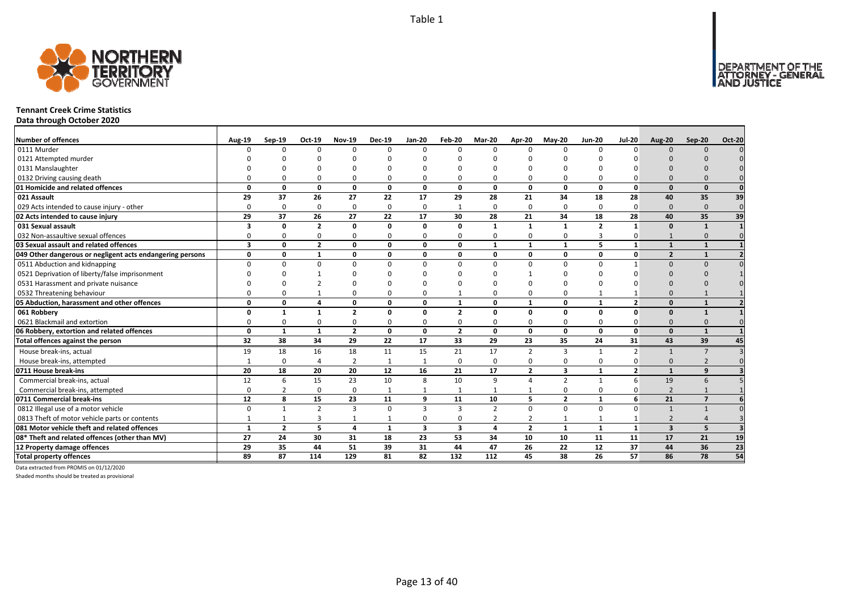

#### **Tennant Creek Crime Statistics**

**Data through October 2020**

| <b>Number of offences</b>                                 | <b>Aug-19</b>           | $Sep-19$       | Oct-19         | <b>Nov-19</b>  | <b>Dec-19</b> | $Jan-20$                | Feb-20         | Mar-20         | Apr-20         | <b>May-20</b>  | <b>Jun-20</b>  | <b>Jul-20</b>            | <b>Aug-20</b>            | Sep-20                  | <b>Oct-20</b> |
|-----------------------------------------------------------|-------------------------|----------------|----------------|----------------|---------------|-------------------------|----------------|----------------|----------------|----------------|----------------|--------------------------|--------------------------|-------------------------|---------------|
| 0111 Murder                                               | n                       | $\Omega$       | $\Omega$       | $\Omega$       | $\Omega$      | $\Omega$                | 0              | $\Omega$       | $\Omega$       | $\Omega$       | n              | n                        | $\Omega$                 | $\Omega$                |               |
| 0121 Attempted murder                                     |                         |                |                |                |               |                         |                |                |                |                |                |                          |                          |                         |               |
| 0131 Manslaughter                                         |                         |                |                |                |               |                         |                |                |                |                |                |                          |                          |                         |               |
| 0132 Driving causing death                                |                         |                |                |                | $\Omega$      | O                       |                |                | 0              | $\Omega$       |                |                          |                          |                         |               |
| 01 Homicide and related offences                          | n                       | $\Omega$       | $\Omega$       | $\Omega$       | $\mathbf{0}$  | $\mathbf{0}$            | 0              | $\Omega$       | $\Omega$       | $\mathbf{0}$   | $\Omega$       | <sup>0</sup>             | $\Omega$                 | $\Omega$                |               |
| 021 Assault                                               | 29                      | 37             | 26             | 27             | 22            | 17                      | 29             | 28             | 21             | 34             | 18             | 28                       | 40                       | 35                      | 39            |
| 029 Acts intended to cause injury - other                 | $\Omega$                | $\Omega$       | $\Omega$       | $\Omega$       | $\mathbf 0$   | $\Omega$                | -1             | $\Omega$       | $\Omega$       | $\mathbf 0$    | $\Omega$       | $\Omega$                 | $\Omega$                 | $\Omega$                | $\Omega$      |
| 02 Acts intended to cause injury                          | 29                      | 37             | 26             | 27             | 22            | 17                      | 30             | 28             | 21             | 34             | 18             | 28                       | 40                       | 35                      | 39            |
| 031 Sexual assault                                        | 3                       | 0              | $\overline{2}$ | $\mathbf{0}$   | 0             | $\Omega$                | 0              | $\mathbf{1}$   | $\mathbf{1}$   | $\mathbf{1}$   | $\overline{2}$ | $\mathbf{1}$             | $\Omega$                 | $\overline{\mathbf{1}}$ |               |
| 032 Non-assaultive sexual offences                        | $\Omega$                | O              | $\Omega$       | $\Omega$       | $\mathbf 0$   | $\Omega$                | $\Omega$       | $\Omega$       | $\Omega$       | 0              | 3              | O                        |                          | $\Omega$                | $\Omega$      |
| 03 Sexual assault and related offences                    | $\overline{\mathbf{3}}$ | 0              | $\overline{2}$ | 0              | 0             | 0                       | 0              | $\mathbf{1}$   | $\mathbf{1}$   | $\mathbf{1}$   | 5              | $\mathbf{1}$             | $\mathbf{1}$             | $\mathbf{1}$            |               |
| 049 Other dangerous or negligent acts endangering persons | 0                       | 0              | $\mathbf{1}$   | $\mathbf{0}$   | 0             | 0                       | 0              | 0              | 0              | 0              | 0              | $\mathbf{0}$             | $\overline{\phantom{a}}$ |                         |               |
| 0511 Abduction and kidnapping                             | $\Omega$                | $\Omega$       | $\Omega$       | $\Omega$       | 0             | $\Omega$                | O              |                | $\Omega$       | $\Omega$       | $\Omega$       |                          | $\Omega$                 | $\Omega$                |               |
| 0521 Deprivation of liberty/false imprisonment            |                         |                |                |                |               |                         |                |                |                | ŋ              |                |                          |                          |                         |               |
| 0531 Harassment and private nuisance                      |                         |                |                |                |               |                         |                |                |                | n              |                |                          |                          |                         |               |
| 0532 Threatening behaviour                                |                         |                |                | 0              | $\Omega$      |                         |                |                | $\Omega$       | 0              |                |                          |                          |                         |               |
| 05 Abduction, harassment and other offences               | 0                       | $\Omega$       | 4              | 0              | 0             | 0                       | $\mathbf{1}$   | $\Omega$       | $\mathbf{1}$   | 0              | $\mathbf{1}$   | $\overline{\mathbf{z}}$  | $\Omega$                 |                         |               |
| 061 Robbery                                               |                         |                |                | $\overline{2}$ | 0             | $\Omega$                | $\overline{2}$ | $\Omega$       | $\Omega$       | 0              | $\Omega$       | <sup>0</sup>             | $\Omega$                 |                         |               |
| 0621 Blackmail and extortion                              |                         | O              |                | 0              | 0             | 0                       |                | <sup>0</sup>   | 0              | 0              | $\Omega$       |                          |                          |                         |               |
| 06 Robbery, extortion and related offences                | 0                       | $\mathbf{1}$   | 1              | $\overline{2}$ | 0             | $\mathbf{0}$            | $\overline{2}$ | $\Omega$       | $\mathbf 0$    | 0              | 0              | $\Omega$                 | $\Omega$                 |                         |               |
| Total offences against the person                         | 32                      | 38             | 34             | 29             | 22            | 17                      | 33             | 29             | 23             | 35             | 24             | 31                       | 43                       | 39                      | 45            |
| House break-ins, actual                                   | 19                      | 18             | 16             | 18             | 11            | 15                      | 21             | 17             | $\overline{2}$ | 3              |                | $\overline{\phantom{a}}$ |                          | -7                      |               |
| House break-ins, attempted                                |                         | $\Omega$       | $\overline{4}$ | $\overline{2}$ | $\mathbf{1}$  |                         | 0              | $\Omega$       | $\mathbf 0$    | 0              | $\Omega$       |                          | $\Omega$                 |                         |               |
| 0711 House break-ins                                      | 20                      | 18             | 20             | 20             | 12            | 16                      | 21             | 17             | $\overline{2}$ | 3              |                | $\overline{2}$           |                          | q                       |               |
| Commercial break-ins, actual                              | 12                      | 6              | 15             | 23             | 10            | 8                       | 10             | q              | $\Lambda$      | $\overline{2}$ |                | 6                        | 19                       | $\sqrt{2}$              |               |
| Commercial break-ins, attempted                           | $\Omega$                |                | $\Omega$       | 0              | 1             | $\mathbf{1}$            |                |                |                | 0              | 0              |                          | $\overline{2}$           |                         |               |
| 0711 Commercial break-ins                                 | 12                      | 8              | 15             | 23             | 11            | 9                       | 11             | 10             | 5              | $\overline{2}$ | $\mathbf{1}$   | 6                        | 21                       | $\overline{7}$          |               |
| 0812 Illegal use of a motor vehicle                       | $\Omega$                | $\mathbf{1}$   | $\mathcal{P}$  | $\mathbf{3}$   | $\mathbf 0$   | 3                       | $\overline{3}$ | $\overline{2}$ | $\Omega$       | $\mathbf 0$    | $\mathbf 0$    | 0                        |                          |                         |               |
| 0813 Theft of motor vehicle parts or contents             |                         |                | 3              |                | 1             | $\Omega$                | 0              | 2              | $\overline{2}$ | 1              |                |                          | $\overline{2}$           |                         |               |
| 081 Motor vehicle theft and related offences              | $\mathbf{1}$            | $\overline{2}$ | 5              | $\overline{a}$ | $\mathbf{1}$  | $\overline{\mathbf{3}}$ | 3              | 4              | $\overline{2}$ | $\mathbf{1}$   | $\mathbf{1}$   | $\mathbf{1}$             | $\overline{\mathbf{3}}$  | 5                       |               |
| 08* Theft and related offences (other than MV)            | 27                      | 24             | 30             | 31             | 18            | 23                      | 53             | 34             | 10             | 10             | 11             | 11                       | 17                       | 21                      | 19            |
| 12 Property damage offences                               | 29                      | 35             | 44             | 51             | 39            | 31                      | 44             | 47             | 26             | 22             | 12             | 37                       | 44                       | 36                      | 23            |
| <b>Total property offences</b>                            | 89                      | 87             | 114            | 129            | 81            | 82                      | 132            | 112            | 45             | 38             | 26             | 57                       | 86                       | 78                      | 54            |

Data extracted from PROMIS on 01/12/2020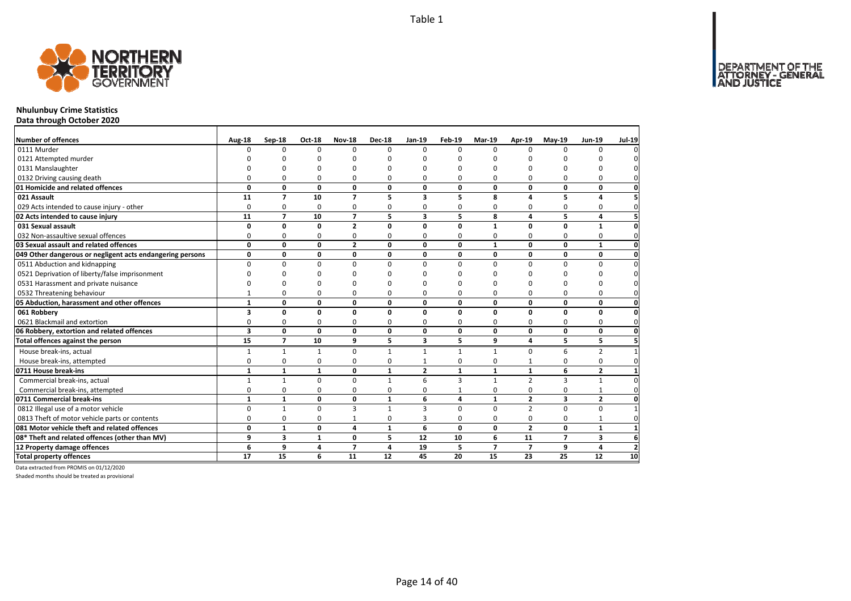

## **Nhulunbuy Crime Statistics**

**Data through October 2020**

| <b>Number of offences</b>                                 | Aug-18       | Sep-18         | Oct-18       | <b>Nov-18</b>           | <b>Dec-18</b> | Jan-19                  | <b>Feb-19</b> | Mar-19         | Apr-19         | $May-19$       | <b>Jun-19</b>  | <b>Jul-19</b>       |
|-----------------------------------------------------------|--------------|----------------|--------------|-------------------------|---------------|-------------------------|---------------|----------------|----------------|----------------|----------------|---------------------|
| 0111 Murder                                               | n            | $\Omega$       | $\Omega$     | $\Omega$                | $\Omega$      | $\Omega$                | 0             | $\Omega$       | $\Omega$       | 0              | $\Omega$       | 0                   |
| 0121 Attempted murder                                     |              |                |              |                         |               |                         |               | O              |                |                |                | 0                   |
| 0131 Manslaughter                                         |              |                | n            |                         |               |                         | O             | $\Omega$       | O              |                |                | $\mathbf 0$         |
| 0132 Driving causing death                                |              | 0              | 0            | 0                       | 0             | $\Omega$                | 0             | 0              | 0              | 0              | 0              | $\mathbf{0}$        |
| 01 Homicide and related offences                          | 0            | 0              | $\mathbf 0$  | 0                       | 0             | 0                       | 0             | 0              | 0              | 0              | 0              | $\mathbf 0$         |
| 021 Assault                                               | 11           | $\overline{7}$ | 10           | $\overline{7}$          | 5             | 3                       | 5             | 8              | 4              | 5              | 4              | 5                   |
| 029 Acts intended to cause injury - other                 | 0            | 0              | 0            | 0                       | 0             | $\Omega$                | 0             | 0              | 0              | 0              | $\mathbf 0$    | $\mathbf 0$         |
| 02 Acts intended to cause injury                          | 11           | $\overline{7}$ | 10           | $\overline{7}$          | 5             | $\overline{\mathbf{3}}$ | 5             | 8              | 4              | 5              | 4              | 5 <sup>1</sup>      |
| 031 Sexual assault                                        | 0            | 0              | 0            | $\overline{2}$          | $\Omega$      | $\mathbf{0}$            | 0             | $\mathbf{1}$   | 0              | 0              | $\mathbf{1}$   | 0                   |
| 032 Non-assaultive sexual offences                        | $\Omega$     | $\Omega$       | $\Omega$     | 0                       | 0             | $\Omega$                | 0             | $\Omega$       | $\Omega$       | 0              | $\Omega$       | $\mathbf 0$         |
| 03 Sexual assault and related offences                    | 0            | 0              | 0            | $\overline{2}$          | 0             | 0                       | 0             | $\mathbf{1}$   | 0              | 0              | $\mathbf{1}$   | $\mathbf{0}$        |
| 049 Other dangerous or negligent acts endangering persons | 0            | 0              | 0            | 0                       | 0             | 0                       | 0             | 0              | 0              | 0              | 0              | $\mathbf 0$         |
| 0511 Abduction and kidnapping                             | $\Omega$     | $\Omega$       | $\Omega$     | $\Omega$                | $\Omega$      | $\Omega$                | $\Omega$      | $\Omega$       | $\Omega$       | $\Omega$       | $\Omega$       | $\pmb{0}$           |
| 0521 Deprivation of liberty/false imprisonment            |              | ŋ              |              |                         |               |                         | ŋ             | ŋ              |                | n              | ŋ              | $\mathsf{O}\xspace$ |
| 0531 Harassment and private nuisance                      |              | ŋ              | n            |                         |               |                         |               | ŋ              |                | n              | ŋ              | 0                   |
| 0532 Threatening behaviour                                |              | 0              | O            | O                       | ŋ             | 0                       | 0             | $\Omega$       | 0              | 0              | $\mathbf 0$    | $\mathbf{0}$        |
| 05 Abduction, harassment and other offences               | $\mathbf{1}$ | 0              | 0            | 0                       | 0             | 0                       | 0             | 0              | 0              | 0              | 0              | $\mathbf{0}$        |
| 061 Robbery                                               | 3            | 0              | 0            | $\Omega$                | 0             | $\Omega$                | 0             | 0              | $\Omega$       | 0              | 0              | $\mathbf 0$         |
| 0621 Blackmail and extortion                              | 0            | 0              | 0            | 0                       | $\Omega$      | $\Omega$                | 0             | $\Omega$       | 0              | 0              | 0              | $\mathbf{0}$        |
| 06 Robbery, extortion and related offences                | 3            | 0              | 0            | 0                       | 0             | 0                       | 0             | 0              | 0              | 0              | 0              | $\mathbf 0$         |
| Total offences against the person                         | 15           | $\overline{7}$ | 10           | 9                       | 5.            | 3                       | 5             | 9              | 4              | 5.             | 5              | 5                   |
| House break-ins, actual                                   | 1            | $\mathbf{1}$   | $\mathbf{1}$ | 0                       | 1             | $\mathbf{1}$            | 1             | $\mathbf{1}$   | 0              | 6              | 2              | $\mathbf{1}$        |
| House break-ins, attempted                                | 0            | $\mathbf 0$    | 0            | $\Omega$                | 0             | 1                       | 0             | $\Omega$       |                | 0              | $\mathbf 0$    | $\mathbf 0$         |
| 0711 House break-ins                                      | $\mathbf{1}$ | $\mathbf{1}$   | 1            | 0                       | 1             | $\mathbf{2}$            | $\mathbf{1}$  | $\mathbf{1}$   | $\mathbf{1}$   | 6              | $\mathbf{2}$   | $\mathbf{1}$        |
| Commercial break-ins, actual                              | 1            | $\mathbf{1}$   | $\mathbf 0$  | $\Omega$                | $\mathbf{1}$  | 6                       | 3             | $\mathbf{1}$   | $\overline{2}$ | $\overline{3}$ | $\mathbf{1}$   | $\mathbf 0$         |
| Commercial break-ins, attempted                           | 0            | 0              | 0            | $\Omega$                | $\Omega$      | $\Omega$                |               | $\Omega$       | 0              | 0              | $\mathbf{1}$   | $\mathbf 0$         |
| 0711 Commercial break-ins                                 | $\mathbf{1}$ | $\mathbf{1}$   | 0            | 0                       | $\mathbf{1}$  | 6                       | 4             | $\mathbf{1}$   | $\overline{2}$ | 3              | $\overline{2}$ | $\mathbf 0$         |
| 0812 Illegal use of a motor vehicle                       | $\Omega$     | $\mathbf{1}$   | $\mathbf 0$  | 3                       | 1             | $\overline{3}$          | $\Omega$      | $\Omega$       | $\overline{2}$ | $\Omega$       | $\mathbf 0$    | $\mathbf{1}$        |
| 0813 Theft of motor vehicle parts or contents             | 0            | $\mathbf 0$    | 0            | $\mathbf{1}$            | 0             | 3                       | 0             | 0              | 0              | 0              | $\mathbf{1}$   | $\mathbf{0}$        |
| 081 Motor vehicle theft and related offences              | 0            | $\mathbf{1}$   | 0            | 4                       | $\mathbf{1}$  | 6                       | 0             | 0              | $\overline{2}$ | 0              | $\mathbf{1}$   | $1\overline{ }$     |
| 08* Theft and related offences (other than MV)            | 9            | 3              | $\mathbf{1}$ | 0                       | 5             | 12                      | 10            | 6              | 11             | $\overline{7}$ | 3              | 6                   |
| 12 Property damage offences                               | 6            | 9              | 4            | $\overline{\mathbf{z}}$ | 4             | 19                      | 5             | $\overline{7}$ | $\overline{7}$ | 9              | 4              | $\overline{2}$      |
| <b>Total property offences</b>                            | 17           | 15             | 6            | 11                      | 12            | 45                      | 20            | 15             | 23             | 25             | 12             | 10                  |

Data extracted from PROMIS on 01/12/2020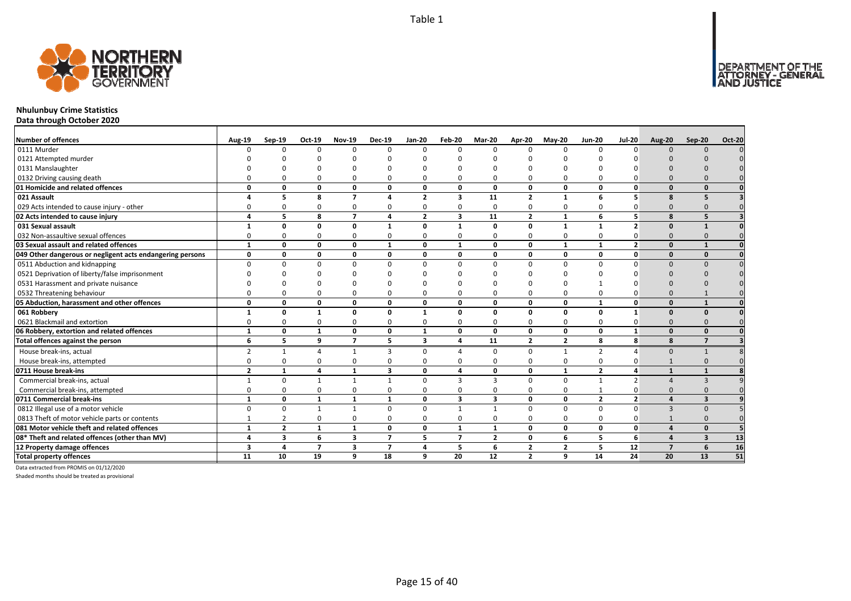

## **Nhulunbuy Crime Statistics**

**Data through October 2020**

| <b>Number of offences</b>                                 | <b>Aug-19</b>            | Sep-19         | Oct-19         | <b>Nov-19</b>  | <b>Dec-19</b>  | Jan-20         | Feb-20                  | Mar-20                  | Apr-20         | $May-20$       | <b>Jun-20</b>  | <b>Jul-20</b>  | <b>Aug-20</b>           | Sep-20       | <b>Oct-20</b> |
|-----------------------------------------------------------|--------------------------|----------------|----------------|----------------|----------------|----------------|-------------------------|-------------------------|----------------|----------------|----------------|----------------|-------------------------|--------------|---------------|
| 0111 Murder                                               |                          | <sup>n</sup>   | $\Omega$       | $\Omega$       | $\Omega$       | <sup>n</sup>   | U                       | $\Omega$                | $\Omega$       | $\Omega$       |                | n              | $\Omega$                | $\Omega$     |               |
| 0121 Attempted murder                                     |                          |                |                |                |                |                |                         |                         |                |                |                |                |                         |              |               |
| 0131 Manslaughter                                         |                          |                |                |                |                |                |                         |                         |                |                |                |                |                         |              |               |
| 0132 Driving causing death                                |                          |                | $\Omega$       | $\Omega$       | 0              |                |                         | $\Omega$                | $\Omega$       | 0              |                |                |                         |              |               |
| 01 Homicide and related offences                          |                          | O              | 0              | $\mathbf{0}$   | 0              | $\Omega$       | U                       | $\Omega$                | $\mathbf{0}$   | 0              | $\Omega$       | n              |                         |              |               |
| 021 Assault                                               |                          | 5              | 8              | $\overline{7}$ | 4              | $\overline{2}$ | 3                       | 11                      | $\overline{2}$ | $\mathbf{1}$   | 6              |                | $\mathbf{R}$            |              |               |
| 029 Acts intended to cause injury - other                 |                          |                | $\Omega$       | 0              | 0              | 0              |                         | $\Omega$                | 0              | 0              |                |                | n                       |              |               |
| 02 Acts intended to cause injury                          |                          | 5              | 8              | $\overline{7}$ | 4              | $\overline{2}$ | $\overline{\mathbf{3}}$ | 11                      | $\overline{2}$ | $\mathbf{1}$   | 6              | 5              | $\mathbf{R}$            | 5            |               |
| 031 Sexual assault                                        |                          | O              | $\Omega$       | $\mathbf 0$    | $\mathbf{1}$   | $\Omega$       |                         | $\Omega$                | $\mathbf 0$    | $\mathbf{1}$   | $\mathbf{1}$   |                | $\Omega$                |              |               |
| 032 Non-assaultive sexual offences                        |                          |                | $\Omega$       | $\Omega$       | 0              | 0              | O                       | $\Omega$                | 0              | 0              | O              |                | $\Omega$                |              |               |
| 03 Sexual assault and related offences                    | $\mathbf{1}$             | n              | 0              | $\mathbf{0}$   | $\mathbf{1}$   | $\Omega$       | $\mathbf{1}$            | 0                       | $\mathbf{0}$   | $\mathbf{1}$   | $\mathbf{1}$   | $\overline{2}$ | $\Omega$                |              |               |
| 049 Other dangerous or negligent acts endangering persons | O                        | n              | 0              | $\mathbf{0}$   | 0              | $\Omega$       | O                       | 0                       | $\mathbf 0$    | 0              | 0              | ŋ              | $\Omega$                | $\Omega$     |               |
| 0511 Abduction and kidnapping                             |                          | n              | $\Omega$       | $\Omega$       | $\Omega$       | n              | U                       | $\Omega$                | $\Omega$       | $\Omega$       |                |                |                         |              |               |
| 0521 Deprivation of liberty/false imprisonment            |                          |                |                |                |                |                |                         |                         |                |                |                |                |                         |              |               |
| 0531 Harassment and private nuisance                      |                          |                |                |                |                |                |                         |                         |                |                |                |                |                         |              |               |
| 0532 Threatening behaviour                                |                          |                | $\Omega$       | $\Omega$       | $\Omega$       |                |                         | $\Omega$                | $\Omega$       | $\Omega$       |                |                |                         |              |               |
| 05 Abduction, harassment and other offences               | n                        | n              | $\Omega$       | $\mathbf 0$    | 0              | $\mathbf{0}$   | O                       | $\Omega$                | $\mathbf 0$    | 0              | 1              | ŋ              | $\Omega$                |              |               |
| 061 Robbery                                               |                          | n              |                | $\mathbf 0$    | 0              |                | U                       | $\Omega$                | $\mathbf 0$    | 0              | $\Omega$       |                | $\Omega$                | $\Omega$     |               |
| 0621 Blackmail and extortion                              |                          |                | $\Omega$       | $\Omega$       | 0              |                |                         | $\Omega$                | $\Omega$       | 0              |                |                | $\Omega$                |              |               |
| 06 Robbery, extortion and related offences                | $\mathbf{1}$             | $\Omega$       | 1              | $\mathbf{0}$   | $\mathbf{0}$   | $\mathbf{1}$   | $\Omega$                | $\mathbf{0}$            | $\mathbf 0$    | 0              | $\Omega$       | $\mathbf{1}$   | $\Omega$                | $\Omega$     |               |
| Total offences against the person                         | 6                        | 5              | 9              | $\overline{7}$ | 5              | 3              | 4                       | 11                      | $\overline{2}$ | 2              | 8              | 8              | 8                       |              |               |
| House break-ins, actual                                   | $\overline{2}$           | $\mathbf{1}$   | $\Lambda$      | 1              | 3              | $\Omega$       |                         | $\Omega$                | $\Omega$       | $\mathbf{1}$   | $\overline{2}$ |                | $\Omega$                | $\mathbf{1}$ |               |
| House break-ins, attempted                                |                          | ŋ              | $\Omega$       | $\Omega$       | 0              | 0              |                         | $\Omega$                | $\Omega$       | 0              | 0              |                |                         |              |               |
| 0711 House break-ins                                      | $\overline{\phantom{a}}$ |                | $\mathbf{A}$   | 1              | 3              | $\Omega$       |                         | $\Omega$                | $\mathbf 0$    | $\mathbf{1}$   | $\overline{2}$ | Δ              |                         |              |               |
| Commercial break-ins, actual                              |                          | $\Omega$       |                | $\mathbf{1}$   | $\mathbf{1}$   | U              | 3                       | 3                       | $\Omega$       | $\Omega$       | $\mathbf{1}$   |                |                         |              |               |
| Commercial break-ins, attempted                           |                          |                | $\Omega$       | $\Omega$       | 0              |                |                         | $\Omega$                | $\Omega$       | 0              |                |                |                         |              |               |
| 0711 Commercial break-ins                                 | $\mathbf{1}$             | 0              | 1              | 1              | $\mathbf{1}$   | $\mathbf{0}$   | 3                       | $\overline{\mathbf{3}}$ | $\mathbf{0}$   | 0              | $\overline{2}$ | $\overline{2}$ |                         | э            |               |
| 0812 Illegal use of a motor vehicle                       |                          | ŋ              |                | $\mathbf{1}$   | 0              | 0              |                         |                         | $\Omega$       | 0              | $\Omega$       | O              |                         |              |               |
| 0813 Theft of motor vehicle parts or contents             |                          |                | $\Omega$       | $\Omega$       | 0              | 0              | ŋ                       | $\Omega$                | $\Omega$       | 0              | $\Omega$       |                |                         |              |               |
| 081 Motor vehicle theft and related offences              | $\mathbf{1}$             | $\overline{2}$ | $\mathbf{1}$   | $\mathbf{1}$   | 0              | $\mathbf{0}$   | $\mathbf{1}$            | $\mathbf{1}$            | $\mathbf 0$    | 0              | $\mathbf 0$    | O              |                         | $\Omega$     |               |
| 08* Theft and related offences (other than MV)            |                          | 3              | 6              | 3              | $\overline{ }$ | 5              | $\overline{\mathbf{z}}$ | $\overline{2}$          | 0              | 6              | 5              | 6              |                         |              | 13            |
| 12 Property damage offences                               | 3                        | 4              | $\overline{7}$ | 3              | $\overline{7}$ | 4              | 5                       | 6                       | $\overline{2}$ | $\overline{2}$ | 5              | 12             | $\overline{\mathbf{z}}$ | 6            | 16            |
| <b>Total property offences</b>                            | 11                       | 10             | 19             | 9              | 18             | 9              | 20                      | 12                      | $\overline{2}$ | 9              | 14             | 24             | 20                      | 13           | 51            |

Data extracted from PROMIS on 01/12/2020

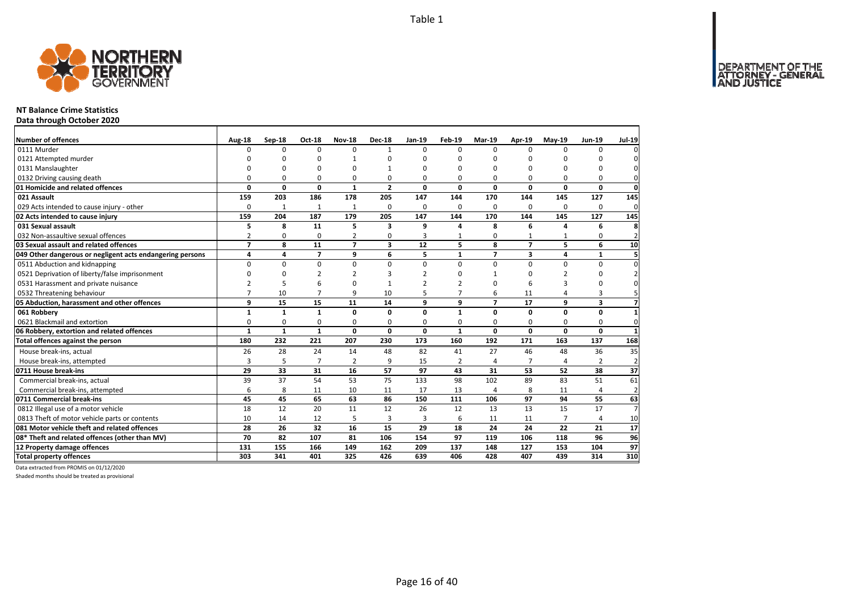

#### **NT Balance Crime Statistics**

**Data through October 2020**

| <b>Number of offences</b>                                 |                    | Sep-18       | <b>Oct-18</b>  | <b>Nov-18</b>  | <b>Dec-18</b>           | Jan-19         | Feb-19         | Mar-19                   | Apr-19         | <b>Mav-19</b>  | <b>Jun-19</b>  | <b>Jul-19</b>  |
|-----------------------------------------------------------|--------------------|--------------|----------------|----------------|-------------------------|----------------|----------------|--------------------------|----------------|----------------|----------------|----------------|
| 0111 Murder                                               | Aug-18<br>$\Omega$ | 0            | $\Omega$       | $\Omega$       | $\mathbf{1}$            | $\Omega$       | $\Omega$       | $\Omega$                 | $\Omega$       | $\Omega$       | $\Omega$       | $\mathbf 0$    |
| 0121 Attempted murder                                     | n                  | O            | 0              |                | ŋ                       | n              | ŋ              | ŋ                        | C              | ŋ              | n              | $\mathbf 0$    |
| 0131 Manslaughter                                         | n                  | $\Omega$     | 0              | n              |                         | n              | O              | O                        | O              | $\Omega$       | $\Omega$       | $\mathbf 0$    |
| 0132 Driving causing death                                | 0                  | 0            | 0              | $\Omega$       | 0                       | $\Omega$       | 0              | O                        | $\Omega$       | 0              | 0              | $\mathbf{0}$   |
| 01 Homicide and related offences                          | 0                  | 0            | 0              | $\mathbf{1}$   | $\overline{2}$          | $\mathbf{0}$   | 0              | 0                        | 0              | 0              | 0              | $\mathbf{0}$   |
| 021 Assault                                               | 159                | 203          | 186            | 178            | 205                     | 147            | 144            | 170                      | 144            | 145            | 127            | 145            |
| 029 Acts intended to cause injury - other                 | 0                  | $\mathbf{1}$ | 1              | 1              | $\Omega$                | $\Omega$       | 0              | 0                        | $\Omega$       | $\Omega$       | $\Omega$       | $\mathbf{0}$   |
| 02 Acts intended to cause injury                          | 159                | 204          | 187            | 179            | 205                     | 147            | 144            | 170                      | 144            | 145            | 127            | 145            |
| 031 Sexual assault                                        | 5                  | 8            | 11             | 5              | $\mathbf{3}$            | 9              | 4              | 8                        | 6              | $\Delta$       | 6              | 8              |
| 032 Non-assaultive sexual offences                        | $\overline{2}$     | 0            | 0              | 2              | 0                       | 3              | $\mathbf{1}$   | 0                        | $\mathbf{1}$   |                | 0              | $\overline{2}$ |
| 03 Sexual assault and related offences                    | $\overline{7}$     | 8            | 11             | $\overline{7}$ | $\overline{\mathbf{3}}$ | 12             | 5              | 8                        | $\overline{7}$ | 5.             | 6              | 10             |
| 049 Other dangerous or negligent acts endangering persons | 4                  | 4            | $\overline{7}$ | 9              | 6                       | 5              | $\mathbf{1}$   | $\overline{\phantom{a}}$ | 3              | 4              | $\mathbf{1}$   | 5 <sup>1</sup> |
| 0511 Abduction and kidnapping                             | $\Omega$           | $\Omega$     | $\mathbf 0$    | $\mathbf 0$    | $\Omega$                | $\Omega$       | $\Omega$       | $\Omega$                 | $\Omega$       | 0              | 0              | $\pmb{0}$      |
| 0521 Deprivation of liberty/false imprisonment            | 0                  | O            | $\overline{2}$ | $\mathcal{P}$  |                         | $\overline{2}$ | O              | 1                        | <sup>0</sup>   | $\overline{2}$ | $\Omega$       | $\overline{2}$ |
| 0531 Harassment and private nuisance                      | $\overline{2}$     | 5            | 6              | $\Omega$       |                         | $\overline{2}$ | $\overline{2}$ | 0                        | 6              | 3              | $\Omega$       | $\mathbf 0$    |
| 0532 Threatening behaviour                                | $\overline{7}$     | 10           | $\overline{7}$ | 9              | 10                      |                | $\overline{7}$ | 6                        | 11             | 4              | 3              | 5 <sup>1</sup> |
| 05 Abduction, harassment and other offences               | 9                  | 15           | 15             | 11             | 14                      | 9              | 9              | $\overline{7}$           | 17             | 9              | 3              | $\overline{7}$ |
| 061 Robbery                                               | $\mathbf{1}$       | $\mathbf{1}$ | $\mathbf{1}$   | $\mathbf{0}$   | 0                       | $\Omega$       | $\mathbf{1}$   | 0                        | 0              | 0              | 0              | $\mathbf{1}$   |
| 0621 Blackmail and extortion                              | 0                  | 0            | 0              | 0              | 0                       | $\Omega$       | 0              | 0                        | $\Omega$       | 0              | 0              | $\mathbf{0}$   |
| 06 Robbery, extortion and related offences                | $\mathbf{1}$       | $\mathbf{1}$ | $\mathbf{1}$   | $\mathbf 0$    | $\mathbf{0}$            | $\mathbf{0}$   | $\mathbf{1}$   | $\mathbf 0$              | 0              | $\mathbf{0}$   | 0              | $\mathbf{1}$   |
| Total offences against the person                         | 180                | 232          | 221            | 207            | 230                     | 173            | 160            | 192                      | 171            | 163            | 137            | 168            |
| House break-ins, actual                                   | 26                 | 28           | 24             | 14             | 48                      | 82             | 41             | 27                       | 46             | 48             | 36             | 35             |
| House break-ins, attempted                                | 3                  | 5            | $\overline{7}$ | $\overline{2}$ | q                       | 15             | 2              | 4                        | $\overline{7}$ |                | $\overline{2}$ | $\overline{2}$ |
| 0711 House break-ins                                      | 29                 | 33           | 31             | 16             | 57                      | 97             | 43             | 31                       | 53             | 52             | 38             | 37             |
| Commercial break-ins, actual                              | 39                 | 37           | 54             | 53             | 75                      | 133            | 98             | 102                      | 89             | 83             | 51             | 61             |
| Commercial break-ins, attempted                           | 6                  | 8            | 11             | 10             | 11                      | 17             | 13             | 4                        | 8              | 11             | $\overline{4}$ | $\overline{2}$ |
| 0711 Commercial break-ins                                 | 45                 | 45           | 65             | 63             | 86                      | 150            | 111            | 106                      | 97             | 94             | 55             | 63             |
| 0812 Illegal use of a motor vehicle                       | 18                 | 12           | 20             | 11             | 12                      | 26             | 12             | 13                       | 13             | 15             | 17             | $\overline{7}$ |
| 0813 Theft of motor vehicle parts or contents             | 10                 | 14           | 12             | 5              | 3                       | 3              | 6              | 11                       | 11             | $\overline{7}$ | $\overline{4}$ | 10             |
| 081 Motor vehicle theft and related offences              | 28                 | 26           | 32             | 16             | 15                      | 29             | 18             | 24                       | 24             | 22             | 21             | 17             |
| 08* Theft and related offences (other than MV)            | 70                 | 82           | 107            | 81             | 106                     | 154            | 97             | 119                      | 106            | 118            | 96             | 96             |
| 12 Property damage offences                               | 131                | 155          | 166            | 149            | 162                     | 209            | 137            | 148                      | 127            | 153            | 104            | 97             |
| <b>Total property offences</b>                            | 303                | 341          | 401            | 325            | 426                     | 639            | 406            | 428                      | 407            | 439            | 314            | 310            |

Data extracted from PROMIS on 01/12/2020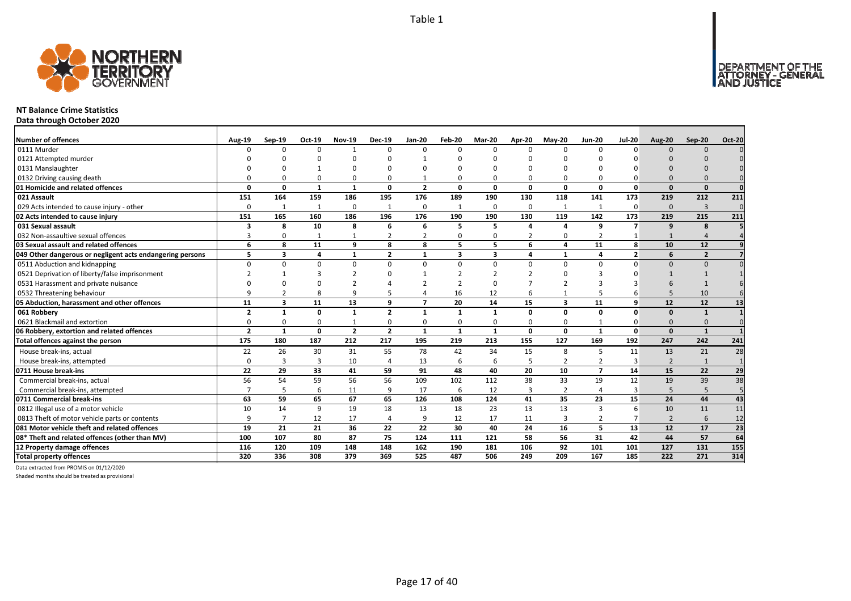

#### **NT Balance Crime Statistics**

**Data through October 2020**

| Number of offences                                        | <b>Aug-19</b>            | Sep-19       | Oct-19       | <b>Nov-19</b>  | <b>Dec-19</b>  | <b>Jan-20</b>            | Feb-20       | Mar-20        | Apr-20                  | $May-20$                | <b>Jun-20</b>  | <b>Jul-20</b>  | <b>Aug-20</b>            | Sep-20         | <b>Oct-20</b>   |
|-----------------------------------------------------------|--------------------------|--------------|--------------|----------------|----------------|--------------------------|--------------|---------------|-------------------------|-------------------------|----------------|----------------|--------------------------|----------------|-----------------|
| 0111 Murder                                               | U                        | <sup>n</sup> | $\Omega$     | $\overline{1}$ | $\Omega$       | <sup>n</sup>             | $\Omega$     | $\Omega$      | $\Omega$                | $\Omega$                | $\Omega$       | $\Omega$       | $\Omega$                 | $\Omega$       |                 |
| 0121 Attempted murder                                     |                          |              | n            |                | ŋ              |                          |              | n             |                         |                         |                |                |                          |                |                 |
| 0131 Manslaughter                                         |                          |              |              |                | ŋ              |                          |              |               |                         |                         |                |                |                          |                |                 |
| 0132 Driving causing death                                |                          |              | $\Omega$     | $\Omega$       | 0              |                          |              | $\Omega$      | $\Omega$                | $\Omega$                |                |                |                          |                |                 |
| 01 Homicide and related offences                          | O                        | n            | $\mathbf{1}$ | $\mathbf{1}$   | $\mathbf{0}$   | $\overline{\mathbf{z}}$  | $\Omega$     | $\Omega$      | $\Omega$                | 0                       | $\Omega$       | $\Omega$       | $\Omega$                 | $\Omega$       | $\Omega$        |
| 021 Assault                                               | 151                      | 164          | 159          | 186            | 195            | 176                      | 189          | 190           | 130                     | 118                     | 141            | 173            | 219                      | 212            | 211             |
| 029 Acts intended to cause injury - other                 | O                        | $\mathbf{1}$ | $\mathbf{1}$ | $\mathbf 0$    | 1              | 0                        | $\mathbf{1}$ | O             | $\Omega$                | $\mathbf{1}$            |                | $\Omega$       | $\Omega$                 | $\overline{3}$ | $\Omega$        |
| 02 Acts intended to cause injury                          | 151                      | 165          | 160          | 186            | 196            | 176                      | 190          | 190           | 130                     | 119                     | 142            | 173            | 219                      | 215            | 211             |
| 031 Sexual assault                                        | 3                        | 8            | 10           | 8              | 6              | 6                        | 5            | 5             | $\overline{\mathbf{A}}$ | $\Delta$                | q              | $\overline{ }$ | $\mathbf{q}$             | 8              |                 |
| 032 Non-assaultive sexual offences                        | 3                        | U            | -1           | $\mathbf{1}$   | $\overline{2}$ | $\overline{2}$           | O            | $\Omega$      | $\overline{2}$          | 0                       | $\overline{2}$ |                |                          |                |                 |
| 03 Sexual assault and related offences                    | 6                        | 8            | 11           | 9              | 8              | 8                        | 5            | 5             | 6                       | 4                       | 11             | 8              | 10                       | 12             |                 |
| 049 Other dangerous or negligent acts endangering persons | 5                        | 3            | 4            | $\mathbf{1}$   | $\overline{2}$ |                          | 3            | 3             | $\overline{a}$          | $\mathbf{1}$            |                | $\overline{2}$ | 6                        | $\overline{2}$ |                 |
| 0511 Abduction and kidnapping                             | $\Omega$                 |              | $\Omega$     | $\mathbf 0$    | $\Omega$       | U                        | $\Omega$     | $\Omega$      | $\Omega$                | $\Omega$                | $\Omega$       | $\Omega$       | $\Omega$                 | $\Omega$       |                 |
| 0521 Deprivation of liberty/false imprisonment            |                          |              |              |                | O              |                          |              | $\mathcal{D}$ |                         |                         |                |                |                          |                |                 |
| 0531 Harassment and private nuisance                      |                          |              |              |                |                |                          |              | n             |                         |                         |                |                |                          |                |                 |
| 0532 Threatening behaviour                                |                          |              |              | q              |                |                          | 16           | 12            | 6                       | $\mathbf{1}$            |                |                |                          | 10             |                 |
| 05 Abduction, harassment and other offences               | 11                       | 3            | 11           | 13             | 9              | $\overline{\phantom{a}}$ | 20           | 14            | 15                      | $\overline{\mathbf{3}}$ | 11             | q              | 12                       | 12             | 13              |
| 061 Robbery                                               | $\overline{\phantom{a}}$ |              | $\Omega$     | $\mathbf{1}$   | $\overline{2}$ | 1                        | 1            | $\mathbf 1$   | $\Omega$                | 0                       | $\Omega$       | O              | $\Omega$                 | $\mathbf{1}$   |                 |
| 0621 Blackmail and extortion                              |                          |              | $\Omega$     |                | 0              |                          | O            | $\Omega$      | $\Omega$                | 0                       |                |                | $\Omega$                 | $\Omega$       |                 |
| 06 Robbery, extortion and related offences                | $\overline{2}$           | $\mathbf{1}$ | 0            | $\overline{2}$ | $\overline{2}$ | $\mathbf{1}$             | $\mathbf{1}$ | $\mathbf{1}$  | $\Omega$                | $\mathbf{0}$            | $\mathbf{1}$   | $\Omega$       | $\Omega$                 | $\mathbf{1}$   |                 |
| Total offences against the person                         | 175                      | 180          | 187          | 212            | 217            | 195                      | 219          | 213           | 155                     | 127                     | 169            | 192            | 247                      | 242            | 241             |
| House break-ins, actual                                   | 22                       | 26           | 30           | 31             | 55             | 78                       | 42           | 34            | 15                      | 8                       | 5              | 11             | 13                       | 21             | 28              |
| House break-ins. attempted                                | $\Omega$                 | 3            | 3            | 10             | $\overline{4}$ | 13                       | 6            | 6             | 5                       | $\overline{2}$          | $\overline{2}$ | 3              | $\overline{2}$           | 1              | $\overline{1}$  |
| 0711 House break-ins                                      | 22                       | 29           | 33           | 41             | 59             | 91                       | 48           | 40            | 20                      | 10                      | $\overline{ }$ | 14             | 15                       | 22             | 29              |
| Commercial break-ins, actual                              | 56                       | 54           | 59           | 56             | 56             | 109                      | 102          | 112           | 38                      | 33                      | 19             | 12             | 19                       | 39             | 38              |
| Commercial break-ins, attempted                           |                          |              | 6            | 11             | 9              | 17                       | 6            | 12            | $\overline{3}$          | $\overline{2}$          |                | 3              | 5                        | 5              |                 |
| 0711 Commercial break-ins                                 | 63                       | 59           | 65           | 67             | 65             | 126                      | 108          | 124           | 41                      | 35                      | 23             | 15             | 24                       | 44             | 43              |
| 0812 Illegal use of a motor vehicle                       | 10                       | 14           | 9            | 19             | 18             | 13                       | 18           | 23            | 13                      | 13                      | 3              | 6              | 10                       | 11             | 11              |
| 0813 Theft of motor vehicle parts or contents             | q                        | 7            | 12           | 17             | 4              | 9                        | 12           | 17            | 11                      | $\overline{3}$          | $\overline{2}$ |                | $\overline{\phantom{0}}$ | 6              | 12              |
| 081 Motor vehicle theft and related offences              | 19                       | 21           | 21           | 36             | 22             | 22                       | 30           | 40            | 24                      | 16                      | 5              | 13             | 12                       | 17             | $\overline{23}$ |
| 08* Theft and related offences (other than MV)            | 100                      | 107          | 80           | 87             | 75             | 124                      | 111          | 121           | 58                      | 56                      | 31             | 42             | 44                       | 57             | 64              |
| 12 Property damage offences                               | 116                      | 120          | 109          | 148            | 148            | 162                      | 190          | 181           | 106                     | 92                      | 101            | 101            | 127                      | 131            | 155             |
| <b>Total property offences</b>                            | 320                      | 336          | 308          | 379            | 369            | 525                      | 487          | 506           | 249                     | 209                     | 167            | 185            | 222                      | 271            | 314             |

Data extracted from PROMIS on 01/12/2020

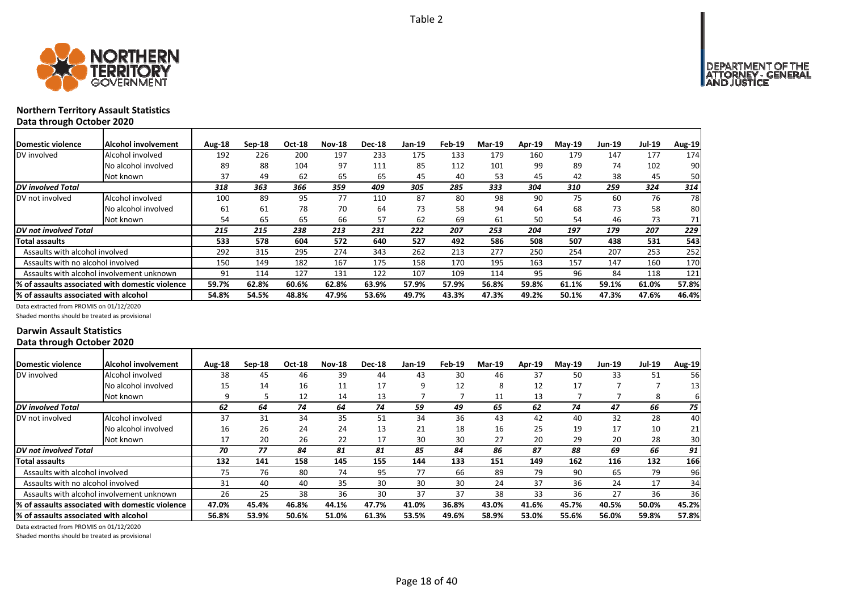

## **Northern Territory Assault Statistics Data through October 2020**

| <b>IDomestic violence</b>             | Alcohol involvement                              | Aug-18 | $Sep-18$ | Oct-18 | <b>Nov-18</b> | <b>Dec-18</b> | Jan-19 | Feb-19 | <b>Mar-19</b> | <b>Apr-19</b> | <b>Mav-19</b> | Jun-19 | <b>Jul-19</b> | Aug-19 |
|---------------------------------------|--------------------------------------------------|--------|----------|--------|---------------|---------------|--------|--------|---------------|---------------|---------------|--------|---------------|--------|
| DV involved                           | Alcohol involved                                 | 192    | 226      | 200    | 197           | 233           | 175    | 133    | 179           | 160           | 179           | 147    | 177           | 174    |
|                                       | No alcohol involved                              | 89     | 88       | 104    | 97            | 111           | 85     | 112    | 101           | 99            | 89            | 74     | 102           | 90     |
|                                       | Not known                                        | 37     | 49       | 62     | 65            | 65            | 45     | 40     | 53            | 45            | 42            | 38     | 45            | 50     |
| DV involved Total                     |                                                  | 318    | 363      | 366    | 359           | 409           | 305    | 285    | 333           | 304           | 310           | 259    | 324           | 314    |
| DV not involved                       | Alcohol involved                                 | 100    | 89       | 95     | 77            | 110           | 87     | 80     | 98            | 90            | 75            | 60     | 76            | 78     |
|                                       | No alcohol involved                              | 61     | 61       | 78     | 70            | 64            | 73     | 58     | 94            | 64            | 68            | 73     | 58            | 80     |
|                                       | Not known                                        | 54     | 65       | 65     | 66            | 57            | 62     | 69     | 61            | 50            | 54            | 46     | 73            | 71     |
| DV not involved Total                 |                                                  | 215    | 215      | 238    | 213           | 231           | 222    | 207    | 253           | 204           | 197           | 179    | 207           | 229    |
| Total assaults                        |                                                  | 533    | 578      | 604    | 572           | 640           | 527    | 492    | 586           | 508           | 507           | 438    | 531           | 543    |
| Assaults with alcohol involved        |                                                  | 292    | 315      | 295    | 274           | 343           | 262    | 213    | 277           | 250           | 254           | 207    | 253           | 252    |
| Assaults with no alcohol involved     |                                                  | 150    | 149      | 182    | 167           | 175           | 158    | 170    | 195           | 163           | 157           | 147    | 160           | 170    |
|                                       | Assaults with alcohol involvement unknown        | 91     | 114      | 127    | 131           | 122           | 107    | 109    | 114           | 95            | 96            | 84     | 118           | 121    |
|                                       | I% of assaults associated with domestic violence | 59.7%  | 62.8%    | 60.6%  | 62.8%         | 63.9%         | 57.9%  | 57.9%  | 56.8%         | 59.8%         | 61.1%         | 59.1%  | 61.0%         | 57.8%  |
| % of assaults associated with alcohol |                                                  | 54.8%  | 54.5%    | 48.8%  | 47.9%         | 53.6%         | 49.7%  | 43.3%  | 47.3%         | 49.2%         | 50.1%         | 47.3%  | 47.6%         | 46.4%  |

Data extracted from PROMIS on 01/12/2020

Shaded months should be treated as provisional

### **Darwin Assault Statistics Data through October 2020**

| <b>IDomestic violence</b>             | Alcohol involvement                             | Aug-18 | $Sep-18$ | <b>Oct-18</b> | <b>Nov-18</b> | <b>Dec-18</b> | Jan-19 | Feb-19 | <b>Mar-19</b> | <b>Apr-19</b> | $Mav-19$ | <b>Jun-19</b> | <b>Jul-19</b> | <b>Aug-19</b>   |
|---------------------------------------|-------------------------------------------------|--------|----------|---------------|---------------|---------------|--------|--------|---------------|---------------|----------|---------------|---------------|-----------------|
| DV involved                           | Alcohol involved                                | 38     | 45       | 46            | 39            | 44            | 43     | 30     | 46            | 37            | 50       | 33            | 51            | 56              |
|                                       | No alcohol involved                             | 15     | 14       | 16            | 11            | 17            | 9      | 12     | 8             | 12            | 17       |               |               | 13 <sub>l</sub> |
|                                       | Not known                                       | q      |          | 12            | 14            | 13            |        |        | 11            | 13            |          |               | 8             | 61              |
| DV involved Total                     |                                                 | 62     | 64       | 74            | 64            | 74            | 59     | 49     | 65            | 62            | 74       | 47            | 66            | 75              |
| DV not involved                       | Alcohol involved                                | 37     | 31       | 34            | 35            | 51            | 34     | 36     | 43            | 42            | 40       | 32            | 28            | 40              |
|                                       | No alcohol involved                             | 16     | 26       | 24            | 24            | 13            | 21     | 18     | 16            | 25            | 19       | 17            | 10            | 21              |
|                                       | Not known                                       | 17     | 20       | 26            | 22            | 17            | 30     | 30     | 27            | 20            | 29       | 20            | 28            | 30              |
| DV not involved Total                 |                                                 | 70     | 77       | 84            | 81            | 81            | 85     | 84     | 86            | 87            | 88       | 69            | 66            | 91              |
| Total assaults                        |                                                 | 132    | 141      | 158           | 145           | 155           | 144    | 133    | 151           | 149           | 162      | 116           | 132           | <b>166</b>      |
| Assaults with alcohol involved        |                                                 | 75     | 76       | 80            | 74            | 95            | 77     | 66     | 89            | 79            | 90       | 65            | 79            | 96              |
| Assaults with no alcohol involved     |                                                 | 31     | 40       | 40            | 35            | 30            | 30     | 30     | 24            | 37            | 36       | 24            | 17            | 34              |
|                                       | Assaults with alcohol involvement unknown       | 26     | 25       | 38            | 36            | 30            | 37     | 37     | 38            | 33            | 36       | 27            | 36            | 36              |
|                                       | % of assaults associated with domestic violence | 47.0%  | 45.4%    | 46.8%         | 44.1%         | 47.7%         | 41.0%  | 36.8%  | 43.0%         | 41.6%         | 45.7%    | 40.5%         | 50.0%         | 45.2%           |
| % of assaults associated with alcohol |                                                 | 56.8%  | 53.9%    | 50.6%         | 51.0%         | 61.3%         | 53.5%  | 49.6%  | 58.9%         | 53.0%         | 55.6%    | 56.0%         | 59.8%         | 57.8%           |

Data extracted from PROMIS on 01/12/2020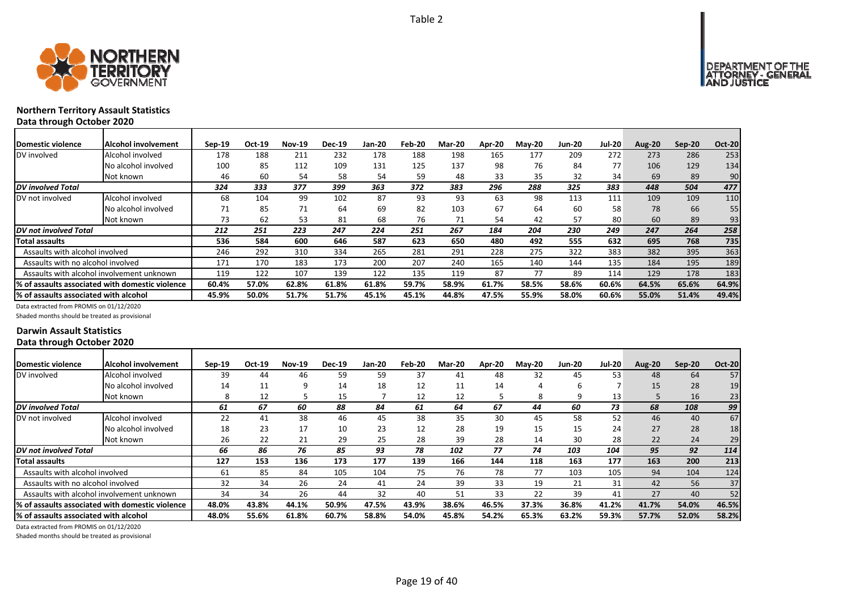



## **Northern Territory Assault Statistics Data through October 2020**

| Domestic violence                     | Alcohol involvement                             | $Sep-19$ | Oct-19 | <b>Nov-19</b> | <b>Dec-19</b> | <b>Jan-20</b> | Feb-20 | <b>Mar-20</b> | Apr-20 | <b>May-20</b> | <b>Jun-20</b> | <b>Jul-20</b> | <b>Aug-20</b> | $Sep-20$ | <b>Oct-20</b> |
|---------------------------------------|-------------------------------------------------|----------|--------|---------------|---------------|---------------|--------|---------------|--------|---------------|---------------|---------------|---------------|----------|---------------|
| DV involved                           | Alcohol involved                                | 178      | 188    | 211           | 232           | 178           | 188    | 198           | 165    | 177           | 209           | 272           | 273           | 286      | 253           |
|                                       | No alcohol involved                             | 100      | 85     | 112           | 109           | 131           | 125    | 137           | 98     | 76            | 84            | 77            | 106           | 129      | 134           |
|                                       | Not known                                       | 46       | 60     | 54            | 58            | 54            | 59     | 48            | 33     | 35            | 32            | 34            | 69            | 89       | 90            |
| <b>DV</b> involved Total              |                                                 | 324      | 333    | 377           | 399           | 363           | 372    | 383           | 296    | 288           | 325           | 383           | 448           | 504      | 477           |
| DV not involved                       | Alcohol involved                                | 68       | 104    | 99            | 102           | 87            | 93     | 93            | 63     | 98            | 113           | 111           | 109           | 109      | 110           |
|                                       | No alcohol involved                             | 71       | 85     | 71            | 64            | 69            | 82     | 103           | 67     | 64            | 60            | 58            | 78            | 66       | 55            |
|                                       | Not known                                       | 73       | 62     | 53            | 81            | 68            | 76     | 71            | 54     | 42            | 57            | 80            | 60            | 89       | 93            |
| DV not involved Total                 |                                                 | 212      | 251    | 223           | 247           | 224           | 251    | 267           | 184    | 204           | 230           | 249           | 247           | 264      | 258           |
| <b>Total assaults</b>                 |                                                 | 536      | 584    | 600           | 646           | 587           | 623    | 650           | 480    | 492           | 555           | 632           | 695           | 768      | 735           |
| Assaults with alcohol involved        |                                                 | 246      | 292    | 310           | 334           | 265           | 281    | 291           | 228    | 275           | 322           | 383           | 382           | 395      | 363           |
| Assaults with no alcohol involved     |                                                 | 171      | 170    | 183           | 173           | 200           | 207    | 240           | 165    | 140           | 144           | 135           | 184           | 195      | 189           |
|                                       | Assaults with alcohol involvement unknown       | 119      | 122    | 107           | 139           | 122           | 135    | 119           | 87     | 77            | 89            | 114           | 129           | 178      | 183           |
|                                       | % of assaults associated with domestic violence | 60.4%    | 57.0%  | 62.8%         | 61.8%         | 61.8%         | 59.7%  | 58.9%         | 61.7%  | 58.5%         | 58.6%         | 60.6%         | 64.5%         | 65.6%    | 64.9%         |
| % of assaults associated with alcohol |                                                 | 45.9%    | 50.0%  | 51.7%         | 51.7%         | 45.1%         | 45.1%  | 44.8%         | 47.5%  | 55.9%         | 58.0%         | 60.6%         | 55.0%         | 51.4%    | 49.4%         |

Data extracted from PROMIS on 01/12/2020

Shaded months should be treated as provisional

### **Darwin Assault Statistics Data through October 2020**

| Domestic violence                      | Alcohol involvement                              | $Sep-19$ | Oct-19 | <b>Nov-19</b> | <b>Dec-19</b> | Jan-20 | Feb-20 | <b>Mar-20</b> | Apr-20 | <b>May-20</b> | <b>Jun-20</b> | <b>Jul-20</b> | <b>Aug-20</b> | $Sep-20$ | <b>Oct-20</b> |
|----------------------------------------|--------------------------------------------------|----------|--------|---------------|---------------|--------|--------|---------------|--------|---------------|---------------|---------------|---------------|----------|---------------|
| DV involved                            | Alcohol involved                                 | 39       | 44     | 46            | 59            | 59     | 37     | 41            | 48     | 32            | 45            | 53            | 48            | 64       | 57            |
|                                        | No alcohol involved                              | 14       | 11     |               | 14            | 18     | 12     | 11            | 14     | 4             | ь             |               | 15            | 28       | 19            |
|                                        | Not known                                        |          | 12     |               | 15            |        | 12     | 12            |        | 8             | 9             | 13            |               | 16       | 23            |
| <b>DV</b> involved Total               |                                                  | 61       | 67     | 60            | 88            | 84     | 61     | 64            | 67     | 44            | 60            | 73            | 68            | 108      | 99            |
| DV not involved                        | Alcohol involved                                 | 22       | 41     | 38            | 46            | 45     | 38     | 35            | 30     | 45            | 58            | 52            | 46            | 40       | 67            |
|                                        | No alcohol involved                              | 18       | 23     | 17            | 10            | 23     | 12     | 28            | 19     | 15            | 15            | 24            | 27            | 28       | 18            |
|                                        | Not known                                        | 26       | 22     | 21            | 29            | 25     | 28     | 39            | 28     | 14            | 30            | 28            | 22            | 24       | 29            |
| DV not involved Total                  |                                                  | 66       | 86     | 76            | 85            | 93     | 78     | 102           | 77     | 74            | 103           | 104           | 95            | 92       | 114           |
| <b>Total assaults</b>                  |                                                  | 127      | 153    | 136           | 173           | 177    | 139    | 166           | 144    | 118           | 163           | 177           | 163           | 200      | 213           |
| Assaults with alcohol involved         |                                                  | 61       | 85     | 84            | 105           | 104    | 75     | 76            | 78     | 77            | 103           | 105           | 94            | 104      | 124           |
| Assaults with no alcohol involved      |                                                  | 32       | 34     | 26            | 24            | 41     | 24     | 39            | 33     | 19            | 21            | 31            | 42            | 56       | 37            |
|                                        | Assaults with alcohol involvement unknown        | 34       | 34     | 26            | 44            | 32     | 40     | 51            | 33     | 22            | 39            | 41            | 27            | 40       | 52            |
|                                        | I% of assaults associated with domestic violence | 48.0%    | 43.8%  | 44.1%         | 50.9%         | 47.5%  | 43.9%  | 38.6%         | 46.5%  | 37.3%         | 36.8%         | 41.2%         | 41.7%         | 54.0%    | 46.5%         |
| I% of assaults associated with alcohol |                                                  | 48.0%    | 55.6%  | 61.8%         | 60.7%         | 58.8%  | 54.0%  | 45.8%         | 54.2%  | 65.3%         | 63.2%         | 59.3%         | 57.7%         | 52.0%    | 58.2%         |

Data extracted from PROMIS on 01/12/2020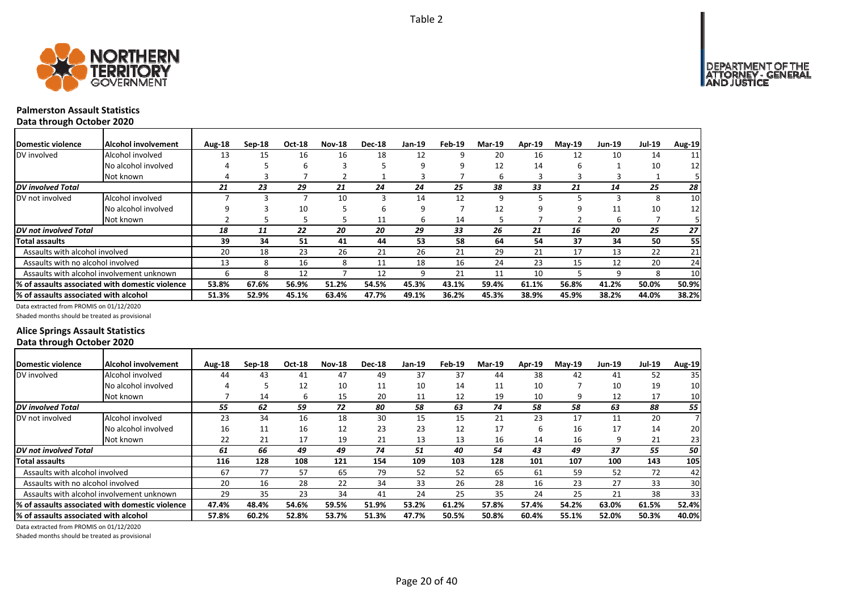

#### **Palmerston Assault Statistics Data through October 2020**

| <b>Domestic violence</b>              | <b>Alcohol involvement</b>                      | Aug-18 | $Sep-18$ | <b>Oct-18</b> | <b>Nov-18</b> | <b>Dec-18</b> | Jan-19 | Feb-19 | <b>Mar-19</b> | <b>Apr-19</b> | $May-19$ | <b>Jun-19</b> | <b>Jul-19</b> | <b>Aug-19</b> |
|---------------------------------------|-------------------------------------------------|--------|----------|---------------|---------------|---------------|--------|--------|---------------|---------------|----------|---------------|---------------|---------------|
| DV involved                           | Alcohol involved                                | 13     | 15       | 16            | 16            | 18            | 12     |        | 20            | 16            | 12       | 10            | 14            | 11            |
|                                       | No alcohol involved                             |        |          | 6             |               |               | 9      |        | 12            | 14            | 6        |               | 10            | 12            |
|                                       | Not known                                       |        |          |               |               |               |        |        | b             |               |          |               |               |               |
| <b>DV</b> involved Total              |                                                 | 21     | 23       | 29            | 21            | 24            | 24     | 25     | 38            | 33            | 21       | 14            | 25            | 28            |
| DV not involved                       | Alcohol involved                                |        |          |               | 10            | 3             | 14     | 12     | q             |               |          |               | 8             | 10            |
|                                       | No alcohol involved                             |        |          | 10            |               | 6             | 9      |        | 12            |               | ٩        | 11            | 10            | 12            |
|                                       | Not known                                       |        |          |               |               | 11            | 6      | 14     |               |               |          | ь             |               |               |
| DV not involved Total                 |                                                 | 18     | 11       | 22            | 20            | 20            | 29     | 33     | 26            | 21            | 16       | 20            | 25            | 27            |
| <b>Total assaults</b>                 |                                                 | 39     | 34       | 51            | 41            | 44            | 53     | 58     | 64            | 54            | 37       | 34            | 50            | 55            |
| Assaults with alcohol involved        |                                                 | 20     | 18       | 23            | 26            | 21            | 26     | 21     | 29            | 21            | 17       | 13            | 22            | 21            |
| Assaults with no alcohol involved     |                                                 | 13     | 8        | 16            | 8             | 11            | 18     | 16     | 24            | 23            | 15       | 12            | 20            | 24            |
|                                       | Assaults with alcohol involvement unknown       | h      |          | 12            |               | 12            | 9      | 21     | 11            | 10            |          | 9             | 8             | 10            |
|                                       | % of assaults associated with domestic violence | 53.8%  | 67.6%    | 56.9%         | 51.2%         | 54.5%         | 45.3%  | 43.1%  | 59.4%         | 61.1%         | 56.8%    | 41.2%         | 50.0%         | 50.9%         |
| % of assaults associated with alcohol |                                                 | 51.3%  | 52.9%    | 45.1%         | 63.4%         | 47.7%         | 49.1%  | 36.2%  | 45.3%         | 38.9%         | 45.9%    | 38.2%         | 44.0%         | 38.2%         |

Data extracted from PROMIS on 01/12/2020

Shaded months should be treated as provisional

### **Alice Springs Assault Statistics Data through October 2020**

| <b>IDomestic violence</b>                        | Alcohol involvement | Aug-18 | $Sep-18$ | Oct-18 | <b>Nov-18</b> | <b>Dec-18</b> | Jan-19 | Feb-19 | <b>Mar-19</b> | <b>Apr-19</b> | $Mav-19$ | <b>Jun-19</b> | <b>Jul-19</b> | <b>Aug-19</b>   |
|--------------------------------------------------|---------------------|--------|----------|--------|---------------|---------------|--------|--------|---------------|---------------|----------|---------------|---------------|-----------------|
| DV involved                                      | Alcohol involved    | 44     | 43       | 41     | 47            | 49            | 37     | 37     | 44            | 38            | 42       | 41            | 52            | 35 <sub>l</sub> |
|                                                  | No alcohol involved |        |          | 12     | 10            | 11            | 10     | 14     | 11            | 10            |          | 10            | 19            | 10              |
|                                                  | Not known           |        | 14       | h      | 15            | 20            | 11     | 12     | 19            | 10            | q        | 12            | 17            | 10 <sub>l</sub> |
| DV involved Total                                |                     | 55     | 62       | 59     | 72            | 80            | 58     | 63     | 74            | 58            | 58       | 63            | 88            | 55              |
| DV not involved                                  | Alcohol involved    | 23     | 34       | 16     | 18            | 30            | 15     | 15     | 21            | 23            | 17       | 11            | 20            |                 |
|                                                  | No alcohol involved | 16     | 11       | 16     | 12            | 23            | 23     | 12     | 17            | 6             | 16       | 17            | 14            | 20I             |
|                                                  | Not known           | 22     | 21       | 17     | 19            | 21            | 13     | 13     | 16            | 14            | 16       | q             | 21            | 23              |
| <b>DV</b> not involved Total                     |                     | 61     | 66       | 49     | 49            | 74            | 51     | 40     | 54            | 43            | 49       | 37            | 55            | 50 l            |
| lTotal assaults                                  |                     | 116    | 128      | 108    | 121           | 154           | 109    | 103    | 128           | 101           | 107      | 100           | 143           | 105             |
| Assaults with alcohol involved                   |                     | 67     | 77       | 57     | 65            | 79            | 52     | 52     | 65            | 61            | 59       | 52            | 72            | 42              |
| Assaults with no alcohol involved                |                     | 20     | 16       | 28     | 22            | 34            | 33     | 26     | 28            | 16            | 23       | 27            | 33            | 30              |
| Assaults with alcohol involvement unknown        |                     | 29     | 35       | 23     | 34            | 41            | 24     | 25     | 35            | 24            | 25       | 21            | 38            | 33              |
| 1% of assaults associated with domestic violence |                     | 47.4%  | 48.4%    | 54.6%  | 59.5%         | 51.9%         | 53.2%  | 61.2%  | 57.8%         | 57.4%         | 54.2%    | 63.0%         | 61.5%         | 52.4%           |
| l% of assaults associated with alcohol           |                     | 57.8%  | 60.2%    | 52.8%  | 53.7%         | 51.3%         | 47.7%  | 50.5%  | 50.8%         | 60.4%         | 55.1%    | 52.0%         | 50.3%         | 40.0%           |

Data extracted from PROMIS on 01/12/2020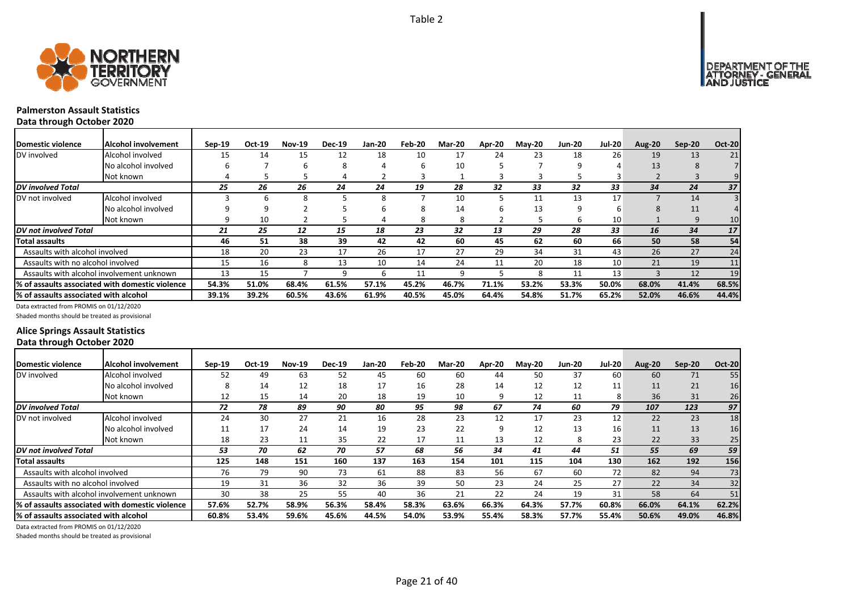



#### **Palmerston Assault Statistics Data through October 2020**

| <b>Domestic violence</b>              | <b>IAIcohol involvement</b>                     | $Sep-19$ | Oct-19 | <b>Nov-19</b> | <b>Dec-19</b> | <b>Jan-20</b> | Feb-20 | <b>Mar-20</b> | Apr-20 | <b>May-20</b> | <b>Jun-20</b> | <b>Jul-20</b> | <b>Aug-20</b> | $Sep-20$ | <b>Oct-20</b> |
|---------------------------------------|-------------------------------------------------|----------|--------|---------------|---------------|---------------|--------|---------------|--------|---------------|---------------|---------------|---------------|----------|---------------|
| DV involved                           | Alcohol involved                                | 15       | 14     | 15            | 12            | 18            | 10     | 17            | 24     | 23            | 18            | 26            | 19            | 13       | 21            |
|                                       | No alcohol involved                             | h        |        | b             |               | 4             |        | 10            |        |               | 9             |               | 13            |          |               |
|                                       | Not known                                       |          |        |               |               |               |        |               |        |               |               |               |               |          |               |
| DV involved Total                     |                                                 | 25       | 26     | 26            | 24            | 24            | 19     | 28            | 32     | 33            | 32            | 33            | 34            | 24       | 37            |
| DV not involved                       | Alcohol involved                                |          |        |               |               | 8             |        | 10            |        | 11            | 13            | 17            |               | 14       |               |
|                                       | No alcohol involved                             |          |        |               |               | h             | 8      | 14            |        | 13            |               |               |               | 11       |               |
|                                       | Not known                                       |          | 10     |               |               |               | 8      | 8             |        |               | 6             | 10            |               | 9        | 10            |
| DV not involved Total                 |                                                 | 21       | 25     | 12            | 15            | 18            | 23     | 32            | 13     | 29            | 28            | 33            | 16            | 34       | 17            |
| Total assaults                        |                                                 | 46       | 51     | 38            | 39            | 42            | 42     | 60            | 45     | 62            | 60            | 66            | 50            | 58       | 54            |
| Assaults with alcohol involved        |                                                 | 18       | 20     | 23            | 17            | 26            | 17     | 27            | 29     | 34            | 31            | 43            | 26            | 27       | 24            |
| Assaults with no alcohol involved     |                                                 | 15       | 16     | 8             | 13            | 10            | 14     | 24            | 11     | 20            | 18            | 10            | 21            | 19       | 11            |
|                                       | Assaults with alcohol involvement unknown       | 13       | 15     |               |               | h             | 11     | q             |        | 8             | 11            | 13            |               | 12       | 19            |
|                                       | % of assaults associated with domestic violence | 54.3%    | 51.0%  | 68.4%         | 61.5%         | 57.1%         | 45.2%  | 46.7%         | 71.1%  | 53.2%         | 53.3%         | 50.0%         | 68.0%         | 41.4%    | 68.5%         |
| % of assaults associated with alcohol |                                                 | 39.1%    | 39.2%  | 60.5%         | 43.6%         | 61.9%         | 40.5%  | 45.0%         | 64.4%  | 54.8%         | 51.7%         | 65.2%         | 52.0%         | 46.6%    | 44.4%         |

Data extracted from PROMIS on 01/12/2020

Shaded months should be treated as provisional

### **Alice Springs Assault Statistics Data through October 2020**

| Domestic violence                      | IAlcohol involvement                             | $Sep-19$ | Oct-19 | <b>Nov-19</b> | <b>Dec-19</b> | Jan-20 | Feb-20 | <b>Mar-20</b> | Apr-20 | <b>May-20</b> | <b>Jun-20</b> | <b>Jul-20</b>   | Aug-20 | $Sep-20$ | <b>Oct-20</b> |
|----------------------------------------|--------------------------------------------------|----------|--------|---------------|---------------|--------|--------|---------------|--------|---------------|---------------|-----------------|--------|----------|---------------|
| DV involved                            | Alcohol involved                                 | 52       | 49     | 63            | 52            | 45     | 60     | 60            | 44     | 50            | 37            | 60              | 60     | 71       | 55            |
|                                        | No alcohol involved                              |          | 14     | 12            | 18            | 17     | 16     | 28            | 14     | 12            | 12            | 11              | 11     | 21       | 16            |
|                                        | Not known                                        | 12       | 15     | 14            | 20            | 18     | 19     | 10            | 9      | 12            | 11            | 8               | 36     | 31       | 26            |
| <b>DV</b> involved Total               |                                                  | 72       | 78     | 89            | 90            | 80     | 95     | 98            | 67     | 74            | 60            | 79              | 107    | 123      | 97            |
| DV not involved                        | Alcohol involved                                 | 24       | 30     | 27            | 21            | 16     | 28     | 23            | 12     | 17            | 23            | 12              | 22     | 23       | 18            |
|                                        | No alcohol involved                              | 11       | 17     | 24            | 14            | 19     | 23     | 22            | ٩      | 12            | 13            | 16              | 11     | 13       | 16            |
|                                        | Not known                                        | 18       | 23     | 11            | 35            | 22     | 17     | 11            | 13     | 12            | 8             | 23              | 22     | 33       | 25            |
| <b>DV</b> not involved Total           |                                                  | 53       | 70     | 62            | 70            | 57     | 68     | 56            | 34     | 41            | 44            | 51              | 55     | 69       | 59            |
| Total assaults                         |                                                  | 125      | 148    | 151           | 160           | 137    | 163    | 154           | 101    | 115           | 104           | 130             | 162    | 192      | 156           |
| Assaults with alcohol involved         |                                                  | 76       | 79     | 90            | 73            | 61     | 88     | 83            | 56     | 67            | 60            | 72 <sub>1</sub> | 82     | 94       | 73            |
| Assaults with no alcohol involved      |                                                  | 19       | 31     | 36            | 32            | 36     | 39     | 50            | 23     | 24            | 25            | 27              | 22     | 34       | 32            |
|                                        | Assaults with alcohol involvement unknown        | 30       | 38     | 25            | 55            | 40     | 36     | 21            | 22     | 24            | 19            | 31              | 58     | 64       |               |
|                                        | 1% of assaults associated with domestic violence | 57.6%    | 52.7%  | 58.9%         | 56.3%         | 58.4%  | 58.3%  | 63.6%         | 66.3%  | 64.3%         | 57.7%         | 60.8%           | 66.0%  | 64.1%    | 62.2%         |
| 1% of assaults associated with alcohol |                                                  | 60.8%    | 53.4%  | 59.6%         | 45.6%         | 44.5%  | 54.0%  | 53.9%         | 55.4%  | 58.3%         | 57.7%         | 55.4%           | 50.6%  | 49.0%    | 46.8%         |

Data extracted from PROMIS on 01/12/2020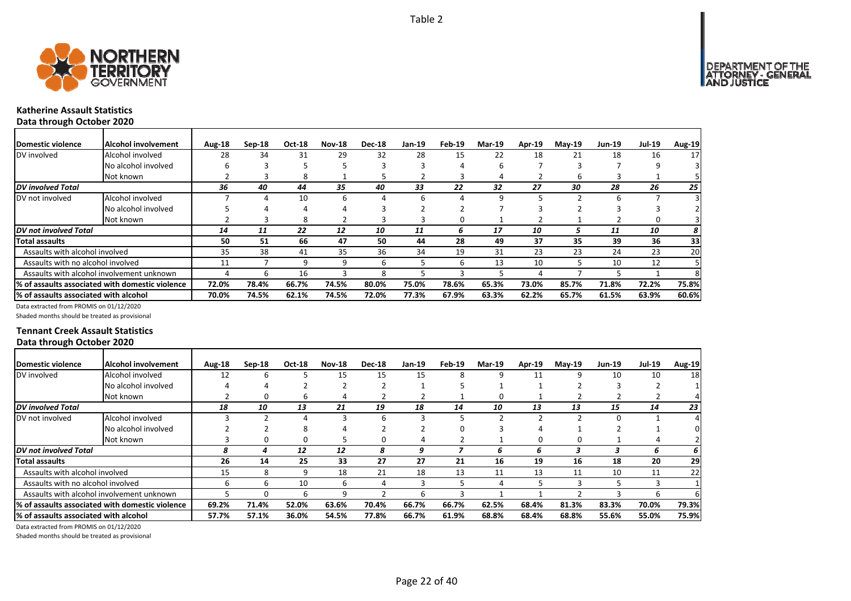NT OF THE<br>' - GENERAL

DEPARTMENT<br>ATTORNEY -USTICE

٦



┓

# **Katherine Assault Statistics**

**Data through October 2020**

| Domestic violence                      | Alcohol involvement                             | Aug-18 | $Sep-18$ | Oct-18 | <b>Nov-18</b> | <b>Dec-18</b> | Jan-19 | Feb-19 | <b>Mar-19</b> | Apr-19 | $May-19$ | <b>Jun-19</b> | <b>Jul-19</b> | Aug-19 |
|----------------------------------------|-------------------------------------------------|--------|----------|--------|---------------|---------------|--------|--------|---------------|--------|----------|---------------|---------------|--------|
| DV involved                            | Alcohol involved                                | 28     | 34       | 31     | 29            | 32            | 28     | 15     | 22            | 18     | 21       | 18            | 16            | 17     |
|                                        | No alcohol involved                             |        |          |        |               |               |        |        |               |        |          |               |               |        |
|                                        | Not known                                       |        |          | 8      |               |               |        |        |               |        | h        |               |               |        |
| <b>DV</b> involved Total               |                                                 | 36     | 40       | 44     | 35            | 40            | 33     | 22     | 32            | 27     | 30       | 28            | 26            | 25     |
| DV not involved                        | Alcohol involved                                |        | 4        | 10     | 6             | 4             | 6      | Δ      |               |        |          | h             |               |        |
|                                        | No alcohol involved                             |        |          | 4      |               |               |        |        |               |        |          |               |               |        |
|                                        | Not known                                       |        |          | 8      |               |               |        |        |               |        |          |               |               |        |
| <b>IDV</b> not involved Total          |                                                 | 14     | 11       | 22     | 12            | 10            | 11     | 6      | 17            | 10     | 5        | 11            | 10            | 8      |
| <b>Total assaults</b>                  |                                                 | 50     | 51       | 66     | 47            | 50            | 44     | 28     | 49            | 37     | 35       | 39            | 36            | 33     |
| Assaults with alcohol involved         |                                                 | 35     | 38       | 41     | 35            | 36            | 34     | 19     | 31            | 23     | 23       | 24            | 23            | 20     |
| Assaults with no alcohol involved      |                                                 | 11     |          | 9      | 9             | 6             |        | h      | 13            | 10     |          | 10            | 12            |        |
|                                        | Assaults with alcohol involvement unknown       | 4      | ь        | 16     |               | 8             |        |        |               |        |          |               |               |        |
|                                        | % of assaults associated with domestic violence | 72.0%  | 78.4%    | 66.7%  | 74.5%         | 80.0%         | 75.0%  | 78.6%  | 65.3%         | 73.0%  | 85.7%    | 71.8%         | 72.2%         | 75.8%  |
| I% of assaults associated with alcohol |                                                 | 70.0%  | 74.5%    | 62.1%  | 74.5%         | 72.0%         | 77.3%  | 67.9%  | 63.3%         | 62.2%  | 65.7%    | 61.5%         | 63.9%         | 60.6%  |

Data extracted from PROMIS on 01/12/2020

Shaded months should be treated as provisional

### **Tennant Creek Assault Statistics Data through October 2020**

| <b>IDomestic violence</b>             | Alcohol involvement                             | Aug-18 | $Sep-18$ | <b>Oct-18</b> | <b>Nov-18</b> | <b>Dec-18</b> | Jan-19 | Feb-19 | <b>Mar-19</b> | Apr-19 | May-19 | Jun-19 | <b>Jul-19</b> | Aug-19 |
|---------------------------------------|-------------------------------------------------|--------|----------|---------------|---------------|---------------|--------|--------|---------------|--------|--------|--------|---------------|--------|
| DV involved                           | Alcohol involved                                | 12     | ь        |               | 15            | 15            | 15     | 8      | ٩             | 11     | 9      | 10     | 10            | 18     |
|                                       | No alcohol involved                             |        |          |               |               |               |        |        |               |        |        |        |               |        |
|                                       | Not known                                       |        |          | b             |               |               |        |        | O             |        |        |        |               |        |
| DV involved Total                     |                                                 | 18     | 10       | 13            | 21            | 19            | 18     | 14     | 10            | 13     | 13     | 15     | 14            | 23     |
| DV not involved                       | Alcohol involved                                |        |          |               |               | 6             |        |        |               |        |        | 0      |               |        |
|                                       | No alcohol involved                             |        |          | 8             |               |               |        | n      |               |        |        |        |               |        |
|                                       | Not known                                       |        |          |               |               | 0             |        |        |               | O      | Ω      |        |               |        |
| DV not involved Total                 |                                                 | 8      | 4        | 12            | 12            | 8             | 9      |        | b             | ь      |        |        | 6             | 6      |
| Total assaults                        |                                                 | 26     | 14       | 25            | 33            | 27            | 27     | 21     | 16            | 19     | 16     | 18     | 20            | 29     |
| Assaults with alcohol involved        |                                                 | 15     | 8        | q             | 18            | 21            | 18     | 13     | 11            | 13     | 11     | 10     | 11            | 22     |
| Assaults with no alcohol involved     |                                                 | h      | h        | 10            | 6             |               | 3      |        |               |        |        |        |               |        |
|                                       | Assaults with alcohol involvement unknown       |        |          | h             | q             |               | 6      |        |               |        |        |        | h             |        |
|                                       | % of assaults associated with domestic violence | 69.2%  | 71.4%    | 52.0%         | 63.6%         | 70.4%         | 66.7%  | 66.7%  | 62.5%         | 68.4%  | 81.3%  | 83.3%  | 70.0%         | 79.3%  |
| % of assaults associated with alcohol |                                                 | 57.7%  | 57.1%    | 36.0%         | 54.5%         | 77.8%         | 66.7%  | 61.9%  | 68.8%         | 68.4%  | 68.8%  | 55.6%  | 55.0%         | 75.9%  |

Data extracted from PROMIS on 01/12/2020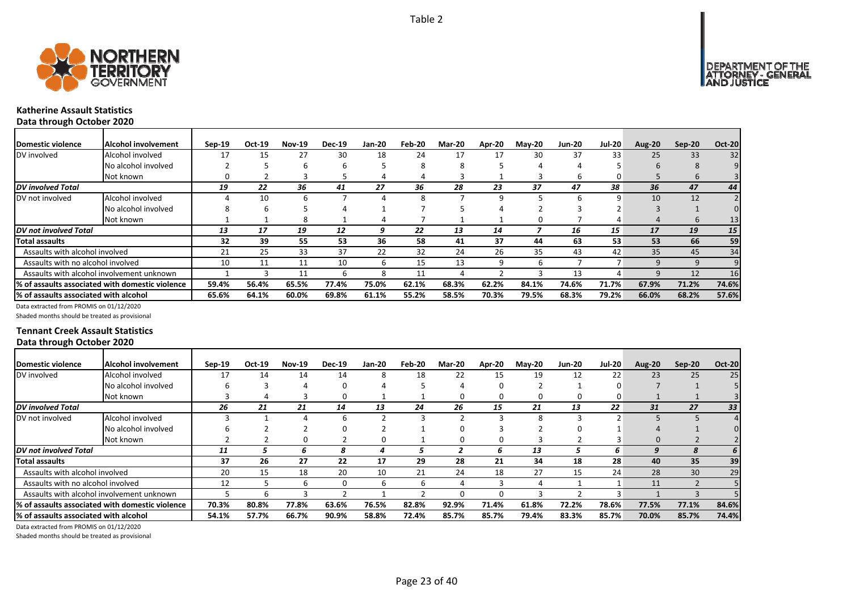



# **Katherine Assault Statistics**

**Data through October 2020**

| <b>IDomestic violence</b>             | <b>Alcohol involvement</b>                       | $Sep-19$ | Oct-19 | <b>Nov-19</b> | <b>Dec-19</b> | Jan-20 | Feb-20 | <b>Mar-20</b> | Apr-20 | $M$ ay-20 | <b>Jun-20</b> | <b>Jul-20</b>   | <b>Aug-20</b> | Sep-20 | <b>Oct-20</b> |
|---------------------------------------|--------------------------------------------------|----------|--------|---------------|---------------|--------|--------|---------------|--------|-----------|---------------|-----------------|---------------|--------|---------------|
| DV involved                           | Alcohol involved                                 | 17       | 15     |               | 30            | 18     | 24     |               | 17     | 30        | 37            | 33              | 25            | 33     | 32            |
|                                       | No alcohol involved                              |          |        | h             | n             |        | 8      | Ջ             |        |           |               |                 | h             |        |               |
|                                       | Not known                                        |          |        |               |               |        |        |               |        |           | h             | 0               |               | h      |               |
| <b>DV</b> involved Total              |                                                  | 19       | 22     | 36            | 41            | 27     | 36     | 28            | 23     | 37        | 47            | 38              | 36            | 47     | 44            |
| DV not involved                       | Alcohol involved                                 |          | 10     | h             |               |        | 8      |               | 9      |           |               | q               | 10            | 12     |               |
|                                       | No alcohol involved                              |          | b      |               |               |        |        |               |        |           |               |                 |               |        |               |
|                                       | Not known                                        |          |        | 8             |               |        |        |               |        |           |               |                 | $\prime$      | h      | 13            |
| <b>IDV</b> not involved Total         |                                                  | 13       | 17     | 19            | 12            |        | 22     | 13            | 14     |           | 16            | 15 <sup>1</sup> | 17            | 19     | 15            |
| <b>Total assaults</b>                 |                                                  | 32       | 39     | 55            | 53            | 36     | 58     | 41            | 37     | 44        | 63            | 53              | 53            | 66     | 59            |
| Assaults with alcohol involved        |                                                  | 21       | 25     | 33            | 37            | 22     | 32     | 24            | 26     | 35        | 43            | 42              | 35            | 45     | 34            |
| Assaults with no alcohol involved     |                                                  | 10       | 11     | 11            | 10            | ь      | 15     | 13            | 9      | h         |               |                 |               |        |               |
|                                       | Assaults with alcohol involvement unknown        |          |        | 11            |               | Ջ      | 11     |               |        |           | 13            | $\Delta$        |               | 12     | 16            |
|                                       | 1% of assaults associated with domestic violence | 59.4%    | 56.4%  | 65.5%         | 77.4%         | 75.0%  | 62.1%  | 68.3%         | 62.2%  | 84.1%     | 74.6%         | 71.7%           | 67.9%         | 71.2%  | 74.6%         |
| % of assaults associated with alcohol |                                                  | 65.6%    | 64.1%  | 60.0%         | 69.8%         | 61.1%  | 55.2%  | 58.5%         | 70.3%  | 79.5%     | 68.3%         | 79.2%           | 66.0%         | 68.2%  | 57.6%         |

Data extracted from PROMIS on 01/12/2020

Shaded months should be treated as provisional

### **Tennant Creek Assault Statistics Data through October 2020**

| Domestic violence                     | lAlcohol involvement                             | $Sep-19$ | Oct-19 | <b>Nov-19</b> | <b>Dec-19</b> | <b>Jan-20</b> | Feb-20 | <b>Mar-20</b> | Apr-20 | <b>May-20</b> | <b>Jun-20</b> | <b>Jul-20</b> | Aug-20 | $Sep-20$ | <b>Oct-20</b> |
|---------------------------------------|--------------------------------------------------|----------|--------|---------------|---------------|---------------|--------|---------------|--------|---------------|---------------|---------------|--------|----------|---------------|
| DV involved                           | Alcohol involved                                 | 17       | 14     | 14            | 14            | 8             | 18     | 22            | 15     | 19            | 12            | 22            | 23     | 25       | 25            |
|                                       | No alcohol involved                              |          |        |               |               |               |        |               |        |               |               |               |        |          |               |
|                                       | Not known                                        |          |        |               |               |               |        | 0             | 0      |               |               | 0             |        |          |               |
| <b>DV</b> involved Total              |                                                  | 26       | 21     | 21            | 14            | 13            | 24     | 26            | 15     | 21            | 13            | 22            | 31     | 27       | 33            |
| DV not involved                       | Alcohol involved                                 |          |        |               |               |               |        |               |        |               |               |               |        |          |               |
|                                       | No alcohol involved                              |          |        |               |               |               |        |               |        |               |               |               |        |          |               |
|                                       | Not known                                        |          |        |               |               |               |        |               |        |               |               |               | 0      |          |               |
| <b>DV</b> not involved Total          |                                                  | 11       |        |               | я             |               |        |               | h      | 13            |               | fi            | q      |          |               |
| <b>Total assaults</b>                 |                                                  | 37       | 26     | 27            | 22            | 17            | 29     | 28            | 21     | 34            | 18            | 28            | 40     | 35       | 39            |
| Assaults with alcohol involved        |                                                  | 20       | 15     | 18            | 20            | 10            | 21     | 24            | 18     | 27            | 15            | 24            | 28     | 30       | 29            |
| Assaults with no alcohol involved     |                                                  | 12       |        |               |               | h             | h      |               |        |               |               |               | 11     |          |               |
|                                       | Assaults with alcohol involvement unknown        |          |        |               |               |               |        |               | n.     |               |               |               |        |          |               |
|                                       | 1% of assaults associated with domestic violence | 70.3%    | 80.8%  | 77.8%         | 63.6%         | 76.5%         | 82.8%  | 92.9%         | 71.4%  | 61.8%         | 72.2%         | 78.6%         | 77.5%  | 77.1%    | 84.6%         |
| % of assaults associated with alcohol |                                                  | 54.1%    | 57.7%  | 66.7%         | 90.9%         | 58.8%         | 72.4%  | 85.7%         | 85.7%  | 79.4%         | 83.3%         | 85.7%         | 70.0%  | 85.7%    | 74.4%         |

Data extracted from PROMIS on 01/12/2020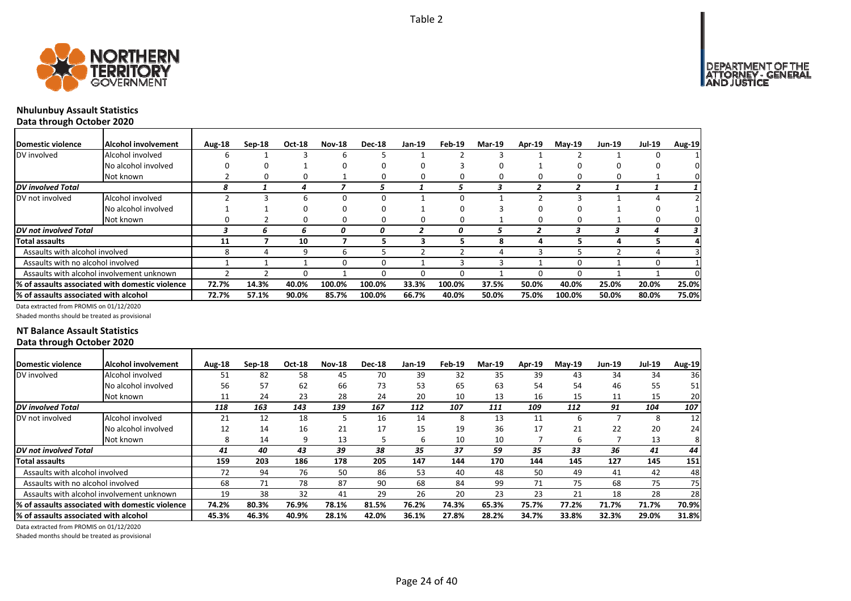

## **Nhulunbuy Assault Statistics Data through October 2020**

| <b>Domestic violence</b>              | <b>Alcohol involvement</b>                      | Aug-18 | $Sep-18$ | <b>Oct-18</b> | <b>Nov-18</b> | <b>Dec-18</b> | Jan-19 | Feb-19 | <b>Mar-19</b> | Apr-19 | $M$ ay-19 | <b>Jun-19</b> | <b>Jul-19</b> | <b>Aug-19</b> |
|---------------------------------------|-------------------------------------------------|--------|----------|---------------|---------------|---------------|--------|--------|---------------|--------|-----------|---------------|---------------|---------------|
| DV involved                           | Alcohol involved                                | h      |          |               | b             |               |        |        |               |        |           |               | 0             |               |
|                                       | No alcohol involved                             |        |          |               | 0             | 0             | 0      |        |               |        | o         |               |               |               |
|                                       | Not known                                       |        |          | 0             |               | 0             | 0      |        |               |        | 0         |               |               |               |
| <b>DV</b> involved Total              |                                                 | 8      |          | 4             |               | э             |        | ٠,     |               |        |           |               |               |               |
| DV not involved                       | Alcohol involved                                |        |          | ĥ             | 0             | <sup>n</sup>  |        |        |               |        |           |               |               |               |
|                                       | No alcohol involved                             |        |          | 0             | 0             | 0             |        |        |               |        |           |               |               |               |
|                                       | Not known                                       |        |          | 0             | 0             | 0             | 0      |        |               |        | 0         |               | 0             |               |
| <b>DV</b> not involved Total          |                                                 |        | n        | h             | 0             | 0             |        | 0      |               |        |           |               |               |               |
| Total assaults                        |                                                 | 11     |          | 10            |               | 5             | 3      |        |               | 4      |           | 4             |               |               |
| Assaults with alcohol involved        |                                                 |        |          | q             | h             |               |        |        |               |        |           |               |               |               |
| Assaults with no alcohol involved     |                                                 |        |          |               | 0             | $\Omega$      |        |        |               |        | $\Omega$  |               | $\Omega$      |               |
|                                       | Assaults with alcohol involvement unknown       |        |          | O             |               | 0             | 0      |        |               |        | 0         |               |               |               |
|                                       | % of assaults associated with domestic violence | 72.7%  | 14.3%    | 40.0%         | 100.0%        | 100.0%        | 33.3%  | 100.0% | 37.5%         | 50.0%  | 40.0%     | 25.0%         | 20.0%         | 25.0%         |
| % of assaults associated with alcohol |                                                 | 72.7%  | 57.1%    | 90.0%         | 85.7%         | 100.0%        | 66.7%  | 40.0%  | 50.0%         | 75.0%  | 100.0%    | 50.0%         | 80.0%         | 75.0%         |

Data extracted from PROMIS on 01/12/2020

Shaded months should be treated as provisional

#### **NT Balance Assault Statistics Data through October 2020**

| <b>IDomestic violence</b>              | Alcohol involvement                              | Aug-18 | $Sep-18$ | Oct-18 | <b>Nov-18</b> | <b>Dec-18</b> | <b>Jan-19</b> | Feb-19 | <b>Mar-19</b> | Apr-19 | $Mav-19$ | <b>Jun-19</b> | <b>Jul-19</b> | <b>Aug-19</b> |
|----------------------------------------|--------------------------------------------------|--------|----------|--------|---------------|---------------|---------------|--------|---------------|--------|----------|---------------|---------------|---------------|
| DV involved                            | Alcohol involved                                 | 51     | 82       | 58     | 45            | 70            | 39            | 32     | 35            | 39     | 43       | 34            | 34            | 36            |
|                                        | No alcohol involved                              | 56     | 57       | 62     | 66            | 73            | 53            | 65     | 63            | 54     | 54       | 46            | 55            | 51            |
|                                        | Not known                                        | 11     | 24       | 23     | 28            | 24            | 20            | 10     | 13            | 16     | 15       | 11            | 15            | 20            |
| <b>DV</b> involved Total               |                                                  | 118    | 163      | 143    | 139           | 167           | 112           | 107    | 111           | 109    | 112      | 91            | 104           | 107           |
| DV not involved                        | Alcohol involved                                 | 21     | 12       | 18     |               | 16            | 14            | 8      | 13            | 11     | ь        |               | 8             | 12            |
|                                        | No alcohol involved                              | 12     | 14       | 16     | 21            | 17            | 15            | 19     | 36            | 17     | 21       | 22            | 20            | 24            |
|                                        | Not known                                        | 8      | 14       | 9      | 13            |               | 6             | 10     | 10            |        | 6        |               | 13            | 8             |
| <b>DV</b> not involved Total           |                                                  | 41     | 40       | 43     | 39            | 38            | 35            | 37     | 59            | 35     | 33       | 36            | 41            | 44            |
| <b>Total assaults</b>                  |                                                  | 159    | 203      | 186    | 178           | 205           | 147           | 144    | 170           | 144    | 145      | 127           | 145           | 151           |
| Assaults with alcohol involved         |                                                  | 72     | 94       | 76     | 50            | 86            | 53            | 40     | 48            | 50     | 49       | 41            | 42            | 48            |
| Assaults with no alcohol involved      |                                                  | 68     | 71       | 78     | 87            | 90            | 68            | 84     | 99            | 71     | 75       | 68            | 75            | 75            |
|                                        | Assaults with alcohol involvement unknown        | 19     | 38       | 32     | 41            | 29            | 26            | 20     | 23            | 23     | 21       | 18            | 28            | 28            |
|                                        | I% of assaults associated with domestic violence | 74.2%  | 80.3%    | 76.9%  | 78.1%         | 81.5%         | 76.2%         | 74.3%  | 65.3%         | 75.7%  | 77.2%    | 71.7%         | 71.7%         | 70.9%         |
| l% of assaults associated with alcohol |                                                  | 45.3%  | 46.3%    | 40.9%  | 28.1%         | 42.0%         | 36.1%         | 27.8%  | 28.2%         | 34.7%  | 33.8%    | 32.3%         | 29.0%         | 31.8%         |

Data extracted from PROMIS on 01/12/2020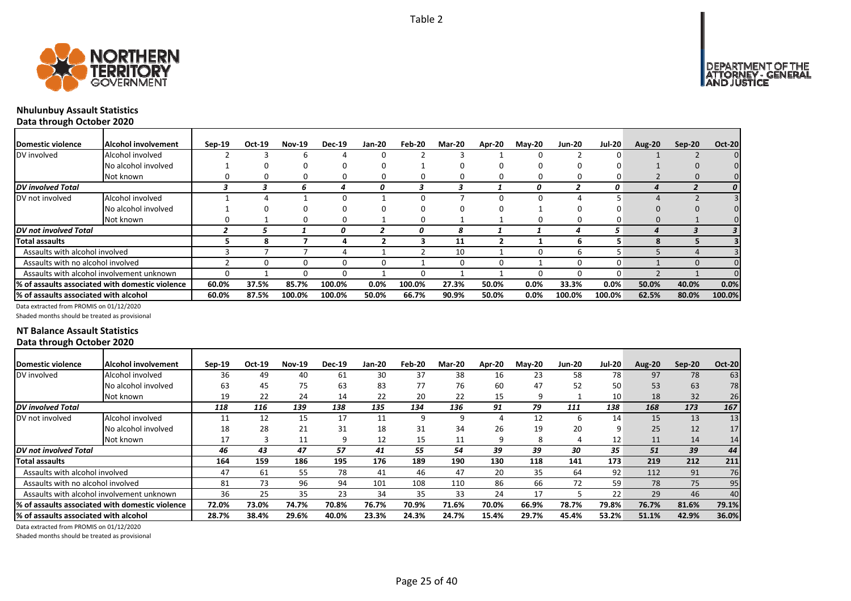



## **Nhulunbuy Assault Statistics Data through October 2020**

| Domestic violence                     | lAlcohol involvement                            | $Sep-19$ | Oct-19 | <b>Nov-19</b> | <b>Dec-19</b> | Jan-20  | Feb-20 | Mar-20 | Apr-20 | <b>May-20</b> | <b>Jun-20</b> | <b>Jul-20</b> | <b>Aug-20</b> | Sep-20 | <b>Oct-20</b> |
|---------------------------------------|-------------------------------------------------|----------|--------|---------------|---------------|---------|--------|--------|--------|---------------|---------------|---------------|---------------|--------|---------------|
| DV involved                           | Alcohol involved                                |          |        |               |               |         |        |        |        | 0             |               |               |               |        |               |
|                                       | No alcohol involved                             |          |        |               |               |         |        |        |        |               | 0             |               |               |        |               |
|                                       | Not known                                       |          |        |               |               |         |        |        | 0      | 0             | 0             |               |               |        |               |
| DV involved Total                     |                                                 |          | ≺      | ь             |               | 0       |        |        |        | 0             |               | 0             |               |        |               |
| DV not involved                       | Alcohol involved                                |          |        |               |               |         |        |        |        |               |               |               |               |        |               |
|                                       | No alcohol involved                             |          |        |               |               |         |        |        |        |               | 0             |               |               |        |               |
|                                       | Not known                                       |          |        |               |               |         | 0      |        |        | 0             | 0             |               |               |        |               |
| DV not involved Total                 |                                                 |          |        |               |               |         |        | 8      |        |               |               | 5.            |               |        |               |
| Total assaults                        |                                                 |          |        |               |               |         |        | 11     |        |               | 6             |               |               |        |               |
| Assaults with alcohol involved        |                                                 |          |        |               |               |         |        | 10     |        | $^{\circ}$    | h             |               |               |        |               |
| Assaults with no alcohol involved     |                                                 |          |        |               |               |         |        | ŋ      | 0      |               | $\Omega$      |               |               |        |               |
|                                       | Assaults with alcohol involvement unknown       |          |        |               |               |         |        |        |        | 0             | 0             |               |               |        |               |
|                                       | % of assaults associated with domestic violence | 60.0%    | 37.5%  | 85.7%         | 100.0%        | $0.0\%$ | 100.0% | 27.3%  | 50.0%  | $0.0\%$       | 33.3%         | 0.0%          | 50.0%         | 40.0%  | 0.0%          |
| % of assaults associated with alcohol |                                                 | 60.0%    | 87.5%  | 100.0%        | 100.0%        | 50.0%   | 66.7%  | 90.9%  | 50.0%  | $0.0\%$       | 100.0%        | 100.0%        | 62.5%         | 80.0%  | 100.0%        |

Data extracted from PROMIS on 01/12/2020

Shaded months should be treated as provisional

#### **NT Balance Assault Statistics Data through October 2020**

| Domestic violence                      | Alcohol involvement                              | $Sep-19$ | Oct-19 | <b>Nov-19</b> | <b>Dec-19</b> | <b>Jan-20</b> | Feb-20 | <b>Mar-20</b> | Apr-20 | <b>Mav-20</b> | <b>Jun-20</b> | <b>Jul-20</b> | <b>Aug-20</b> | $Sep-20$ | <b>Oct-20</b>   |
|----------------------------------------|--------------------------------------------------|----------|--------|---------------|---------------|---------------|--------|---------------|--------|---------------|---------------|---------------|---------------|----------|-----------------|
| DV involved                            | Alcohol involved                                 | 36       | 49     | 40            | 61            | 30            | 37     | 38            | 16     | 23            | 58            | 78            | 97            | 78       | 63              |
|                                        | No alcohol involved                              | 63       | 45     | 75            | 63            | 83            | 77     | 76            | 60     | 47            | 52            | 50            | 53            | 63       | 78              |
|                                        | Not known                                        | 19       | 22     | 24            | 14            | 22            | 20     | 22            | 15     | 9             |               | 10            | 18            | 32       | 26              |
| <b>DV</b> involved Total               |                                                  | 118      | 116    | 139           | 138           | 135           | 134    | 136           | 91     | 79            | 111           | 138           | 168           | 173      | 167             |
| DV not involved                        | Alcohol involved                                 | 11       | 12     | 15            | 17            | 11            | 9      | 9             |        | 12            | ь             | 14            | 15            | 13       | 13              |
|                                        | No alcohol involved                              | 18       | 28     | 21            | 31            | 18            | 31     | 34            | 26     | 19            | 20            | ٩             | 25            | 12       | 17              |
|                                        | Not known                                        | 17       |        | 11            | q             | 12            | 15     | 11            | 9      | 8             |               | 12            | 11            | 14       | 14 <sub>1</sub> |
| <b>IDV</b> not involved Total          |                                                  | 46       | 43     | 47            | 57            | 41            | 55     | 54            | 39     | 39            | 30            | 35            | 51            | 39       | 44              |
| <b>Total assaults</b>                  |                                                  | 164      | 159    | 186           | 195           | 176           | 189    | 190           | 130    | 118           | 141           | 173           | 219           | 212      | 211             |
| Assaults with alcohol involved         |                                                  | 47       | 61     | 55            | 78            | 41            | 46     | 47            | 20     | 35            | 64            | 92            | 112           | 91       | 76              |
| Assaults with no alcohol involved      |                                                  | 81       | 73     | 96            | 94            | 101           | 108    | 110           | 86     | 66            | 72            | 59            | 78            | 75       | 95              |
|                                        | Assaults with alcohol involvement unknown        | 36       | 25     | 35            | 23            | 34            | 35     | 33            | 24     | 17            |               | 22            | 29            | 46       | 40              |
|                                        | 1% of assaults associated with domestic violence | 72.0%    | 73.0%  | 74.7%         | 70.8%         | 76.7%         | 70.9%  | 71.6%         | 70.0%  | 66.9%         | 78.7%         | 79.8%         | 76.7%         | 81.6%    | 79.1%           |
| l% of assaults associated with alcohol |                                                  | 28.7%    | 38.4%  | 29.6%         | 40.0%         | 23.3%         | 24.3%  | 24.7%         | 15.4%  | 29.7%         | 45.4%         | 53.2%         | 51.1%         | 42.9%    | 36.0%           |
|                                        |                                                  |          |        |               |               |               |        |               |        |               |               |               |               |          |                 |

Data extracted from PROMIS on 01/12/2020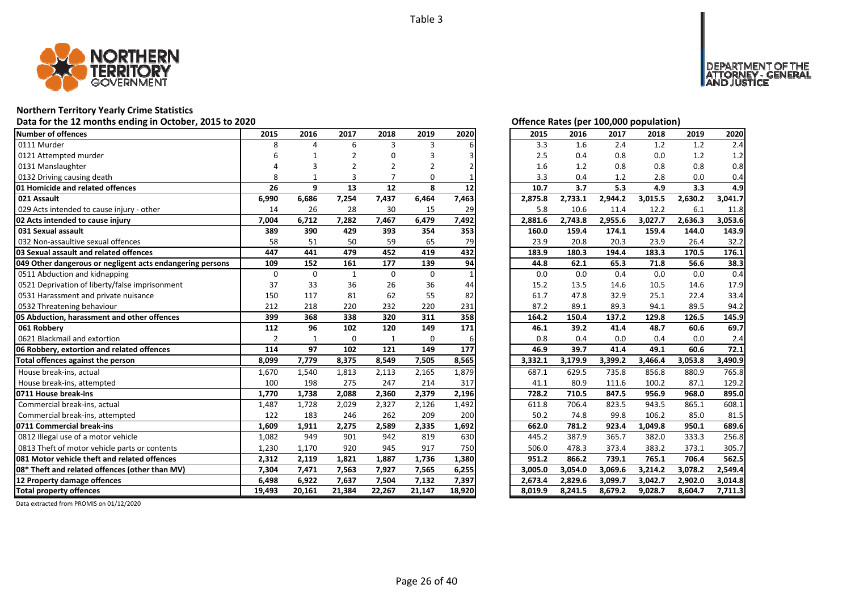

#### **Northern Territory Yearly Crime Statistics**

#### **Data for the 12 months ending in October, 2015 to 2020 Offence Rates (per 100,000 population)**

| Number of offences                                        | 2015           | 2016         | 2017           | 2018           | 2019        | 2020   | 2015    | 2016    | 2017    | 2018    | 2019    | 2020    |
|-----------------------------------------------------------|----------------|--------------|----------------|----------------|-------------|--------|---------|---------|---------|---------|---------|---------|
| 0111 Murder                                               | 8              | $\Delta$     | 6              | 3              | 3           |        | 3.3     | 1.6     | 2.4     | 1.2     | 1.2     | 2.4     |
| 0121 Attempted murder                                     |                |              |                |                |             |        | 2.5     | 0.4     | 0.8     | 0.0     | 1.2     | 1.2     |
| 0131 Manslaughter                                         |                | 3            | $\overline{2}$ | $\overline{2}$ | 2           |        | 1.6     | 1.2     | 0.8     | 0.8     | 0.8     | 0.8     |
| 0132 Driving causing death                                | 8              |              | 3              |                | $\Omega$    |        | 3.3     | 0.4     | 1.2     | 2.8     | 0.0     | 0.4     |
| 01 Homicide and related offences                          | 26             | 9            | 13             | 12             | 8           | 12     | 10.7    | 3.7     | 5.3     | 4.9     | 3.3     | 4.9     |
| 021 Assault                                               | 6,990          | 6,686        | 7,254          | 7,437          | 6,464       | 7,463  | 2,875.8 | 2,733.1 | 2,944.2 | 3,015.5 | 2,630.2 | 3,041.7 |
| 029 Acts intended to cause injury - other                 | 14             | 26           | 28             | 30             | 15          | 29     | 5.8     | 10.6    | 11.4    | 12.2    | 6.1     | 11.8    |
| 02 Acts intended to cause injury                          | 7,004          | 6,712        | 7,282          | 7,467          | 6,479       | 7,492  | 2,881.6 | 2,743.8 | 2,955.6 | 3,027.7 | 2,636.3 | 3,053.6 |
| 031 Sexual assault                                        | 389            | 390          | 429            | 393            | 354         | 353    | 160.0   | 159.4   | 174.1   | 159.4   | 144.0   | 143.9   |
| 032 Non-assaultive sexual offences                        | 58             | 51           | 50             | 59             | 65          | 79     | 23.9    | 20.8    | 20.3    | 23.9    | 26.4    | 32.2    |
| 03 Sexual assault and related offences                    | 447            | 441          | 479            | 452            | 419         | 432    | 183.9   | 180.3   | 194.4   | 183.3   | 170.5   | 176.1   |
| 049 Other dangerous or negligent acts endangering persons | 109            | 152          | 161            | 177            | 139         | 94     | 44.8    | 62.1    | 65.3    | 71.8    | 56.6    | 38.3    |
| 0511 Abduction and kidnapping                             | $\mathbf 0$    | $\mathbf 0$  | $\mathbf{1}$   | $\mathbf 0$    | $\mathbf 0$ |        | 0.0     | 0.0     | 0.4     | 0.0     | 0.0     | 0.4     |
| 0521 Deprivation of liberty/false imprisonment            | 37             | 33           | 36             | 26             | 36          | 44     | 15.2    | 13.5    | 14.6    | 10.5    | 14.6    | 17.9    |
| 0531 Harassment and private nuisance                      | 150            | 117          | 81             | 62             | 55          | 82     | 61.7    | 47.8    | 32.9    | 25.1    | 22.4    | 33.4    |
| 0532 Threatening behaviour                                | 212            | 218          | 220            | 232            | 220         | 231    | 87.2    | 89.1    | 89.3    | 94.1    | 89.5    | 94.2    |
| 05 Abduction, harassment and other offences               | 399            | 368          | 338            | 320            | 311         | 358    | 164.2   | 150.4   | 137.2   | 129.8   | 126.5   | 145.9   |
| 061 Robbery                                               | 112            | 96           | 102            | 120            | 149         | 171    | 46.1    | 39.2    | 41.4    | 48.7    | 60.6    | 69.7    |
| 0621 Blackmail and extortion                              | $\overline{2}$ | $\mathbf{1}$ | $\mathbf 0$    | $\mathbf{1}$   | $\mathbf 0$ | 6      | 0.8     | 0.4     | 0.0     | 0.4     | 0.0     | 2.4     |
| 06 Robbery, extortion and related offences                | 114            | 97           | 102            | 121            | 149         | 177    | 46.9    | 39.7    | 41.4    | 49.1    | 60.6    | 72.1    |
| Total offences against the person                         | 8,099          | 7,779        | 8,375          | 8,549          | 7,505       | 8,565  | 3,332.1 | 3,179.9 | 3,399.2 | 3,466.4 | 3,053.8 | 3,490.9 |
| House break-ins, actual                                   | 1,670          | 1,540        | 1,813          | 2,113          | 2,165       | 1,879  | 687.1   | 629.5   | 735.8   | 856.8   | 880.9   | 765.8   |
| House break-ins, attempted                                | 100            | 198          | 275            | 247            | 214         | 317    | 41.1    | 80.9    | 111.6   | 100.2   | 87.1    | 129.2   |
| 0711 House break-ins                                      | 1,770          | 1,738        | 2,088          | 2,360          | 2,379       | 2,196  | 728.2   | 710.5   | 847.5   | 956.9   | 968.0   | 895.0   |
| Commercial break-ins, actual                              | 1,487          | 1,728        | 2,029          | 2,327          | 2,126       | 1,492  | 611.8   | 706.4   | 823.5   | 943.5   | 865.1   | 608.1   |
| Commercial break-ins, attempted                           | 122            | 183          | 246            | 262            | 209         | 200    | 50.2    | 74.8    | 99.8    | 106.2   | 85.0    | 81.5    |
| 0711 Commercial break-ins                                 | 1,609          | 1,911        | 2,275          | 2,589          | 2,335       | 1,692  | 662.0   | 781.2   | 923.4   | 1,049.8 | 950.1   | 689.6   |
| 0812 Illegal use of a motor vehicle                       | 1,082          | 949          | 901            | 942            | 819         | 630    | 445.2   | 387.9   | 365.7   | 382.0   | 333.3   | 256.8   |
| 0813 Theft of motor vehicle parts or contents             | 1,230          | 1,170        | 920            | 945            | 917         | 750    | 506.0   | 478.3   | 373.4   | 383.2   | 373.1   | 305.7   |
| 081 Motor vehicle theft and related offences              | 2,312          | 2,119        | 1,821          | 1,887          | 1,736       | 1,380  | 951.2   | 866.2   | 739.1   | 765.1   | 706.4   | 562.5   |
| 08* Theft and related offences (other than MV)            | 7,304          | 7,471        | 7,563          | 7,927          | 7,565       | 6,255  | 3,005.0 | 3,054.0 | 3,069.6 | 3,214.2 | 3,078.2 | 2,549.4 |
| 12 Property damage offences                               | 6,498          | 6,922        | 7,637          | 7,504          | 7,132       | 7,397  | 2,673.4 | 2,829.6 | 3,099.7 | 3,042.7 | 2,902.0 | 3,014.8 |
| <b>Total property offences</b>                            | 19,493         | 20,161       | 21,384         | 22,267         | 21,147      | 18,920 | 8,019.9 | 8,241.5 | 8,679.2 | 9,028.7 | 8,604.7 | 7,711.3 |

DEPARTMENT OF THE<br>ATTORNEY - GENERAL USTICE

| 2015    | 2016    | 2017    | 2018    | 2019    | 2020    |
|---------|---------|---------|---------|---------|---------|
| 3.3     | 1.6     | 2.4     | 1.2     | 1.2     | 2.4     |
| 2.5     | 0.4     | 0.8     | 0.0     | $1.2\,$ | 1.2     |
| 1.6     | 1.2     | 0.8     | 0.8     | 0.8     | 0.8     |
| 3.3     | 0.4     | 1.2     | 2.8     | 0.0     | 0.4     |
| 10.7    | 3.7     | 5.3     | 4.9     | 3.3     | 4.9     |
| 2,875.8 | 2,733.1 | 2,944.2 | 3,015.5 | 2,630.2 | 3,041.7 |
| 5.8     | 10.6    | 11.4    | 12.2    | 6.1     | 11.8    |
| 2,881.6 | 2,743.8 | 2,955.6 | 3,027.7 | 2,636.3 | 3,053.6 |
| 160.0   | 159.4   | 174.1   | 159.4   | 144.0   | 143.9   |
| 23.9    | 20.8    | 20.3    | 23.9    | 26.4    | 32.2    |
| 183.9   | 180.3   | 194.4   | 183.3   | 170.5   | 176.1   |
| 44.8    | 62.1    | 65.3    | 71.8    | 56.6    | 38.3    |
| 0.0     | 0.0     | 0.4     | 0.0     | 0.0     | 0.4     |
| 15.2    | 13.5    | 14.6    | 10.5    | 14.6    | 17.9    |
| 61.7    | 47.8    | 32.9    | 25.1    | 22.4    | 33.4    |
| 87.2    | 89.1    | 89.3    | 94.1    | 89.5    | 94.2    |
| 164.2   | 150.4   | 137.2   | 129.8   | 126.5   | 145.9   |
| 46.1    | 39.2    | 41.4    | 48.7    | 60.6    | 69.7    |
| 0.8     | 0.4     | 0.0     | 0.4     | 0.0     | 2.4     |
| 46.9    | 39.7    | 41.4    | 49.1    | 60.6    | 72.1    |
| 3,332.1 | 3,179.9 | 3,399.2 | 3,466.4 | 3,053.8 | 3,490.9 |
| 687.1   | 629.5   | 735.8   | 856.8   | 880.9   | 765.8   |
| 41.1    | 80.9    | 111.6   | 100.2   | 87.1    | 129.2   |
| 728.2   | 710.5   | 847.5   | 956.9   | 968.0   | 895.0   |
| 611.8   | 706.4   | 823.5   | 943.5   | 865.1   | 608.1   |
| 50.2    | 74.8    | 99.8    | 106.2   | 85.0    | 81.5    |
| 662.0   | 781.2   | 923.4   | 1,049.8 | 950.1   | 689.6   |
| 445.2   | 387.9   | 365.7   | 382.0   | 333.3   | 256.8   |
| 506.0   | 478.3   | 373.4   | 383.2   | 373.1   | 305.7   |
| 951.2   | 866.2   | 739.1   | 765.1   | 706.4   | 562.5   |
| 3,005.0 | 3,054.0 | 3,069.6 | 3,214.2 | 3,078.2 | 2,549.4 |
| 2,673.4 | 2,829.6 | 3,099.7 | 3,042.7 | 2,902.0 | 3,014.8 |
| 8,019.9 | 8,241.5 | 8,679.2 | 9,028.7 | 8,604.7 | 7,711.3 |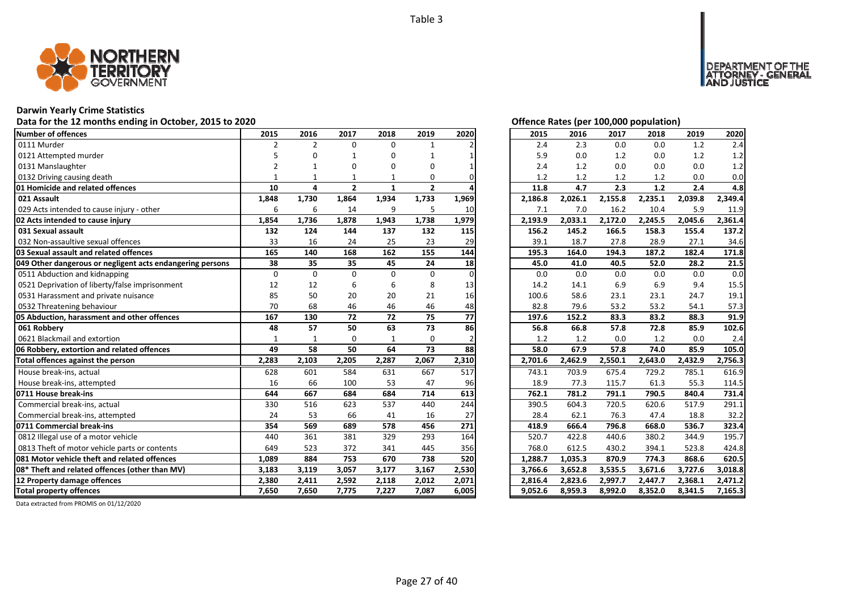

## **Darwin Yearly Crime Statistics**

## Data for the 12 months ending in October, 2015 to 2020<br> **Data for the 12 months ending in October, 2015 to 2020**

| Number of offences                                        | 2015           | 2016           | 2017           | 2018     | 2019         | 2020          | 2015    | 2016    | 2017    | 2018    | 2019    | 2020    |
|-----------------------------------------------------------|----------------|----------------|----------------|----------|--------------|---------------|---------|---------|---------|---------|---------|---------|
| 0111 Murder                                               | $\overline{2}$ | $\overline{2}$ | $\Omega$       | 0        |              |               | 2.4     | 2.3     | 0.0     | 0.0     | 1.2     | 2.4     |
| 0121 Attempted murder                                     |                | n              | -1             | 0        |              |               | 5.9     | 0.0     | 1.2     | 0.0     | 1.2     | 1.2     |
| 0131 Manslaughter                                         | $\overline{2}$ |                | O              | 0        | O            |               | 2.4     | 1.2     | 0.0     | 0.0     | 0.0     | 1.2     |
| 0132 Driving causing death                                |                |                |                |          | 0            |               | 1.2     | 1.2     | 1.2     | 1.2     | 0.0     | 0.0     |
| 01 Homicide and related offences                          | 10             | 4              | $\overline{2}$ | 1        | $\mathbf{2}$ |               | 11.8    | 4.7     | 2.3     | 1.2     | 2.4     | 4.8     |
| 021 Assault                                               | 1,848          | 1,730          | 1,864          | 1,934    | 1,733        | 1,969         | 2,186.8 | 2,026.1 | 2,155.8 | 2,235.1 | 2,039.8 | 2,349.4 |
| 029 Acts intended to cause injury - other                 | 6              | 6              | 14             | 9        | 5            | 10            | 7.1     | 7.0     | 16.2    | 10.4    | 5.9     | 11.9    |
| 02 Acts intended to cause injury                          | 1,854          | 1,736          | 1,878          | 1,943    | 1,738        | 1,979         | 2,193.9 | 2,033.1 | 2,172.0 | 2,245.5 | 2,045.6 | 2,361.4 |
| 031 Sexual assault                                        | 132            | 124            | 144            | 137      | 132          | 115           | 156.2   | 145.2   | 166.5   | 158.3   | 155.4   | 137.2   |
| 032 Non-assaultive sexual offences                        | 33             | 16             | 24             | 25       | 23           | 29            | 39.1    | 18.7    | 27.8    | 28.9    | 27.1    | 34.6    |
| 03 Sexual assault and related offences                    | 165            | 140            | 168            | 162      | 155          | 144           | 195.3   | 164.0   | 194.3   | 187.2   | 182.4   | 171.8   |
| 049 Other dangerous or negligent acts endangering persons | 38             | 35             | 35             | 45       | 24           | 18            | 45.0    | 41.0    | 40.5    | 52.0    | 28.2    | 21.5    |
| 0511 Abduction and kidnapping                             | $\Omega$       | $\Omega$       | $\Omega$       | $\Omega$ | $\Omega$     | $\Omega$      | 0.0     | 0.0     | 0.0     | 0.0     | 0.0     | 0.0     |
| 0521 Deprivation of liberty/false imprisonment            | 12             | 12             | 6              | 6        | 8            | 13            | 14.2    | 14.1    | 6.9     | 6.9     | 9.4     | 15.5    |
| 0531 Harassment and private nuisance                      | 85             | 50             | 20             | 20       | 21           | 16            | 100.6   | 58.6    | 23.1    | 23.1    | 24.7    | 19.1    |
| 0532 Threatening behaviour                                | 70             | 68             | 46             | 46       | 46           | 48            | 82.8    | 79.6    | 53.2    | 53.2    | 54.1    | 57.3    |
| 05 Abduction, harassment and other offences               | 167            | 130            | 72             | 72       | 75           | 77            | 197.6   | 152.2   | 83.3    | 83.2    | 88.3    | 91.9    |
| 061 Robbery                                               | 48             | 57             | 50             | 63       | 73           | 86            | 56.8    | 66.8    | 57.8    | 72.8    | 85.9    | 102.6   |
| 0621 Blackmail and extortion                              | $\mathbf{1}$   | $\mathbf{1}$   | $\Omega$       | 1        | $\Omega$     | $\mathfrak z$ | 1.2     | 1.2     | 0.0     | 1.2     | 0.0     | 2.4     |
| 06 Robbery, extortion and related offences                | 49             | 58             | 50             | 64       | 73           | 88            | 58.0    | 67.9    | 57.8    | 74.0    | 85.9    | 105.0   |
| Total offences against the person                         | 2,283          | 2,103          | 2,205          | 2,287    | 2,067        | 2,310         | 2,701.6 | 2,462.9 | 2,550.1 | 2,643.0 | 2,432.9 | 2,756.3 |
| House break-ins, actual                                   | 628            | 601            | 584            | 631      | 667          | 517           | 743.1   | 703.9   | 675.4   | 729.2   | 785.1   | 616.9   |
| House break-ins, attempted                                | 16             | 66             | 100            | 53       | 47           | 96            | 18.9    | 77.3    | 115.7   | 61.3    | 55.3    | 114.5   |
| 0711 House break-ins                                      | 644            | 667            | 684            | 684      | 714          | 613           | 762.1   | 781.2   | 791.1   | 790.5   | 840.4   | 731.4   |
| Commercial break-ins, actual                              | 330            | 516            | 623            | 537      | 440          | 244           | 390.5   | 604.3   | 720.5   | 620.6   | 517.9   | 291.1   |
| Commercial break-ins, attempted                           | 24             | 53             | 66             | 41       | 16           | 27            | 28.4    | 62.1    | 76.3    | 47.4    | 18.8    | 32.2    |
| 0711 Commercial break-ins                                 | 354            | 569            | 689            | 578      | 456          | 271           | 418.9   | 666.4   | 796.8   | 668.0   | 536.7   | 323.4   |
| 0812 Illegal use of a motor vehicle                       | 440            | 361            | 381            | 329      | 293          | 164           | 520.7   | 422.8   | 440.6   | 380.2   | 344.9   | 195.7   |
| 0813 Theft of motor vehicle parts or contents             | 649            | 523            | 372            | 341      | 445          | 356           | 768.0   | 612.5   | 430.2   | 394.1   | 523.8   | 424.8   |
| 081 Motor vehicle theft and related offences              | 1,089          | 884            | 753            | 670      | 738          | 520           | 1,288.7 | 1,035.3 | 870.9   | 774.3   | 868.6   | 620.5   |
| 08* Theft and related offences (other than MV)            | 3,183          | 3,119          | 3,057          | 3,177    | 3,167        | 2,530         | 3,766.6 | 3,652.8 | 3,535.5 | 3,671.6 | 3,727.6 | 3,018.8 |
| 12 Property damage offences                               | 2,380          | 2,411          | 2,592          | 2,118    | 2,012        | 2,071         | 2,816.4 | 2,823.6 | 2,997.7 | 2,447.7 | 2,368.1 | 2,471.2 |
| <b>Total property offences</b>                            | 7,650          | 7,650          | 7,775          | 7,227    | 7,087        | 6,005         | 9,052.6 | 8,959.3 | 8,992.0 | 8,352.0 | 8,341.5 | 7,165.3 |

NT OF THE<br>' - GENERAL

**DEPART** 

JSTICE

| 2015    | 2016    | 2017    | 2018    | 2019    | 2020    |
|---------|---------|---------|---------|---------|---------|
| 2.4     | 2.3     | 0.0     | 0.0     | 1.2     | 2.4     |
| 5.9     | 0.0     | 1.2     | 0.0     | 1.2     | 1.2     |
| 2.4     | 1.2     | 0.0     | 0.0     | 0.0     | 1.2     |
| 1.2     | 1.2     | 1.2     | 1.2     | 0.0     | 0.0     |
| 11.8    | 4.7     | 2.3     | 1.2     | 2.4     | 4.8     |
| 2,186.8 | 2,026.1 | 2,155.8 | 2,235.1 | 2,039.8 | 2,349.4 |
| 7.1     | 7.0     | 16.2    | 10.4    | 5.9     | 11.9    |
| 2,193.9 | 2,033.1 | 2,172.0 | 2,245.5 | 2,045.6 | 2,361.4 |
| 156.2   | 145.2   | 166.5   | 158.3   | 155.4   | 137.2   |
| 39.1    | 18.7    | 27.8    | 28.9    | 27.1    | 34.6    |
| 195.3   | 164.0   | 194.3   | 187.2   | 182.4   | 171.8   |
| 45.0    | 41.0    | 40.5    | 52.0    | 28.2    | 21.5    |
| 0.0     | 0.0     | 0.0     | 0.0     | 0.0     | 0.0     |
| 14.2    | 14.1    | 6.9     | 6.9     | 9.4     | 15.5    |
| 100.6   | 58.6    | 23.1    | 23.1    | 24.7    | 19.1    |
| 82.8    | 79.6    | 53.2    | 53.2    | 54.1    | 57.3    |
| 197.6   | 152.2   | 83.3    | 83.2    | 88.3    | 91.9    |
| 56.8    | 66.8    | 57.8    | 72.8    | 85.9    | 102.6   |
| 1.2     | 1.2     | 0.0     | 1.2     | 0.0     | 2.4     |
| 58.0    | 67.9    | 57.8    | 74.0    | 85.9    | 105.0   |
| 2,701.6 | 2,462.9 | 2,550.1 | 2,643.0 | 2,432.9 | 2,756.3 |
| 743.1   | 703.9   | 675.4   | 729.2   | 785.1   | 616.9   |
| 18.9    | 77.3    | 115.7   | 61.3    | 55.3    | 114.5   |
| 762.1   | 781.2   | 791.1   | 790.5   | 840.4   | 731.4   |
| 390.5   | 604.3   | 720.5   | 620.6   | 517.9   | 291.1   |
| 28.4    | 62.1    | 76.3    | 47.4    | 18.8    | 32.2    |
| 418.9   | 666.4   | 796.8   | 668.0   | 536.7   | 323.4   |
| 520.7   | 422.8   | 440.6   | 380.2   | 344.9   | 195.7   |
| 768.0   | 612.5   | 430.2   | 394.1   | 523.8   | 424.8   |
| 1,288.7 | 1,035.3 | 870.9   | 774.3   | 868.6   | 620.5   |
| 3,766.6 | 3,652.8 | 3,535.5 | 3,671.6 | 3,727.6 | 3,018.8 |
| 2,816.4 | 2,823.6 | 2,997.7 | 2,447.7 | 2,368.1 | 2,471.2 |
| 9,052.6 | 8,959.3 | 8,992.0 | 8,352.0 | 8,341.5 | 7,165.3 |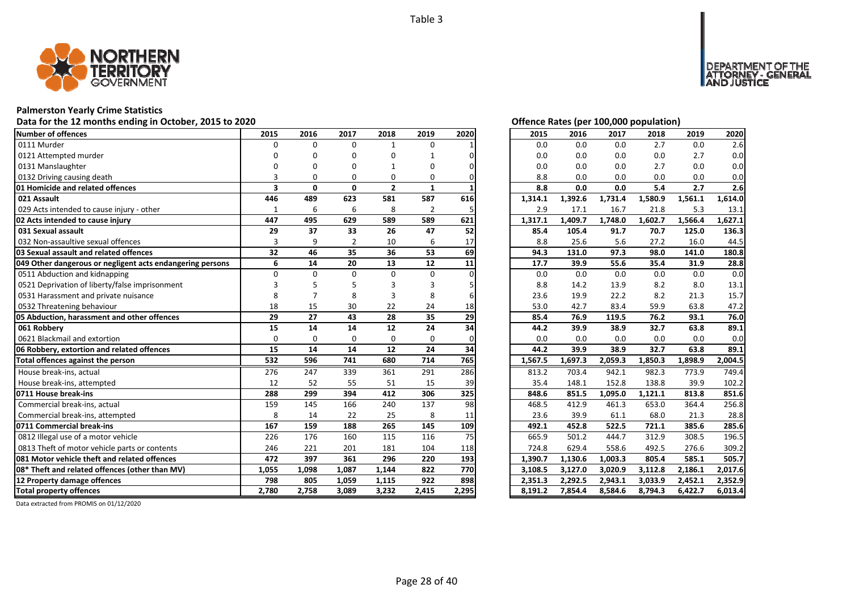

## **Palmerston Yearly Crime Statistics**

## Data for the 12 months ending in October, 2015 to 2020<br>
Data for the 12 months ending in October, 2015 to 2020

| Number of offences                                        | 2015                    | 2016         | 2017           | 2018           | 2019           | 2020  | 2015    | 2016    | 2017    | 2018    | 2019    | 2020    |
|-----------------------------------------------------------|-------------------------|--------------|----------------|----------------|----------------|-------|---------|---------|---------|---------|---------|---------|
| 0111 Murder                                               | $\Omega$                | $\Omega$     | $\Omega$       | $\mathbf{1}$   | $\Omega$       |       | 0.0     | 0.0     | 0.0     | 2.7     | 0.0     | 2.6     |
| 0121 Attempted murder                                     |                         | n            | O              | O              |                |       | 0.0     | 0.0     | 0.0     | 0.0     | 2.7     | 0.0     |
| 0131 Manslaughter                                         |                         |              |                |                | O              |       | 0.0     | 0.0     | 0.0     | 2.7     | 0.0     | 0.0     |
| 0132 Driving causing death                                |                         | O            | O              | 0              | 0              |       | 8.8     | 0.0     | 0.0     | 0.0     | 0.0     | 0.0     |
| 01 Homicide and related offences                          | $\overline{\mathbf{3}}$ | $\mathbf{0}$ | $\mathbf{0}$   | $\overline{2}$ | $\mathbf{1}$   |       | 8.8     | 0.0     | 0.0     | 5.4     | 2.7     | 2.6     |
| 021 Assault                                               | 446                     | 489          | 623            | 581            | 587            | 616   | 1,314.1 | 1,392.6 | 1,731.4 | 1,580.9 | 1,561.1 | 1,614.0 |
| 029 Acts intended to cause injury - other                 | 1                       | 6            | 6              | 8              | $\overline{2}$ | 5     | 2.9     | 17.1    | 16.7    | 21.8    | 5.3     | 13.1    |
| 02 Acts intended to cause injury                          | 447                     | 495          | 629            | 589            | 589            | 621   | 1,317.1 | 1,409.7 | 1,748.0 | 1,602.7 | 1,566.4 | 1,627.1 |
| 031 Sexual assault                                        | 29                      | 37           | 33             | 26             | 47             | 52    | 85.4    | 105.4   | 91.7    | 70.7    | 125.0   | 136.3   |
| 032 Non-assaultive sexual offences                        | 3                       | 9            | $\overline{2}$ | 10             | 6              | 17    | 8.8     | 25.6    | 5.6     | 27.2    | 16.0    | 44.5    |
| 03 Sexual assault and related offences                    | 32                      | 46           | 35             | 36             | 53             | 69    | 94.3    | 131.0   | 97.3    | 98.0    | 141.0   | 180.8   |
| 049 Other dangerous or negligent acts endangering persons | 6                       | 14           | 20             | 13             | 12             | 11    | 17.7    | 39.9    | 55.6    | 35.4    | 31.9    | 28.8    |
| 0511 Abduction and kidnapping                             | $\Omega$                | $\Omega$     | $\Omega$       | $\Omega$       | $\Omega$       |       | 0.0     | 0.0     | 0.0     | 0.0     | 0.0     | 0.0     |
| 0521 Deprivation of liberty/false imprisonment            |                         |              |                |                |                |       | 8.8     | 14.2    | 13.9    | 8.2     | 8.0     | 13.1    |
| 0531 Harassment and private nuisance                      |                         |              | 8              |                | 8              |       | 23.6    | 19.9    | 22.2    | 8.2     | 21.3    | 15.7    |
| 0532 Threatening behaviour                                | 18                      | 15           | 30             | 22             | 24             | 18    | 53.0    | 42.7    | 83.4    | 59.9    | 63.8    | 47.2    |
| 05 Abduction, harassment and other offences               | 29                      | 27           | 43             | 28             | 35             | 29    | 85.4    | 76.9    | 119.5   | 76.2    | 93.1    | 76.0    |
| 061 Robbery                                               | 15                      | 14           | 14             | 12             | 24             | 34    | 44.2    | 39.9    | 38.9    | 32.7    | 63.8    | 89.1    |
| 0621 Blackmail and extortion                              | $\Omega$                | $\Omega$     | 0              | 0              | $\Omega$       |       | 0.0     | 0.0     | 0.0     | 0.0     | 0.0     | 0.0     |
| 06 Robbery, extortion and related offences                | 15                      | 14           | 14             | 12             | 24             | 34    | 44.2    | 39.9    | 38.9    | 32.7    | 63.8    | 89.1    |
| Total offences against the person                         | 532                     | 596          | 741            | 680            | 714            | 765   | 1,567.5 | 1,697.3 | 2,059.3 | 1,850.3 | 1,898.9 | 2,004.5 |
| House break-ins, actual                                   | 276                     | 247          | 339            | 361            | 291            | 286   | 813.2   | 703.4   | 942.1   | 982.3   | 773.9   | 749.4   |
| House break-ins, attempted                                | 12                      | 52           | 55             | 51             | 15             | 39    | 35.4    | 148.1   | 152.8   | 138.8   | 39.9    | 102.2   |
| 0711 House break-ins                                      | 288                     | 299          | 394            | 412            | 306            | 325   | 848.6   | 851.5   | 1,095.0 | 1,121.1 | 813.8   | 851.6   |
| Commercial break-ins, actual                              | 159                     | 145          | 166            | 240            | 137            | 98    | 468.5   | 412.9   | 461.3   | 653.0   | 364.4   | 256.8   |
| Commercial break-ins, attempted                           | 8                       | 14           | 22             | 25             | 8              | 11    | 23.6    | 39.9    | 61.1    | 68.0    | 21.3    | 28.8    |
| 0711 Commercial break-ins                                 | 167                     | 159          | 188            | 265            | 145            | 109   | 492.1   | 452.8   | 522.5   | 721.1   | 385.6   | 285.6   |
| 0812 Illegal use of a motor vehicle                       | 226                     | 176          | 160            | 115            | 116            | 75    | 665.9   | 501.2   | 444.7   | 312.9   | 308.5   | 196.5   |
| 0813 Theft of motor vehicle parts or contents             | 246                     | 221          | 201            | 181            | 104            | 118   | 724.8   | 629.4   | 558.6   | 492.5   | 276.6   | 309.2   |
| 081 Motor vehicle theft and related offences              | 472                     | 397          | 361            | 296            | 220            | 193   | 1,390.7 | 1,130.6 | 1,003.3 | 805.4   | 585.1   | 505.7   |
| 08* Theft and related offences (other than MV)            | 1,055                   | 1,098        | 1,087          | 1,144          | 822            | 770   | 3,108.5 | 3,127.0 | 3,020.9 | 3,112.8 | 2,186.1 | 2,017.6 |
| 12 Property damage offences                               | 798                     | 805          | 1,059          | 1,115          | 922            | 898   | 2,351.3 | 2,292.5 | 2,943.1 | 3,033.9 | 2,452.1 | 2,352.9 |
| <b>Total property offences</b>                            | 2,780                   | 2,758        | 3,089          | 3,232          | 2,415          | 2,295 | 8,191.2 | 7,854.4 | 8,584.6 | 8,794.3 | 6,422.7 | 6,013.4 |

NT OF THE<br>' - GENERAL

JSTICE

**DEPAR** 

| 2015    | 2016               | 2017               | 2018               | 2019<br>2020       |                    |  |  |  |
|---------|--------------------|--------------------|--------------------|--------------------|--------------------|--|--|--|
| 0.0     | 0.0                | 0.0                | 2.7                | 0.0                | 2.6                |  |  |  |
| 0.0     | 0.0                | 0.0                | 0.0                | 2.7                | 0.0                |  |  |  |
| 0.0     | 0.0                | 0.0                | 2.7                | 0.0                | 0.0                |  |  |  |
| 8.8     | 0.0                | 0.0                | 0.0                | 0.0                | 0.0                |  |  |  |
| 8.8     | 0.0                | 0.0                | 5.4                | 2.7                | 2.6                |  |  |  |
| 1,314.1 | 1,392.6            | 1,731.4            | 1,580.9            | 1,561.1            | 1,614.0            |  |  |  |
| 2.9     | 17.1               | 16.7               | 21.8               | 5.3                | 13.1               |  |  |  |
| 1,317.1 | 1,409.7            | 1,748.0            | 1,602.7            | 1,566.4            | 1,627.1            |  |  |  |
| 85.4    | 105.4              | 91.7               | 70.7               | 125.0              | 136.3              |  |  |  |
| 8.8     | 25.6               | 5.6                | 27.2               | 16.0               | 44.5               |  |  |  |
| 94.3    | 131.0              | 97.3               | 98.0               | 141.0              | 180.8              |  |  |  |
| 17.7    | 39.9               | 55.6               | 35.4               | 31.9               | 28.8               |  |  |  |
| 0.0     | 0.0                | 0.0                | 0.0                | 0.0                | 0.0                |  |  |  |
| 8.8     | 14.2               | 13.9               | 8.2                | 8.0                | 13.1               |  |  |  |
| 23.6    | 19.9               | 22.2               | 8.2                | 21.3               | 15.7               |  |  |  |
| 53.0    | 42.7               | 83.4               | 59.9               | 63.8               | 47.2               |  |  |  |
|         |                    |                    |                    |                    |                    |  |  |  |
| 85.4    | 76.9               | 119.5              | 76.2               | 93.1               | 76.0               |  |  |  |
| 44.2    | 39.9               | 38.9               | 32.7               | 63.8               | 89.1               |  |  |  |
| 0.0     | 0.0                | 0.0                | 0.0                | 0.0                | 0.0                |  |  |  |
| 44.2    | 39.9               | 38.9               | 32.7               | 63.8               | 89.1               |  |  |  |
| 1,567.5 | 1,697.3            | 2,059.3            | 1,850.3            | 1,898.9            | 2,004.5            |  |  |  |
| 813.2   | 703.4              | 942.1              | 982.3              | 773.9              | 749.4              |  |  |  |
| 35.4    | 148.1              | 152.8              | 138.8              | 39.9               | 102.2              |  |  |  |
| 848.6   | 851.5              | 1,095.0            | 1,121.1            | 813.8              | 851.6              |  |  |  |
| 468.5   | 412.9              | 461.3              | 653.0              | 364.4              | 256.8              |  |  |  |
| 23.6    | 39.9               | 61.1               | 68.0               | 21.3               | 28.8               |  |  |  |
| 492.1   | 452.8              | 522.5              | 721.1              | 385.6              | 285.6              |  |  |  |
| 665.9   | 501.2              | 444.7              | 312.9              | 308.5              | 196.5              |  |  |  |
| 724.8   | 629.4              | 558.6              | 492.5              | 276.6              | 309.2              |  |  |  |
| 1,390.7 | 1,130.6            | 1,003.3            | 805.4              | 585.1              | 505.7              |  |  |  |
| 3,108.5 | 3,127.0            | 3,020.9            | 3,112.8            | 2,186.1            | 2,017.6            |  |  |  |
| 2,351.3 | 2,292.5<br>7,854.4 | 2,943.1<br>8,584.6 | 3,033.9<br>8.794.3 | 2,452.1<br>6,422.7 | 2,352.9<br>6,013.4 |  |  |  |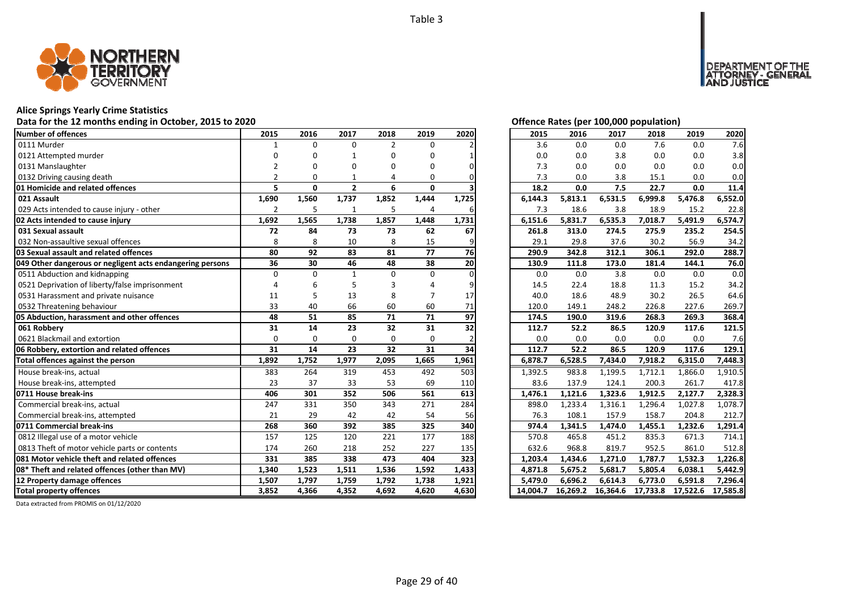

#### **Alice Springs Yearly Crime Statistics**

#### **Data for the 12 months ending in October, 2015 to 2020 Offence Rates (per 100,000 population)**

| Number of offences                                        | 2015           | 2016         | 2017           | 2018           | 2019         | 2020  | 2015     | 2016     | 2017     | 2018     | 2019     | 2020     |
|-----------------------------------------------------------|----------------|--------------|----------------|----------------|--------------|-------|----------|----------|----------|----------|----------|----------|
| 0111 Murder                                               |                | $\Omega$     | $\Omega$       | $\overline{2}$ | $\Omega$     |       | 3.6      | 0.0      | 0.0      | 7.6      | 0.0      | 7.6      |
| 0121 Attempted murder                                     |                | n            |                | 0              | O            |       | 0.0      | 0.0      | 3.8      | 0.0      | 0.0      | 3.8      |
| 0131 Manslaughter                                         |                |              | O              | O              | n            |       | 7.3      | 0.0      | 0.0      | 0.0      | 0.0      | 0.0      |
| 0132 Driving causing death                                | $\mathfrak{p}$ | O            |                | 4              | 0            |       | 7.3      | 0.0      | 3.8      | 15.1     | 0.0      | 0.0      |
| 01 Homicide and related offences                          | 5              | $\mathbf{0}$ | $\overline{2}$ | 6              | $\mathbf{0}$ |       | 18.2     | 0.0      | 7.5      | 22.7     | 0.0      | 11.4     |
| 021 Assault                                               | 1,690          | 1,560        | 1,737          | 1,852          | 1,444        | 1,725 | 6,144.3  | 5,813.1  | 6,531.5  | 6,999.8  | 5,476.8  | 6,552.0  |
| 029 Acts intended to cause injury - other                 | $\overline{2}$ | 5            |                | 5              | 4            | 6     | 7.3      | 18.6     | 3.8      | 18.9     | 15.2     | 22.8     |
| 02 Acts intended to cause injury                          | 1,692          | 1,565        | 1,738          | 1,857          | 1,448        | 1,731 | 6,151.6  | 5,831.7  | 6,535.3  | 7,018.7  | 5,491.9  | 6,574.7  |
| 031 Sexual assault                                        | 72             | 84           | 73             | 73             | 62           | 67    | 261.8    | 313.0    | 274.5    | 275.9    | 235.2    | 254.5    |
| 032 Non-assaultive sexual offences                        | 8              | 8            | 10             | 8              | 15           |       | 29.1     | 29.8     | 37.6     | 30.2     | 56.9     | 34.2     |
| 03 Sexual assault and related offences                    | 80             | 92           | 83             | 81             | 77           | 76    | 290.9    | 342.8    | 312.1    | 306.1    | 292.0    | 288.7    |
| 049 Other dangerous or negligent acts endangering persons | 36             | 30           | 46             | 48             | 38           | 20    | 130.9    | 111.8    | 173.0    | 181.4    | 144.1    | 76.0     |
| 0511 Abduction and kidnapping                             | $\Omega$       | $\Omega$     | $\mathbf{1}$   | $\Omega$       | $\Omega$     |       | 0.0      | 0.0      | 3.8      | 0.0      | 0.0      | 0.0      |
| 0521 Deprivation of liberty/false imprisonment            |                |              |                |                |              |       | 14.5     | 22.4     | 18.8     | 11.3     | 15.2     | 34.2     |
| 0531 Harassment and private nuisance                      | 11             | 5            | 13             | 8              |              | 17    | 40.0     | 18.6     | 48.9     | 30.2     | 26.5     | 64.6     |
| 0532 Threatening behaviour                                | 33             | 40           | 66             | 60             | 60           | 71    | 120.0    | 149.1    | 248.2    | 226.8    | 227.6    | 269.7    |
| 05 Abduction, harassment and other offences               | 48             | 51           | 85             | 71             | 71           | 97    | 174.5    | 190.0    | 319.6    | 268.3    | 269.3    | 368.4    |
| 061 Robberv                                               | 31             | 14           | 23             | 32             | 31           | 32    | 112.7    | 52.2     | 86.5     | 120.9    | 117.6    | 121.5    |
| 0621 Blackmail and extortion                              | $\Omega$       | $\Omega$     | $\Omega$       | $\Omega$       | $\Omega$     |       | 0.0      | 0.0      | 0.0      | 0.0      | 0.0      | 7.6      |
| 06 Robbery, extortion and related offences                | 31             | 14           | 23             | 32             | 31           | 34    | 112.7    | 52.2     | 86.5     | 120.9    | 117.6    | 129.1    |
| Total offences against the person                         | 1,892          | 1,752        | 1,977          | 2,095          | 1,665        | 1,961 | 6,878.7  | 6,528.5  | 7,434.0  | 7,918.2  | 6,315.0  | 7,448.3  |
| House break-ins, actual                                   | 383            | 264          | 319            | 453            | 492          | 503   | 1,392.5  | 983.8    | 1,199.5  | 1,712.1  | 1,866.0  | 1,910.5  |
| House break-ins, attempted                                | 23             | 37           | 33             | 53             | 69           | 110   | 83.6     | 137.9    | 124.1    | 200.3    | 261.7    | 417.8    |
| 0711 House break-ins                                      | 406            | 301          | 352            | 506            | 561          | 613   | 1,476.1  | 1,121.6  | 1,323.6  | 1,912.5  | 2,127.7  | 2,328.3  |
| Commercial break-ins, actual                              | 247            | 331          | 350            | 343            | 271          | 284   | 898.0    | 1,233.4  | 1,316.1  | 1,296.4  | 1,027.8  | 1,078.7  |
| Commercial break-ins, attempted                           | 21             | 29           | 42             | 42             | 54           | 56    | 76.3     | 108.1    | 157.9    | 158.7    | 204.8    | 212.7    |
| 0711 Commercial break-ins                                 | 268            | 360          | 392            | 385            | 325          | 340   | 974.4    | 1,341.5  | 1,474.0  | 1,455.1  | 1,232.6  | 1,291.4  |
| 0812 Illegal use of a motor vehicle                       | 157            | 125          | 120            | 221            | 177          | 188   | 570.8    | 465.8    | 451.2    | 835.3    | 671.3    | 714.1    |
| 0813 Theft of motor vehicle parts or contents             | 174            | 260          | 218            | 252            | 227          | 135   | 632.6    | 968.8    | 819.7    | 952.5    | 861.0    | 512.8    |
| 081 Motor vehicle theft and related offences              | 331            | 385          | 338            | 473            | 404          | 323   | 1,203.4  | 1,434.6  | 1,271.0  | 1,787.7  | 1,532.3  | 1,226.8  |
| 08* Theft and related offences (other than MV)            | 1,340          | 1,523        | 1,511          | 1,536          | 1,592        | 1,433 | 4,871.8  | 5,675.2  | 5,681.7  | 5,805.4  | 6,038.1  | 5,442.9  |
| 12 Property damage offences                               | 1,507          | 1,797        | 1,759          | 1,792          | 1,738        | 1,921 | 5,479.0  | 6,696.2  | 6,614.3  | 6,773.0  | 6,591.8  | 7,296.4  |
| <b>Total property offences</b>                            | 3.852          | 4,366        | 4,352          | 4,692          | 4,620        | 4,630 | 14,004.7 | 16.269.2 | 16,364.6 | 17,733.8 | 17,522.6 | 17,585.8 |

DEPARTMENT OF THE<br>ATTORNEY - GENERAL<br>AND JUSTICE

| 2015     | 2016     | 2017     | 2018     | 2019     | 2020     |
|----------|----------|----------|----------|----------|----------|
| 3.6      | 0.0      | 0.0      | 7.6      | 0.0      | 7.6      |
| 0.0      | 0.0      | 3.8      | 0.0      | 0.0      | 3.8      |
| 7.3      | 0.0      | 0.0      | 0.0      | 0.0      | 0.0      |
| 7.3      | 0.0      | 3.8      | 15.1     | 0.0      | 0.0      |
| 18.2     | 0.0      | 7.5      | 22.7     | 0.0      | 11.4     |
| 6,144.3  | 5,813.1  | 6,531.5  | 6,999.8  | 5,476.8  | 6,552.0  |
| 7.3      | 18.6     | 3.8      | 18.9     | 15.2     | 22.8     |
| 6,151.6  | 5,831.7  | 6,535.3  | 7,018.7  | 5,491.9  | 6,574.7  |
| 261.8    | 313.0    | 274.5    | 275.9    | 235.2    | 254.5    |
| 29.1     | 29.8     | 37.6     | 30.2     | 56.9     | 34.2     |
| 290.9    | 342.8    | 312.1    | 306.1    | 292.0    | 288.7    |
| 130.9    | 111.8    | 173.0    | 181.4    | 144.1    | 76.0     |
| 0.0      | 0.0      | 3.8      | 0.0      | 0.0      | 0.0      |
| 14.5     | 22.4     | 18.8     | 11.3     | 15.2     | 34.2     |
| 40.0     | 18.6     | 48.9     | 30.2     | 26.5     | 64.6     |
| 120.0    | 149.1    | 248.2    | 226.8    | 227.6    | 269.7    |
| 174.5    | 190.0    | 319.6    | 268.3    | 269.3    | 368.4    |
| 112.7    | 52.2     | 86.5     | 120.9    | 117.6    | 121.5    |
| 0.0      | 0.0      | 0.0      | 0.0      | 0.0      | 7.6      |
| 112.7    | 52.2     | 86.5     | 120.9    | 117.6    | 129.1    |
| 6,878.7  | 6,528.5  | 7,434.0  | 7,918.2  | 6,315.0  | 7,448.3  |
| 1,392.5  | 983.8    | 1,199.5  | 1,712.1  | 1,866.0  | 1,910.5  |
| 83.6     | 137.9    | 124.1    | 200.3    | 261.7    | 417.8    |
| 1,476.1  | 1,121.6  | 1,323.6  | 1,912.5  | 2,127.7  | 2,328.3  |
| 898.0    | 1,233.4  | 1,316.1  | 1,296.4  | 1,027.8  | 1,078.7  |
| 76.3     | 108.1    | 157.9    | 158.7    | 204.8    | 212.7    |
| 974.4    | 1,341.5  | 1,474.0  | 1,455.1  | 1,232.6  | 1,291.4  |
| 570.8    | 465.8    | 451.2    | 835.3    | 671.3    | 714.1    |
| 632.6    | 968.8    | 819.7    | 952.5    | 861.0    | 512.8    |
| 1,203.4  | 1,434.6  | 1,271.0  | 1,787.7  | 1,532.3  | 1,226.8  |
| 4,871.8  | 5,675.2  | 5,681.7  | 5,805.4  | 6,038.1  | 5,442.9  |
| 5,479.0  | 6,696.2  | 6,614.3  | 6,773.0  | 6,591.8  | 7,296.4  |
| 14,004.7 | 16,269.2 | 16,364.6 | 17,733.8 | 17,522.6 | 17,585.8 |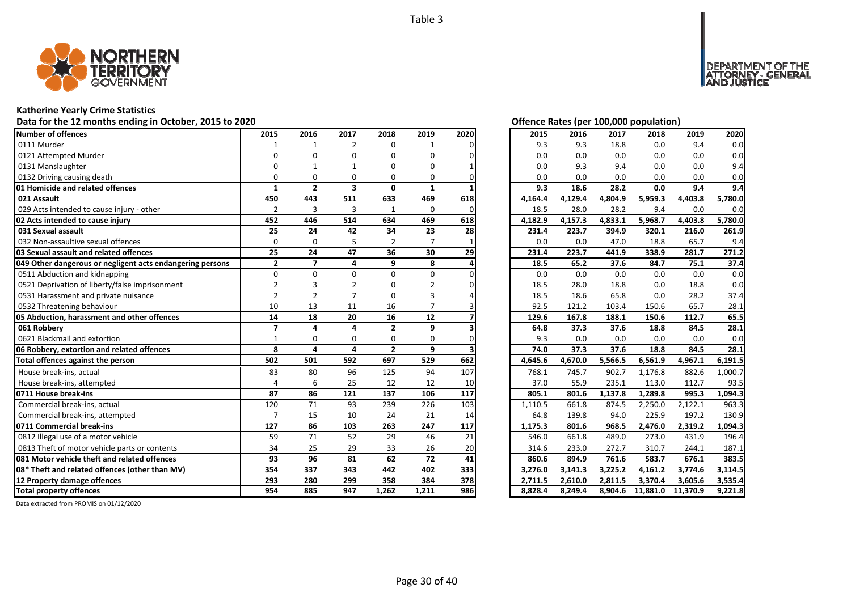

#### **Katherine Yearly Crime Statistics**

#### **Data for the 12 months ending in October, 2015 to 2020 Offence Rates (per 100,000 population)**

| <b>Number of offences</b>                                 | 2015                    | 2016           | 2017                    | 2018           | 2019            | 2020 | 2015    | 2016    | 2017    | 2018             | 2019     | 2020    |
|-----------------------------------------------------------|-------------------------|----------------|-------------------------|----------------|-----------------|------|---------|---------|---------|------------------|----------|---------|
| 0111 Murder                                               | $\mathbf{1}$            | $\mathbf{1}$   | $\overline{2}$          | $\Omega$       |                 |      | 9.3     | 9.3     | 18.8    | 0.0              | 9.4      | 0.0     |
| 0121 Attempted Murder                                     | n                       | ŋ              | O                       | O              | O               |      | 0.0     | 0.0     | 0.0     | 0.0              | 0.0      | 0.0     |
| 0131 Manslaughter                                         |                         |                |                         | ŋ              | 0               |      | 0.0     | 9.3     | 9.4     | 0.0              | 0.0      | 9.4     |
| 0132 Driving causing death                                | U                       | 0              | 0                       | 0              | 0               |      | 0.0     | 0.0     | 0.0     | 0.0              | 0.0      | 0.0     |
| 01 Homicide and related offences                          | 1                       | $\overline{2}$ | $\overline{\mathbf{3}}$ | $\mathbf{0}$   | 1               |      | 9.3     | 18.6    | 28.2    | 0.0              | 9.4      | 9.4     |
| 021 Assault                                               | 450                     | 443            | 511                     | 633            | 469             | 618  | 4,164.4 | 4,129.4 | 4,804.9 | 5,959.3          | 4,403.8  | 5,780.0 |
| 029 Acts intended to cause injury - other                 | $\overline{2}$          | 3              | $\overline{3}$          | 1              | 0               | O    | 18.5    | 28.0    | 28.2    | 9.4              | 0.0      | 0.0     |
| 02 Acts intended to cause injury                          | 452                     | 446            | 514                     | 634            | 469             | 618  | 4,182.9 | 4,157.3 | 4,833.1 | 5,968.7          | 4,403.8  | 5,780.0 |
| 031 Sexual assault                                        | 25                      | 24             | 42                      | 34             | 23              | 28   | 231.4   | 223.7   | 394.9   | 320.1            | 216.0    | 261.9   |
| 032 Non-assaultive sexual offences                        | $\Omega$                | $\Omega$       |                         | 2              | 7               |      | 0.0     | 0.0     | 47.0    | 18.8             | 65.7     | 9.4     |
| 03 Sexual assault and related offences                    | 25                      | 24             | 47                      | 36             | 30              | 29   | 231.4   | 223.7   | 441.9   | 338.9            | 281.7    | 271.2   |
| 049 Other dangerous or negligent acts endangering persons | $\mathbf{2}$            | $\overline{7}$ | 4                       | 9              | 8               |      | 18.5    | 65.2    | 37.6    | 84.7             | 75.1     | 37.4    |
| 0511 Abduction and kidnapping                             | $\Omega$                | $\Omega$       | $\Omega$                | 0              | 0               |      | 0.0     | 0.0     | 0.0     | 0.0              | 0.0      | 0.0     |
| 0521 Deprivation of liberty/false imprisonment            |                         |                |                         |                |                 |      | 18.5    | 28.0    | 18.8    | 0.0              | 18.8     | 0.0     |
| 0531 Harassment and private nuisance                      |                         |                |                         | 0              | 3               |      | 18.5    | 18.6    | 65.8    | 0.0              | 28.2     | 37.4    |
| 0532 Threatening behaviour                                | 10                      | 13             | 11                      | 16             |                 |      | 92.5    | 121.2   | 103.4   | 150.6            | 65.7     | 28.1    |
| 05 Abduction, harassment and other offences               | 14                      | 18             | 20                      | 16             | 12              |      | 129.6   | 167.8   | 188.1   | 150.6            | 112.7    | 65.5    |
| 061 Robbery                                               | $\overline{\mathbf{z}}$ | $\Delta$       | $\mathbf{a}$            | $\overline{2}$ | 9               |      | 64.8    | 37.3    | 37.6    | 18.8             | 84.5     | 28.1    |
| 0621 Blackmail and extortion                              | $\mathbf{1}$            | 0              | 0                       | 0              | 0               |      | 9.3     | 0.0     | 0.0     | 0.0              | 0.0      | 0.0     |
| 06 Robbery, extortion and related offences                | 8                       | 4              | 4                       | $\overline{2}$ | 9               |      | 74.0    | 37.3    | 37.6    | 18.8             | 84.5     | 28.1    |
| Total offences against the person                         | 502                     | 501            | 592                     | 697            | 529             | 662  | 4,645.6 | 4,670.0 | 5,566.5 | 6,561.9          | 4,967.1  | 6,191.5 |
| House break-ins, actual                                   | 83                      | 80             | 96                      | 125            | 94              | 107  | 768.1   | 745.7   | 902.7   | 1,176.8          | 882.6    | 1,000.7 |
| House break-ins, attempted                                |                         | 6              | 25                      | 12             | 12              | 10   | 37.0    | 55.9    | 235.1   | 113.0            | 112.7    | 93.5    |
| 0711 House break-ins                                      | 87                      | 86             | 121                     | 137            | 106             | 117  | 805.1   | 801.6   | 1,137.8 | 1,289.8          | 995.3    | 1.094.3 |
| Commercial break-ins, actual                              | 120                     | 71             | 93                      | 239            | 226             | 103  | 1,110.5 | 661.8   | 874.5   | 2,250.0          | 2,122.1  | 963.3   |
| Commercial break-ins, attempted                           |                         | 15             | 10                      | 24             | 21              | 14   | 64.8    | 139.8   | 94.0    | 225.9            | 197.2    | 130.9   |
| 0711 Commercial break-ins                                 | 127                     | 86             | 103                     | 263            | 247             | 117  | 1,175.3 | 801.6   | 968.5   | 2,476.0          | 2,319.2  | 1,094.3 |
| 0812 Illegal use of a motor vehicle                       | 59                      | 71             | 52                      | 29             | 46              | 21   | 546.0   | 661.8   | 489.0   | 273.0            | 431.9    | 196.4   |
| 0813 Theft of motor vehicle parts or contents             | 34                      | 25             | 29                      | 33             | 26              | 20   | 314.6   | 233.0   | 272.7   | 310.7            | 244.1    | 187.1   |
| 081 Motor vehicle theft and related offences              | 93                      | 96             | 81                      | 62             | $\overline{72}$ | 41   | 860.6   | 894.9   | 761.6   | 583.7            | 676.1    | 383.5   |
| 08* Theft and related offences (other than MV)            | 354                     | 337            | 343                     | 442            | 402             | 333  | 3.276.0 | 3,141.3 | 3,225.2 | 4,161.2          | 3,774.6  | 3,114.5 |
| 12 Property damage offences                               | 293                     | 280            | 299                     | 358            | 384             | 378  | 2,711.5 | 2,610.0 | 2,811.5 | 3,370.4          | 3,605.6  | 3,535.4 |
| <b>Total property offences</b>                            | 954                     | 885            | 947                     | 1,262          | 1,211           | 986  | 8,828.4 | 8,249.4 |         | 8,904.6 11,881.0 | 11,370.9 | 9,221.8 |

| Offence Rates (per 100,000 population) |  |
|----------------------------------------|--|
|                                        |  |

DEPARTMENT OF THE<br>ATTORNEY - GENERAL<br>AND JUSTICE

| 2015    | 2016    | 2017    | 2018    | 2019    | 2020               |
|---------|---------|---------|---------|---------|--------------------|
| 9.3     | 9.3     | 18.8    | 0.0     | 9.4     | 0.0                |
| 0.0     | 0.0     | 0.0     | 0.0     | 0.0     | 0.0                |
| 0.0     | 9.3     | 9.4     | 0.0     | 0.0     | 9.4                |
| 0.0     | 0.0     | 0.0     | 0.0     | 0.0     | 0.0                |
| 9.3     | 18.6    | 28.2    | 0.0     | 9.4     | 9.4                |
| 4,164.4 | 4,129.4 | 4,804.9 | 5,959.3 | 4,403.8 | 5,780.0            |
| 18.5    | 28.0    | 28.2    | 9.4     | 0.0     | 0.0                |
| 4,182.9 | 4,157.3 | 4,833.1 | 5,968.7 | 4,403.8 | 5,780.0            |
| 231.4   | 223.7   | 394.9   | 320.1   | 216.0   | 261.9              |
| 0.0     | 0.0     | 47.0    | 18.8    | 65.7    | 9.4                |
| 231.4   | 223.7   | 441.9   | 338.9   | 281.7   | 271.2              |
| 18.5    | 65.2    | 37.6    | 84.7    | 75.1    | 37.4               |
| 0.0     | 0.0     | 0.0     | 0.0     | 0.0     | 0.0                |
| 18.5    | 28.0    | 18.8    | 0.0     | 18.8    | 0.0                |
| 18.5    | 18.6    | 65.8    | 0.0     | 28.2    | 37.4               |
| 92.5    | 121.2   | 103.4   | 150.6   | 65.7    | 28.1               |
| 129.6   | 167.8   | 188.1   | 150.6   | 112.7   | 65.5               |
|         |         |         |         |         |                    |
| 64.8    | 37.3    | 37.6    | 18.8    | 84.5    | 28.1               |
| 9.3     | 0.0     | 0.0     | 0.0     | 0.0     | 0.0                |
| 74.0    | 37.3    | 37.6    | 18.8    | 84.5    | 28.1               |
| 4,645.6 | 4,670.0 | 5,566.5 | 6,561.9 | 4,967.1 | 6,191.5            |
| 768.1   | 745.7   | 902.7   | 1,176.8 | 882.6   | 1,000.7            |
| 37.0    | 55.9    | 235.1   | 113.0   | 112.7   | 93.5               |
| 805.1   | 801.6   | 1,137.8 | 1,289.8 | 995.3   | 1,094.3            |
| 1,110.5 | 661.8   | 874.5   | 2,250.0 | 2,122.1 | 963.3              |
| 64.8    | 139.8   | 94.0    | 225.9   | 197.2   | 130.9              |
| 1,175.3 | 801.6   | 968.5   | 2,476.0 | 2,319.2 | 1,094.3            |
| 546.0   | 661.8   | 489.0   | 273.0   | 431.9   | 196.4              |
| 314.6   | 233.0   | 272.7   | 310.7   | 244.1   | 187.1              |
| 860.6   | 894.9   | 761.6   | 583.7   | 676.1   | 383.5              |
| 3,276.0 | 3,141.3 | 3,225.2 | 4,161.2 | 3,774.6 | 3,114.5            |
| 2,711.5 | 2,610.0 | 2,811.5 | 3,370.4 | 3,605.6 | 3,535.4<br>9.221.8 |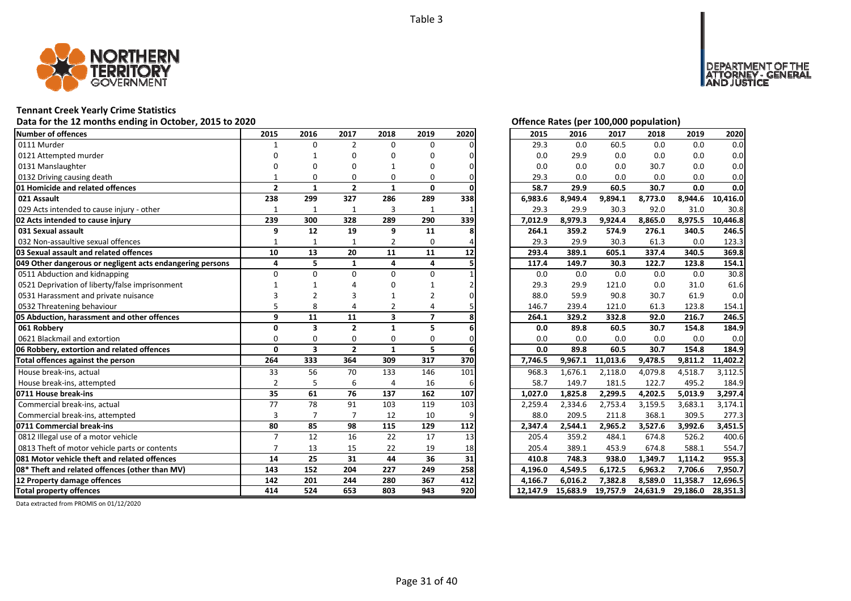

## **Tennant Creek Yearly Crime Statistics**

# Data for the 12 months ending in October, 2015 to 2020<br> **Data for the 12 months ending in October, 2015 to 2020**

| <b>Number of offences</b>                                 | 2015           | 2016                    | 2017           | 2018                    | 2019           | 2020 | 2015     | 2016     | 2017     | 2018     | 2019     | 2020     |
|-----------------------------------------------------------|----------------|-------------------------|----------------|-------------------------|----------------|------|----------|----------|----------|----------|----------|----------|
| 0111 Murder                                               |                | $\Omega$                | $\overline{2}$ | $\Omega$                | $\Omega$       |      | 29.3     | 0.0      | 60.5     | 0.0      | 0.0      | 0.0      |
| 0121 Attempted murder                                     | n              |                         | O              | ŋ                       | O              |      | 0.0      | 29.9     | 0.0      | 0.0      | 0.0      | 0.0      |
| 0131 Manslaughter                                         |                | ŋ                       | O              |                         | O              |      | 0.0      | 0.0      | 0.0      | 30.7     | 0.0      | 0.0      |
| 0132 Driving causing death                                |                | $\Omega$                | $\Omega$       | $\Omega$                | 0              |      | 29.3     | 0.0      | 0.0      | 0.0      | 0.0      | 0.0      |
| 01 Homicide and related offences                          | $\overline{2}$ | $\mathbf{1}$            | $\overline{2}$ | $\mathbf{1}$            | 0              |      | 58.7     | 29.9     | 60.5     | 30.7     | 0.0      | 0.0      |
| 021 Assault                                               | 238            | 299                     | 327            | 286                     | 289            | 338  | 6,983.6  | 8,949.4  | 9,894.1  | 8,773.0  | 8,944.6  | 10,416.0 |
| 029 Acts intended to cause injury - other                 |                | $\mathbf{1}$            | $\mathbf{1}$   | 3                       | $\mathbf{1}$   |      | 29.3     | 29.9     | 30.3     | 92.0     | 31.0     | 30.8     |
| 02 Acts intended to cause injury                          | 239            | 300                     | 328            | 289                     | 290            | 339  | 7,012.9  | 8,979.3  | 9,924.4  | 8,865.0  | 8,975.5  | 10,446.8 |
| 031 Sexual assault                                        | 9              | 12                      | 19             | 9                       | 11             |      | 264.1    | 359.2    | 574.9    | 276.1    | 340.5    | 246.5    |
| 032 Non-assaultive sexual offences                        | 1              | $\mathbf{1}$            | 1              | $\overline{2}$          | 0              |      | 29.3     | 29.9     | 30.3     | 61.3     | 0.0      | 123.3    |
| 03 Sexual assault and related offences                    | 10             | 13                      | 20             | 11                      | 11             | 12   | 293.4    | 389.1    | 605.1    | 337.4    | 340.5    | 369.8    |
| 049 Other dangerous or negligent acts endangering persons | 4              | 5                       | $\mathbf{1}$   | 4                       | 4              |      | 117.4    | 149.7    | 30.3     | 122.7    | 123.8    | 154.1    |
| 0511 Abduction and kidnapping                             | $\Omega$       | $\Omega$                | $\Omega$       | $\Omega$                | 0              |      | 0.0      | 0.0      | 0.0      | 0.0      | 0.0      | 30.8     |
| 0521 Deprivation of liberty/false imprisonment            |                |                         |                |                         |                |      | 29.3     | 29.9     | 121.0    | 0.0      | 31.0     | 61.6     |
| 0531 Harassment and private nuisance                      |                |                         | 3              |                         | 2              |      | 88.0     | 59.9     | 90.8     | 30.7     | 61.9     | 0.0      |
| 0532 Threatening behaviour                                |                | 8                       |                | 2                       | Δ              |      | 146.7    | 239.4    | 121.0    | 61.3     | 123.8    | 154.1    |
| 05 Abduction, harassment and other offences               | 9              | 11                      | 11             | $\overline{\mathbf{3}}$ | $\overline{7}$ |      | 264.1    | 329.2    | 332.8    | 92.0     | 216.7    | 246.5    |
| 061 Robberv                                               | O              | 3                       | $\overline{2}$ | $\mathbf{1}$            | 5              |      | 0.0      | 89.8     | 60.5     | 30.7     | 154.8    | 184.9    |
| 0621 Blackmail and extortion                              | $\Omega$       | $\Omega$                | $\Omega$       | 0                       | 0              |      | 0.0      | 0.0      | 0.0      | 0.0      | 0.0      | 0.0      |
| 06 Robbery, extortion and related offences                | $\mathbf{0}$   | $\overline{\mathbf{3}}$ | $\overline{2}$ | $\mathbf{1}$            | 5              |      | 0.0      | 89.8     | 60.5     | 30.7     | 154.8    | 184.9    |
| Total offences against the person                         | 264            | 333                     | 364            | 309                     | 317            | 370  | 7,746.5  | 9,967.1  | 11,013.6 | 9,478.5  | 9,811.2  | 11,402.2 |
| House break-ins, actual                                   | 33             | 56                      | 70             | 133                     | 146            | 101  | 968.3    | 1,676.1  | 2,118.0  | 4,079.8  | 4,518.7  | 3,112.5  |
| House break-ins, attempted                                | $\overline{2}$ | 5                       | 6              | $\Delta$                | 16             |      | 58.7     | 149.7    | 181.5    | 122.7    | 495.2    | 184.9    |
| 0711 House break-ins                                      | 35             | 61                      | 76             | 137                     | 162            | 107  | 1,027.0  | 1,825.8  | 2,299.5  | 4,202.5  | 5,013.9  | 3,297.4  |
| Commercial break-ins, actual                              | 77             | 78                      | 91             | 103                     | 119            | 103  | 2,259.4  | 2,334.6  | 2,753.4  | 3,159.5  | 3,683.1  | 3,174.1  |
| Commercial break-ins, attempted                           | 3              | $\overline{7}$          | $\overline{7}$ | 12                      | 10             |      | 88.0     | 209.5    | 211.8    | 368.1    | 309.5    | 277.3    |
| 0711 Commercial break-ins                                 | 80             | 85                      | 98             | 115                     | 129            | 112  | 2,347.4  | 2,544.1  | 2.965.2  | 3,527.6  | 3.992.6  | 3,451.5  |
| 0812 Illegal use of a motor vehicle                       | $\overline{7}$ | 12                      | 16             | 22                      | 17             | 13   | 205.4    | 359.2    | 484.1    | 674.8    | 526.2    | 400.6    |
| 0813 Theft of motor vehicle parts or contents             | $\overline{7}$ | 13                      | 15             | 22                      | 19             | 18   | 205.4    | 389.1    | 453.9    | 674.8    | 588.1    | 554.7    |
| 081 Motor vehicle theft and related offences              | 14             | 25                      | 31             | 44                      | 36             | 31   | 410.8    | 748.3    | 938.0    | 1,349.7  | 1,114.2  | 955.3    |
| 08* Theft and related offences (other than MV)            | 143            | 152                     | 204            | 227                     | 249            | 258  | 4,196.0  | 4,549.5  | 6,172.5  | 6,963.2  | 7,706.6  | 7,950.7  |
| 12 Property damage offences                               | 142            | 201                     | 244            | 280                     | 367            | 412  | 4,166.7  | 6.016.2  | 7,382.8  | 8,589.0  | 11,358.7 | 12,696.5 |
| <b>Total property offences</b>                            | 414            | 524                     | 653            | 803                     | 943            | 920  | 12.147.9 | 15.683.9 | 19,757.9 | 24,631.9 | 29,186.0 | 28,351.3 |

DEPARTMENT OF THE<br>ATTORNEY - GENERAL ÜSTICE

| 2015     | 2016     | 2017     | 2018     | 2019     | 2020     |
|----------|----------|----------|----------|----------|----------|
| 29.3     | 0.0      | 60.5     | 0.0      | 0.0      | 0.0      |
| 0.0      | 29.9     | 0.0      | 0.0      | 0.0      | 0.0      |
| 0.0      | 0.0      | 0.0      | 30.7     | 0.0      | 0.0      |
| 29.3     | 0.0      | 0.0      | 0.0      | 0.0      | 0.0      |
| 58.7     | 29.9     | 60.5     | 30.7     | 0.0      | 0.0      |
| 6,983.6  | 8,949.4  | 9,894.1  | 8,773.0  | 8,944.6  | 10,416.0 |
| 29.3     | 29.9     | 30.3     | 92.0     | 31.0     | 30.8     |
| 7,012.9  | 8,979.3  | 9,924.4  | 8,865.0  | 8,975.5  | 10,446.8 |
| 264.1    | 359.2    | 574.9    | 276.1    | 340.5    | 246.5    |
| 29.3     | 29.9     | 30.3     | 61.3     | 0.0      | 123.3    |
| 293.4    | 389.1    | 605.1    | 337.4    | 340.5    | 369.8    |
| 117.4    | 149.7    | 30.3     | 122.7    | 123.8    | 154.1    |
| 0.0      | 0.0      | 0.0      | 0.0      | 0.0      | 30.8     |
| 29.3     | 29.9     | 121.0    | 0.0      | 31.0     | 61.6     |
| 88.0     | 59.9     | 90.8     | 30.7     | 61.9     | 0.0      |
| 146.7    | 239.4    | 121.0    | 61.3     | 123.8    | 154.1    |
| 264.1    | 329.2    | 332.8    | 92.0     | 216.7    | 246.5    |
| 0.0      | 89.8     | 60.5     | 30.7     | 154.8    | 184.9    |
| 0.0      | 0.0      | 0.0      | 0.0      | 0.0      | 0.0      |
| 0.0      | 89.8     | 60.5     | 30.7     | 154.8    | 184.9    |
| 7,746.5  | 9,967.1  | 11,013.6 | 9,478.5  | 9,811.2  | 11,402.2 |
| 968.3    | 1,676.1  | 2,118.0  | 4,079.8  | 4,518.7  | 3,112.5  |
| 58.7     | 149.7    | 181.5    | 122.7    | 495.2    | 184.9    |
| 1,027.0  | 1,825.8  | 2,299.5  | 4,202.5  | 5,013.9  | 3,297.4  |
| 2,259.4  | 2,334.6  | 2,753.4  | 3,159.5  | 3,683.1  | 3,174.1  |
| 88.0     | 209.5    | 211.8    | 368.1    | 309.5    | 277.3    |
| 2,347.4  | 2,544.1  | 2,965.2  | 3,527.6  | 3,992.6  | 3,451.5  |
| 205.4    | 359.2    | 484.1    | 674.8    | 526.2    | 400.6    |
| 205.4    | 389.1    | 453.9    | 674.8    | 588.1    | 554.7    |
| 410.8    | 748.3    | 938.0    | 1,349.7  | 1,114.2  | 955.3    |
| 4,196.0  | 4,549.5  | 6,172.5  | 6,963.2  | 7,706.6  | 7,950.7  |
| 4,166.7  | 6,016.2  | 7,382.8  | 8,589.0  | 11,358.7 | 12,696.5 |
| 12,147.9 | 15,683.9 | 19,757.9 | 24,631.9 | 29,186.0 | 28,351.3 |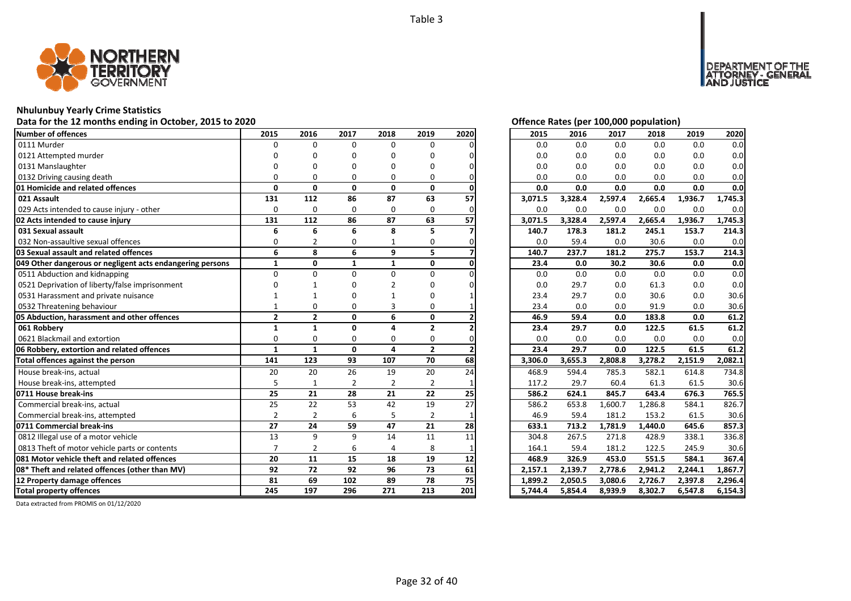

## **Nhulunbuy Yearly Crime Statistics**

# **Data for the 12 months ending in October, 2015 to 2020** *Data for the 12 months ending in October, 2015 to 2020**<b>Offence Rates (per 100,000 population)*

| <b>Number of offences</b>                                 | 2015           | 2016           | 2017           | 2018           | 2019           | 2020 | 2015    | 2016    | 2017    | 2018    | 2019    | 2020    |
|-----------------------------------------------------------|----------------|----------------|----------------|----------------|----------------|------|---------|---------|---------|---------|---------|---------|
| 0111 Murder                                               | $\Omega$       | $\Omega$       | $\Omega$       | $\Omega$       | $\Omega$       |      | 0.0     | 0.0     | 0.0     | 0.0     | 0.0     | 0.0     |
| 0121 Attempted murder                                     |                | ŋ              | O              | ŋ              | O              |      | 0.0     | 0.0     | 0.0     | 0.0     | 0.0     | 0.0     |
| 0131 Manslaughter                                         |                | n              | n              | n              | O              |      | 0.0     | 0.0     | 0.0     | 0.0     | 0.0     | 0.0     |
| 0132 Driving causing death                                | O              | $\Omega$       | $\Omega$       | $\Omega$       | 0              |      | 0.0     | 0.0     | 0.0     | 0.0     | 0.0     | 0.0     |
| 01 Homicide and related offences                          | $\mathbf{0}$   | 0              | $\mathbf{0}$   | 0              | 0              |      | 0.0     | 0.0     | 0.0     | 0.0     | 0.0     | 0.0     |
| 021 Assault                                               | 131            | 112            | 86             | 87             | 63             | 57   | 3,071.5 | 3,328.4 | 2,597.4 | 2,665.4 | 1,936.7 | 1,745.3 |
| 029 Acts intended to cause injury - other                 | 0              | $\mathbf 0$    | 0              | 0              | 0              |      | 0.0     | 0.0     | 0.0     | 0.0     | 0.0     | 0.0     |
| 02 Acts intended to cause injury                          | 131            | 112            | 86             | 87             | 63             | 57   | 3,071.5 | 3,328.4 | 2,597.4 | 2,665.4 | 1,936.7 | 1,745.3 |
| 031 Sexual assault                                        | 6              | 6              | 6              | 8              | 5              |      | 140.7   | 178.3   | 181.2   | 245.1   | 153.7   | 214.3   |
| 032 Non-assaultive sexual offences                        | 0              |                | 0              |                | 0              |      | 0.0     | 59.4    | 0.0     | 30.6    | 0.0     | 0.0     |
| 03 Sexual assault and related offences                    | 6              | 8              | 6              | 9              | 5              |      | 140.7   | 237.7   | 181.2   | 275.7   | 153.7   | 214.3   |
| 049 Other dangerous or negligent acts endangering persons | $\mathbf{1}$   | $\mathbf{0}$   | $\mathbf{1}$   | $\mathbf{1}$   | 0              |      | 23.4    | 0.0     | 30.2    | 30.6    | 0.0     | 0.0     |
| 0511 Abduction and kidnapping                             | $\Omega$       | $\Omega$       | $\Omega$       | 0              | 0              |      | 0.0     | 0.0     | 0.0     | 0.0     | 0.0     | 0.0     |
| 0521 Deprivation of liberty/false imprisonment            |                |                | O              |                | 0              |      | 0.0     | 29.7    | 0.0     | 61.3    | 0.0     | 0.0     |
| 0531 Harassment and private nuisance                      |                |                |                |                | 0              |      | 23.4    | 29.7    | 0.0     | 30.6    | 0.0     | 30.6    |
| 0532 Threatening behaviour                                | 1              | 0              | 0              | 3              | 0              |      | 23.4    | 0.0     | 0.0     | 91.9    | 0.0     | 30.6    |
| 05 Abduction, harassment and other offences               | $\mathbf{2}$   | $\overline{2}$ | $\mathbf{0}$   | 6              | $\mathbf{0}$   |      | 46.9    | 59.4    | 0.0     | 183.8   | 0.0     | 61.2    |
| 061 Robbery                                               | 1              | $\mathbf{1}$   | $\mathbf{0}$   | 4              | $\overline{2}$ |      | 23.4    | 29.7    | 0.0     | 122.5   | 61.5    | 61.2    |
| 0621 Blackmail and extortion                              | $\Omega$       | $\Omega$       | $\Omega$       | 0              | 0              |      | 0.0     | 0.0     | 0.0     | 0.0     | 0.0     | 0.0     |
| 06 Robbery, extortion and related offences                | $\mathbf{1}$   | $\mathbf{1}$   | $\mathbf{0}$   | 4              | $\overline{2}$ |      | 23.4    | 29.7    | 0.0     | 122.5   | 61.5    | 61.2    |
| Total offences against the person                         | 141            | 123            | 93             | 107            | 70             | 68   | 3,306.0 | 3,655.3 | 2,808.8 | 3,278.2 | 2,151.9 | 2,082.1 |
| House break-ins, actual                                   | 20             | 20             | 26             | 19             | 20             | 24   | 468.9   | 594.4   | 785.3   | 582.1   | 614.8   | 734.8   |
| House break-ins, attempted                                | 5              | 1              | $\overline{2}$ | $\overline{2}$ | $\overline{2}$ |      | 117.2   | 29.7    | 60.4    | 61.3    | 61.5    | 30.6    |
| 0711 House break-ins                                      | 25             | 21             | 28             | 21             | 22             | 25   | 586.2   | 624.1   | 845.7   | 643.4   | 676.3   | 765.5   |
| Commercial break-ins, actual                              | 25             | 22             | 53             | 42             | 19             | 27   | 586.2   | 653.8   | 1,600.7 | 1,286.8 | 584.1   | 826.7   |
| Commercial break-ins, attempted                           | $\overline{2}$ | $\overline{2}$ | 6              | 5              | $\overline{2}$ |      | 46.9    | 59.4    | 181.2   | 153.2   | 61.5    | 30.6    |
| 0711 Commercial break-ins                                 | 27             | 24             | 59             | 47             | 21             | 28   | 633.1   | 713.2   | 1.781.9 | 1,440.0 | 645.6   | 857.3   |
| 0812 Illegal use of a motor vehicle                       | 13             | $\mathsf{q}$   | 9              | 14             | 11             | 11   | 304.8   | 267.5   | 271.8   | 428.9   | 338.1   | 336.8   |
| 0813 Theft of motor vehicle parts or contents             | $\overline{7}$ | $\overline{2}$ | 6              | $\overline{a}$ | 8              |      | 164.1   | 59.4    | 181.2   | 122.5   | 245.9   | 30.6    |
| 081 Motor vehicle theft and related offences              | 20             | 11             | 15             | 18             | 19             | 12   | 468.9   | 326.9   | 453.0   | 551.5   | 584.1   | 367.4   |
| 08* Theft and related offences (other than MV)            | 92             | 72             | 92             | 96             | 73             | 61   | 2,157.1 | 2,139.7 | 2,778.6 | 2,941.2 | 2,244.1 | 1,867.7 |
| 12 Property damage offences                               | 81             | 69             | 102            | 89             | 78             | 75   | 1,899.2 | 2,050.5 | 3,080.6 | 2,726.7 | 2,397.8 | 2,296.4 |
| <b>Total property offences</b>                            | 245            | 197            | 296            | 271            | 213            | 201  | 5,744.4 | 5,854.4 | 8,939.9 | 8,302.7 | 6,547.8 | 6,154.3 |

DEPARTMENT OF THE<br>ATTORNEY - GENERAL USTICE

| $\frac{0}{0}$                             | 2015    | 2016    | 2017    | 2018    | 2019    | 2020    |
|-------------------------------------------|---------|---------|---------|---------|---------|---------|
|                                           | 0.0     | 0.0     | 0.0     | 0.0     | 0.0     | 0.0     |
| 0                                         | 0.0     | 0.0     | 0.0     | 0.0     | 0.0     | 0.0     |
| 0                                         | 0.0     | 0.0     | 0.0     | 0.0     | 0.0     | 0.0     |
|                                           | 0.0     | 0.0     | 0.0     | 0.0     | 0.0     | 0.0     |
| $\frac{0}{7}$                             | 0.0     | 0.0     | 0.0     | 0.0     | 0.0     | 0.0     |
|                                           | 3,071.5 | 3,328.4 | 2,597.4 | 2,665.4 | 1,936.7 | 1,745.3 |
|                                           | 0.0     | 0.0     | 0.0     | 0.0     | 0.0     | 0.0     |
| $\frac{0}{7}$                             | 3,071.5 | 3,328.4 | 2,597.4 | 2,665.4 | 1,936.7 | 1,745.3 |
|                                           | 140.7   | 178.3   | 181.2   | 245.1   | 153.7   | 214.3   |
|                                           | 0.0     | 59.4    | 0.0     | 30.6    | 0.0     | 0.0     |
|                                           | 140.7   | 237.7   | 181.2   | 275.7   | 153.7   | 214.3   |
| $\frac{0}{7}$ $\frac{0}{0}$               | 23.4    | 0.0     | 30.2    | 30.6    | $0.0\,$ | $0.0\,$ |
|                                           | 0.0     | 0.0     | 0.0     | 0.0     | 0.0     | 0.0     |
| 0                                         | $0.0\,$ | 29.7    | 0.0     | 61.3    | 0.0     | 0.0     |
| $\mathbf{1}$                              | 23.4    | 29.7    | 0.0     | 30.6    | 0.0     | 30.6    |
|                                           | 23.4    | 0.0     | 0.0     | 91.9    | 0.0     | 30.6    |
| $\frac{1}{2}$                             | 46.9    | 59.4    | 0.0     | 183.8   | 0.0     | 61.2    |
|                                           | 23.4    | 29.7    | 0.0     | 122.5   | 61.5    | 61.2    |
|                                           | 0.0     | 0.0     | 0.0     | 0.0     | 0.0     | 0.0     |
|                                           | 23.4    | 29.7    | 0.0     | 122.5   | 61.5    | 61.2    |
| $\frac{0}{2}$ $\frac{8}{4}$               | 3,306.0 | 3,655.3 | 2,808.8 | 3,278.2 | 2,151.9 | 2,082.1 |
|                                           | 468.9   | 594.4   | 785.3   | 582.1   | 614.8   | 734.8   |
|                                           | 117.2   | 29.7    | 60.4    | 61.3    | 61.5    | 30.6    |
| $\frac{1}{5}$                             | 586.2   | 624.1   | 845.7   | 643.4   | 676.3   | 765.5   |
|                                           | 586.2   | 653.8   | 1,600.7 | 1,286.8 | 584.1   | 826.7   |
|                                           | 46.9    | 59.4    | 181.2   | 153.2   | 61.5    | 30.6    |
|                                           | 633.1   | 713.2   | 1,781.9 | 1,440.0 | 645.6   | 857.3   |
| $\frac{1}{8}$                             | 304.8   | 267.5   | 271.8   | 428.9   | 338.1   | 336.8   |
|                                           | 164.1   | 59.4    | 181.2   | 122.5   | 245.9   | 30.6    |
|                                           | 468.9   | 326.9   | 453.0   | 551.5   | 584.1   | 367.4   |
| $\frac{1}{2}$ $\frac{1}{5}$ $\frac{1}{1}$ | 2,157.1 | 2,139.7 | 2,778.6 | 2,941.2 | 2,244.1 | 1,867.7 |
|                                           | 1,899.2 | 2,050.5 | 3,080.6 | 2,726.7 | 2,397.8 | 2,296.4 |
|                                           | 5.744.4 | 5,854.4 | 8,939.9 | 8,302.7 | 6,547.8 | 6,154.3 |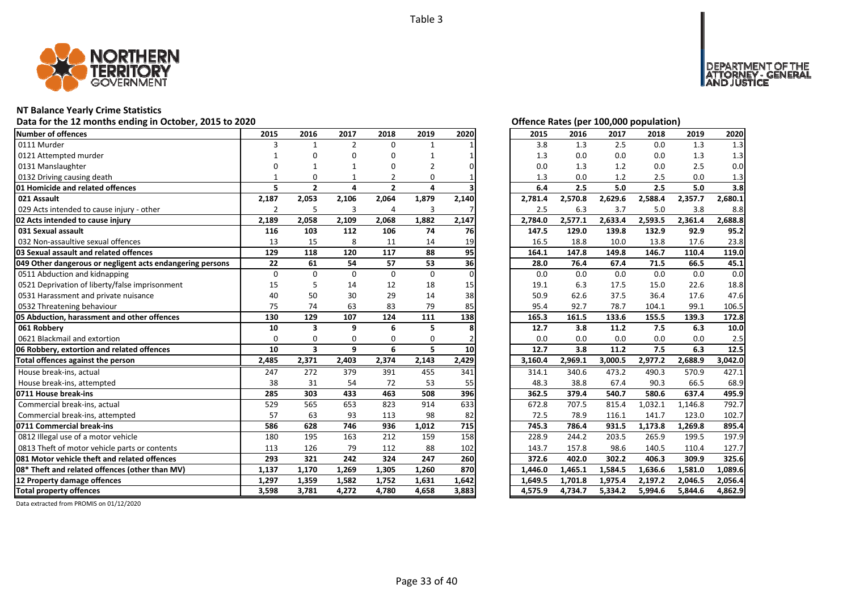

## **NT Balance Yearly Crime Statistics**

## Data for the 12 months ending in October, 2015 to 2020 *Department Contract Contract Contract Contract Contract Contract Contract Contract Contract Contract Contract Contract Contract Contract Contract Contract Contract C*

| Number of offences                                        | 2015           | 2016                    | 2017           | 2018           | 2019         | 2020            | 2015    | 2016    | 2017    | 2018    | 2019    | 2020    |
|-----------------------------------------------------------|----------------|-------------------------|----------------|----------------|--------------|-----------------|---------|---------|---------|---------|---------|---------|
| 0111 Murder                                               | 3              | 1                       | $\overline{2}$ | 0              | $\mathbf{1}$ |                 | 3.8     | 1.3     | 2.5     | 0.0     | 1.3     | 1.3     |
| 0121 Attempted murder                                     |                | n                       | O              | 0              |              |                 | 1.3     | 0.0     | 0.0     | 0.0     | 1.3     | 1.3     |
| 0131 Manslaughter                                         |                |                         |                | O              | 2            |                 | 0.0     | 1.3     | 1.2     | 0.0     | 2.5     | 0.0     |
| 0132 Driving causing death                                |                | $\Omega$                |                | $\overline{2}$ | 0            |                 | 1.3     | 0.0     | 1.2     | 2.5     | 0.0     | 1.3     |
| 01 Homicide and related offences                          | 5              | $\overline{2}$          | 4              | $\overline{2}$ | 4            |                 | 6.4     | 2.5     | 5.0     | 2.5     | 5.0     | 3.8     |
| 021 Assault                                               | 2,187          | 2,053                   | 2,106          | 2,064          | 1,879        | 2,140           | 2,781.4 | 2,570.8 | 2,629.6 | 2,588.4 | 2,357.7 | 2,680.1 |
| 029 Acts intended to cause injury - other                 | $\overline{2}$ | 5                       | 3              | $\overline{4}$ | 3            |                 | 2.5     | 6.3     | 3.7     | 5.0     | 3.8     | 8.8     |
| 02 Acts intended to cause injury                          | 2,189          | 2,058                   | 2,109          | 2,068          | 1,882        | 2,147           | 2,784.0 | 2,577.1 | 2,633.4 | 2,593.5 | 2,361.4 | 2,688.8 |
| 031 Sexual assault                                        | 116            | 103                     | 112            | 106            | 74           | 76              | 147.5   | 129.0   | 139.8   | 132.9   | 92.9    | 95.2    |
| 032 Non-assaultive sexual offences                        | 13             | 15                      | 8              | 11             | 14           | 19              | 16.5    | 18.8    | 10.0    | 13.8    | 17.6    | 23.8    |
| 03 Sexual assault and related offences                    | 129            | 118                     | 120            | 117            | 88           | 95              | 164.1   | 147.8   | 149.8   | 146.7   | 110.4   | 119.0   |
| 049 Other dangerous or negligent acts endangering persons | 22             | 61                      | 54             | 57             | 53           | 36              | 28.0    | 76.4    | 67.4    | 71.5    | 66.5    | 45.1    |
| 0511 Abduction and kidnapping                             | $\Omega$       | $\Omega$                | $\Omega$       | $\Omega$       | $\Omega$     |                 | 0.0     | 0.0     | 0.0     | 0.0     | 0.0     | 0.0     |
| 0521 Deprivation of liberty/false imprisonment            | 15             |                         | 14             | 12             | 18           | 15              | 19.1    | 6.3     | 17.5    | 15.0    | 22.6    | 18.8    |
| 0531 Harassment and private nuisance                      | 40             | 50                      | 30             | 29             | 14           | 38              | 50.9    | 62.6    | 37.5    | 36.4    | 17.6    | 47.6    |
| 0532 Threatening behaviour                                | 75             | 74                      | 63             | 83             | 79           | 85              | 95.4    | 92.7    | 78.7    | 104.1   | 99.1    | 106.5   |
| 05 Abduction, harassment and other offences               | 130            | 129                     | 107            | 124            | 111          | 138             | 165.3   | 161.5   | 133.6   | 155.5   | 139.3   | 172.8   |
| 061 Robberv                                               | 10             | $\overline{\mathbf{3}}$ | q              | 6              | 5            |                 | 12.7    | 3.8     | 11.2    | 7.5     | 6.3     | 10.0    |
| 0621 Blackmail and extortion                              | $\Omega$       | $\Omega$                | $\Omega$       | $\Omega$       | $\Omega$     |                 | 0.0     | 0.0     | 0.0     | 0.0     | 0.0     | 2.5     |
| 06 Robbery, extortion and related offences                | 10             | $\overline{\mathbf{3}}$ | 9              | 6              | 5.           | 10 <sup>1</sup> | 12.7    | 3.8     | 11.2    | 7.5     | 6.3     | 12.5    |
| Total offences against the person                         | 2,485          | 2,371                   | 2,403          | 2,374          | 2,143        | 2,429           | 3,160.4 | 2,969.1 | 3,000.5 | 2,977.2 | 2,688.9 | 3,042.0 |
| House break-ins, actual                                   | 247            | 272                     | 379            | 391            | 455          | 341             | 314.1   | 340.6   | 473.2   | 490.3   | 570.9   | 427.1   |
| House break-ins, attempted                                | 38             | 31                      | 54             | 72             | 53           | 55              | 48.3    | 38.8    | 67.4    | 90.3    | 66.5    | 68.9    |
| 0711 House break-ins                                      | 285            | 303                     | 433            | 463            | 508          | 396             | 362.5   | 379.4   | 540.7   | 580.6   | 637.4   | 495.9   |
| Commercial break-ins, actual                              | 529            | 565                     | 653            | 823            | 914          | 633             | 672.8   | 707.5   | 815.4   | 1,032.1 | 1,146.8 | 792.7   |
| Commercial break-ins, attempted                           | 57             | 63                      | 93             | 113            | 98           | 82              | 72.5    | 78.9    | 116.1   | 141.7   | 123.0   | 102.7   |
| 0711 Commercial break-ins                                 | 586            | 628                     | 746            | 936            | 1,012        | 715             | 745.3   | 786.4   | 931.5   | 1,173.8 | 1.269.8 | 895.4   |
| 0812 Illegal use of a motor vehicle                       | 180            | 195                     | 163            | 212            | 159          | 158             | 228.9   | 244.2   | 203.5   | 265.9   | 199.5   | 197.9   |
| 0813 Theft of motor vehicle parts or contents             | 113            | 126                     | 79             | 112            | 88           | 102             | 143.7   | 157.8   | 98.6    | 140.5   | 110.4   | 127.7   |
| 081 Motor vehicle theft and related offences              | 293            | 321                     | 242            | 324            | 247          | 260             | 372.6   | 402.0   | 302.2   | 406.3   | 309.9   | 325.6   |
| 08* Theft and related offences (other than MV)            | 1,137          | 1,170                   | 1,269          | 1,305          | 1,260        | 870             | 1,446.0 | 1,465.1 | 1,584.5 | 1,636.6 | 1,581.0 | 1,089.6 |
| 12 Property damage offences                               | 1,297          | 1,359                   | 1,582          | 1,752          | 1,631        | 1,642           | 1,649.5 | 1,701.8 | 1,975.4 | 2,197.2 | 2,046.5 | 2,056.4 |
| <b>Total property offences</b>                            | 3,598          | 3,781                   | 4,272          | 4,780          | 4,658        | 3,883           | 4,575.9 | 4,734.7 | 5,334.2 | 5,994.6 | 5,844.6 | 4,862.9 |

DEPARTMENT OF THE<br>ATTORNEY - GENERAL ÜSTICE

| 2015    | 2016    | 2017    | 2018    | 2019    | 2020    |
|---------|---------|---------|---------|---------|---------|
| 3.8     | 1.3     | 2.5     | 0.0     | 1.3     | 1.3     |
| 1.3     | 0.0     | 0.0     | 0.0     | 1.3     | 1.3     |
| 0.0     | 1.3     | 1.2     | 0.0     | 2.5     | 0.0     |
| 1.3     | 0.0     | 1.2     | 2.5     | 0.0     | 1.3     |
| 6.4     | 2.5     | 5.0     | 2.5     | 5.0     | 3.8     |
| 2,781.4 | 2,570.8 | 2,629.6 | 2,588.4 | 2,357.7 | 2,680.1 |
| 2.5     | 6.3     | 3.7     | 5.0     | 3.8     | 8.8     |
| 2,784.0 | 2,577.1 | 2,633.4 | 2,593.5 | 2,361.4 | 2,688.8 |
| 147.5   | 129.0   | 139.8   | 132.9   | 92.9    | 95.2    |
| 16.5    | 18.8    | 10.0    | 13.8    | 17.6    | 23.8    |
| 164.1   | 147.8   | 149.8   | 146.7   | 110.4   | 119.0   |
| 28.0    | 76.4    | 67.4    | 71.5    | 66.5    | 45.1    |
| 0.0     | 0.0     | 0.0     | 0.0     | 0.0     | 0.0     |
| 19.1    | 6.3     | 17.5    | 15.0    | 22.6    | 18.8    |
| 50.9    | 62.6    | 37.5    | 36.4    | 17.6    | 47.6    |
| 95.4    | 92.7    | 78.7    | 104.1   | 99.1    | 106.5   |
|         |         |         |         |         |         |
| 165.3   | 161.5   | 133.6   | 155.5   | 139.3   | 172.8   |
| 12.7    | 3.8     | 11.2    | 7.5     | 6.3     | 10.0    |
| 0.0     | 0.0     | 0.0     | 0.0     | 0.0     | 2.5     |
| 12.7    | 3.8     | 11.2    | 7.5     | 6.3     | 12.5    |
| 3,160.4 | 2,969.1 | 3,000.5 | 2,977.2 | 2,688.9 | 3,042.0 |
| 314.1   | 340.6   | 473.2   | 490.3   | 570.9   | 427.1   |
| 48.3    | 38.8    | 67.4    | 90.3    | 66.5    | 68.9    |
| 362.5   | 379.4   | 540.7   | 580.6   | 637.4   | 495.9   |
| 672.8   | 707.5   | 815.4   | 1,032.1 | 1,146.8 | 792.7   |
| 72.5    | 78.9    | 116.1   | 141.7   | 123.0   | 102.7   |
| 745.3   | 786.4   | 931.5   | 1,173.8 | 1,269.8 | 895.4   |
| 228.9   | 244.2   | 203.5   | 265.9   | 199.5   | 197.9   |
| 143.7   | 157.8   | 98.6    | 140.5   | 110.4   | 127.7   |
| 372.6   | 402.0   | 302.2   | 406.3   | 309.9   | 325.6   |
| 1,446.0 | 1,465.1 | 1,584.5 | 1,636.6 | 1,581.0 | 1,089.6 |
| 1,649.5 | 1,701.8 | 1,975.4 | 2,197.2 | 2,046.5 | 2,056.4 |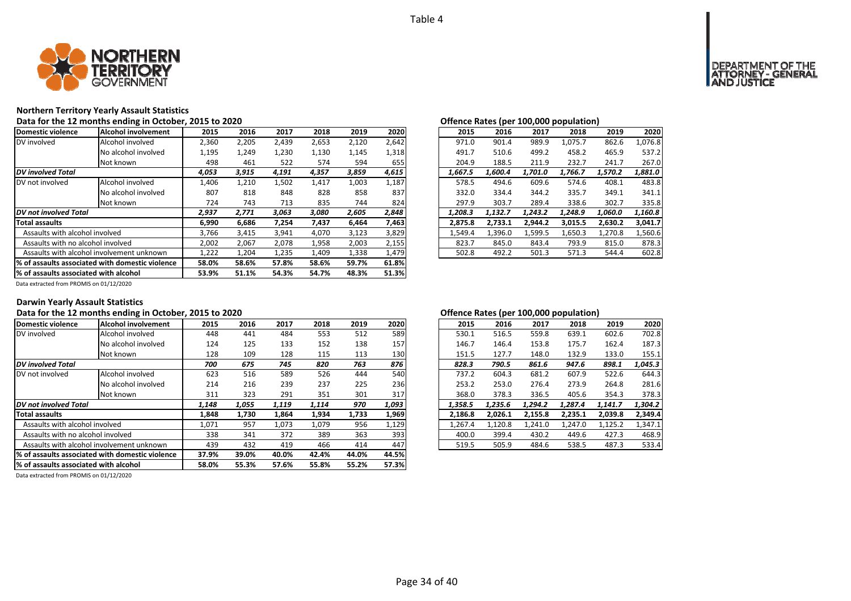

## **Northern Territory Yearly Assault Statistics**

Data for the 12 months ending in October, 2015 to 2020<br>**Data for the 12 months ending in October, 2015 to 2020** 

| Domestic violence                     | <b>Alcohol involvement</b>                       | 2015  | 2016  | 2017  | 2018  | 2019  | 2020  | 2015    | 2016    | 2017    | 2018    | 2019    | 2020    |
|---------------------------------------|--------------------------------------------------|-------|-------|-------|-------|-------|-------|---------|---------|---------|---------|---------|---------|
| DV involved                           | Alcohol involved                                 | 2,360 | 2,205 | 2,439 | 2,653 | 2,120 | 2,642 | 971.0   | 901.4   | 989.9   | 1,075.7 | 862.6   | 1,076.8 |
|                                       | No alcohol involved                              | 1,195 | 1,249 | 1,230 | 1,130 | 1,145 | 1,318 | 491.7   | 510.6   | 499.2   | 458.2   | 465.9   | 537.2   |
|                                       | Not known                                        | 498   | 461   | 522   | 574   | 594   | 655   | 204.9   | 188.5   | 211.9   | 232.7   | 241.7   | 267.0   |
| <b>DV</b> involved Total              |                                                  | 4,053 | 3,915 | 4,191 | 4,357 | 3,859 | 4,615 | 1,667.5 | 1,600.4 | 1,701.0 | 1,766.7 | 1,570.2 | 1,881.0 |
| DV not involved                       | Alcohol involved                                 | 1,406 | 1,210 | 1,502 | 1,417 | 1,003 | 1,187 | 578.5   | 494.6   | 609.6   | 574.6   | 408.1   | 483.8   |
|                                       | No alcohol involved                              | 807   | 818   | 848   | 828   | 858   | 837   | 332.0   | 334.4   | 344.2   | 335.7   | 349.1   | 341.1   |
|                                       | Not known                                        | 724   | 743   | 713   | 835   | 744   | 824   | 297.9   | 303.7   | 289.4   | 338.6   | 302.7   | 335.8   |
| DV not involved Total                 |                                                  | 2,937 | 2,771 | 3,063 | 3,080 | 2,605 | 2,848 | 1.208.3 | 1,132.7 | 1.243.2 | 1,248.9 | 1,060.0 | 1,160.8 |
| <b>Total assaults</b>                 |                                                  | 6,990 | 6,686 | 7,254 | 7,437 | 6,464 | 7,463 | 2,875.8 | 2,733.1 | 2,944.2 | 3,015.5 | 2,630.2 | 3,041.7 |
| Assaults with alcohol involved        |                                                  | 3,766 | 3,415 | 3,941 | 4,070 | 3,123 | 3,829 | 1,549.4 | 1,396.0 | 1,599.5 | 1,650.3 | 1,270.8 | 1,560.6 |
| Assaults with no alcohol involved     |                                                  | 2,002 | 2,067 | 2,078 | 1,958 | 2,003 | 2,155 | 823.7   | 845.0   | 843.4   | 793.9   | 815.0   | 878.3   |
|                                       | Assaults with alcohol involvement unknown        | 1,222 | 1,204 | 1,235 | 1,409 | 1,338 | 1,479 | 502.8   | 492.2   | 501.3   | 571.3   | 544.4   | 602.8   |
|                                       | 1% of assaults associated with domestic violence | 58.0% | 58.6% | 57.8% | 58.6% | 59.7% | 61.8% |         |         |         |         |         |         |
| % of assaults associated with alcohol |                                                  | 53.9% | 51.1% | 54.3% | 54.7% | 48.3% | 51.3% |         |         |         |         |         |         |

|         | $\mathbf{r}$ |         |         |         |         |
|---------|--------------|---------|---------|---------|---------|
| 2015    | 2016         | 2017    | 2018    | 2019    | 2020    |
| 971.0   | 901.4        | 989.9   | 1.075.7 | 862.6   | 1.076.8 |
| 491.7   | 510.6        | 499.2   | 458.2   | 465.9   | 537.2   |
| 204.9   | 188.5        | 211.9   | 232.7   | 241.7   | 267.0   |
| 1.667.5 | 1.600.4      | 1.701.0 | 1.766.7 | 1.570.2 | 1.881.0 |
| 578.5   | 494.6        | 609.6   | 574.6   | 408.1   | 483.8   |
| 332.0   | 334.4        | 344.2   | 335.7   | 349.1   | 341.1   |
| 297.9   | 303.7        | 289.4   | 338.6   | 302.7   | 335.8   |
| 1.208.3 | 1.132.7      | 1.243.2 | 1.248.9 | 1,060.0 | 1.160.8 |
| 2.875.8 | 2.733.1      | 2.944.2 | 3.015.5 | 2,630.2 | 3.041.7 |
| 1.549.4 | 1.396.0      | 1,599.5 | 1,650.3 | 1,270.8 | 1.560.6 |
| 823.7   | 845.0        | 843.4   | 793.9   | 815.0   | 878.3   |
| 502.8   | 492.2        | 501.3   | 571.3   | 544.4   | 602.8   |

Data extracted from PROMIS on 01/12/2020

### **Darwin Yearly Assault Statistics**

### Data for the 12 months ending in October, 2015 to 2020<br> **Data for the 12 months ending in October, 2015 to 2020**

| Domestic violence                         | Alcohol involvement                             | 2015  | 2016  | 2017  | 2018  | 2019  | 2020  | 2015    | 2016    | 2017    | 2018    | 2019    | 2020    |
|-------------------------------------------|-------------------------------------------------|-------|-------|-------|-------|-------|-------|---------|---------|---------|---------|---------|---------|
| DV involved                               | Alcohol involved                                | 448   | 441   | 484   | 553   | 512   | 589   | 530.1   | 516.5   | 559.8   | 639.1   | 602.6   | 702.8   |
|                                           | No alcohol involved                             | 124   | 125   | 133   | 152   | 138   | 157   | 146.7   | 146.4   | 153.8   | 175.7   | 162.4   | 187.3   |
|                                           | Not known                                       | 128   | 109   | 128   | 115   | 113   | 130   | 151.5   | 127.7   | 148.0   | 132.9   | 133.0   | 155.1   |
| <b>DV</b> involved Total                  |                                                 | 700   | 675   | 745   | 820   | 763   | 876   | 828.3   | 790.5   | 861.6   | 947.6   | 898.1   | 1,045.3 |
| DV not involved                           | Alcohol involved                                | 623   | 516   | 589   | 526   | 444   | 540   | 737.2   | 604.3   | 681.2   | 607.9   | 522.6   | 644.3   |
|                                           | No alcohol involved                             | 214   | 216   | 239   | 237   | 225   | 236   | 253.2   | 253.0   | 276.4   | 273.9   | 264.8   | 281.6   |
|                                           | Not known                                       | 311   | 323   | 291   | 351   | 301   | 317   | 368.0   | 378.3   | 336.5   | 405.6   | 354.3   | 378.3   |
| DV not involved Total                     |                                                 | 1,148 | 1,055 | 1,119 | 1,114 | 970   | 1,093 | 1,358.5 | 1,235.6 | 1,294.2 | 1,287.4 | 1,141.7 | 1,304.2 |
| <b>Total assaults</b>                     |                                                 | 1,848 | 1,730 | 1,864 | 1,934 | 1,733 | 1,969 | 2,186.8 | 2,026.1 | 2,155.8 | 2,235.1 | 2,039.8 | 2,349.4 |
| Assaults with alcohol involved            |                                                 | 1,071 | 957   | 1,073 | 1,079 | 956   | 1,129 | 1,267.4 | 1,120.8 | 1,241.0 | 1,247.0 | 1,125.2 | 1,347.1 |
| Assaults with no alcohol involved         |                                                 | 338   | 341   | 372   | 389   | 363   | 393   | 400.0   | 399.4   | 430.2   | 449.6   | 427.3   | 468.9   |
| Assaults with alcohol involvement unknown |                                                 | 439   | 432   | 419   | 466   | 414   | 447   | 519.5   | 505.9   | 484.6   | 538.5   | 487.3   | 533.4   |
|                                           | % of assaults associated with domestic violence | 37.9% | 39.0% | 40.0% | 42.4% | 44.0% | 44.5% |         |         |         |         |         |         |
| % of assaults associated with alcohol     |                                                 | 58.0% | 55.3% | 57.6% | 55.8% | 55.2% | 57.3% |         |         |         |         |         |         |

| .5 | 2016  | 2017  | 2018  | 2019  | 2020  | 2015    | 2016    | 2017    | 2018    | 2019    | 2020    |
|----|-------|-------|-------|-------|-------|---------|---------|---------|---------|---------|---------|
| ١8 | 441   | 484   | 553   | 512   | 589   | 530.1   | 516.5   | 559.8   | 639.1   | 602.6   | 702.8   |
| ؛4 | 125   | 133   | 152   | 138   | 157   | 146.7   | 146.4   | 153.8   | 175.7   | 162.4   | 187.3   |
| :8 | 109   | 128   | 115   | 113   | 130   | 151.5   | 127.7   | 148.0   | 132.9   | 133.0   | 155.1   |
| 0  | 675   | 745   | 820   | 763   | 876   | 828.3   | 790.5   | 861.6   | 947.6   | 898.1   | 1,045.3 |
| :3 | 516   | 589   | 526   | 444   | 540   | 737.2   | 604.3   | 681.2   | 607.9   | 522.6   | 644.3   |
| .4 | 216   | 239   | 237   | 225   | 236   | 253.2   | 253.0   | 276.4   | 273.9   | 264.8   | 281.6   |
| .1 | 323   | 291   | 351   | 301   | 317   | 368.0   | 378.3   | 336.5   | 405.6   | 354.3   | 378.3   |
| 8  | 1,055 | 1,119 | 1.114 | 970   | 1,093 | 1.358.5 | 1.235.6 | 1.294.2 | 1.287.4 | 1.141.7 | 1.304.2 |
| 18 | 1.730 | 1,864 | 1,934 | 1,733 | 1,969 | 2.186.8 | 2.026.1 | 2,155.8 | 2.235.1 | 2,039.8 | 2,349.4 |
|    | 957   | 1.073 | 1.079 | 956   | 1,129 | 1.267.4 | 1.120.8 | 1.241.0 | 1.247.0 | 1.125.2 | 1,347.1 |
| 8  | 341   | 372   | 389   | 363   | 393   | 400.0   | 399.4   | 430.2   | 449.6   | 427.3   | 468.9   |
| 9؛ | 432   | 419   | 466   | 414   | 447   | 519.5   | 505.9   | 484.6   | 538.5   | 487.3   | 533.4   |
|    |       |       |       |       |       |         |         |         |         |         |         |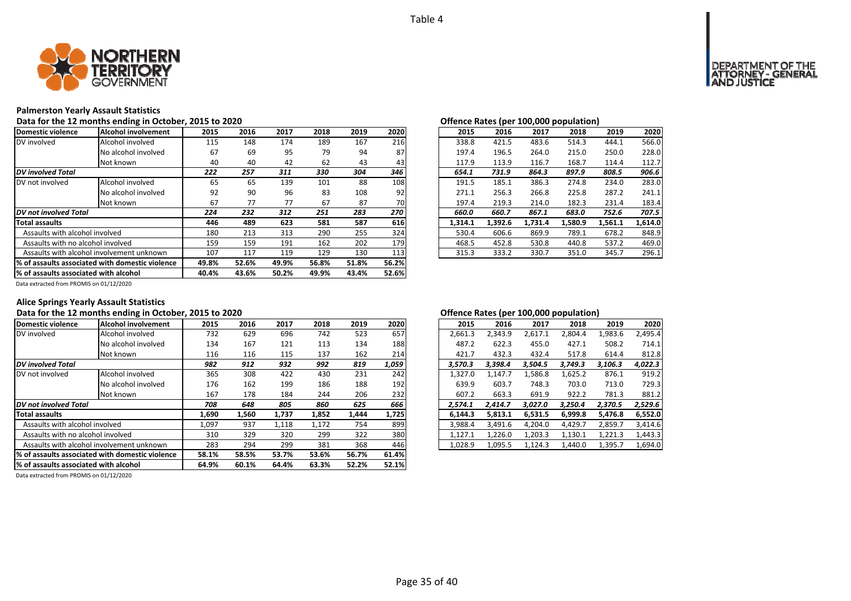

### **Palmerston Yearly Assault Statistics**

Data for the 12 months ending in October, 2015 to 2020<br>**Data for the 12 months ending in October, 2015 to 2020** 

| Domestic violence                     | Alcohol involvement                              | 2015  | 2016  | 2017  | 2018  | 2019  | 2020  | 2015    | 2016    | 2017    | 2018    | 2019    | 2020    |
|---------------------------------------|--------------------------------------------------|-------|-------|-------|-------|-------|-------|---------|---------|---------|---------|---------|---------|
| DV involved                           | Alcohol involved                                 | 115   | 148   | 174   | 189   | 167   | 216   | 338.8   | 421.5   | 483.6   | 514.3   | 444.1   | 566.0   |
|                                       | No alcohol involved                              | 67    | 69    | 95    | 79    | 94    | 87    | 197.4   | 196.5   | 264.0   | 215.0   | 250.0   | 228.0   |
|                                       | Not known                                        | 40    | 40    | 42    | 62    | 43    | 43    | 117.9   | 113.9   | 116.7   | 168.7   | 114.4   | 112.7   |
| <b>DV</b> involved Total              |                                                  | 222   | 257   | 311   | 330   | 304   | 346   | 654.1   | 731.9   | 864.3   | 897.9   | 808.5   | 906.6   |
| DV not involved                       | Alcohol involved                                 | 65    | 65    | 139   | 101   | 88    | 108   | 191.5   | 185.1   | 386.3   | 274.8   | 234.0   | 283.0   |
|                                       | No alcohol involved                              | 92    | 90    | 96    | 83    | 108   | 92    | 271.1   | 256.3   | 266.8   | 225.8   | 287.2   | 241.1   |
|                                       | Not known                                        | 67    | 77    | 77    | 67    | 87    | 70    | 197.4   | 219.3   | 214.0   | 182.3   | 231.4   | 183.4   |
| <b>DV</b> not involved Total          |                                                  | 224   | 232   | 312   | 251   | 283   | 270   | 660.0   | 660.7   | 867.1   | 683.0   | 752.6   | 707.5   |
| <b>Total assaults</b>                 |                                                  | 446   | 489   | 623   | 581   | 587   | 616   | 1,314.1 | 1,392.6 | 1,731.4 | 1,580.9 | 1,561.1 | 1,614.0 |
| Assaults with alcohol involved        |                                                  | 180   | 213   | 313   | 290   | 255   | 324   | 530.4   | 606.6   | 869.9   | 789.1   | 678.2   | 848.9   |
| Assaults with no alcohol involved     |                                                  | 159   | 159   | 191   | 162   | 202   | 179   | 468.5   | 452.8   | 530.8   | 440.8   | 537.2   | 469.0   |
|                                       | Assaults with alcohol involvement unknown        | 107   | 117   | 119   | 129   | 130   | 113   | 315.3   | 333.2   | 330.7   | 351.0   | 345.7   | 296.1   |
|                                       | 1% of assaults associated with domestic violence | 49.8% | 52.6% | 49.9% | 56.8% | 51.8% | 56.2% |         |         |         |         |         |         |
| % of assaults associated with alcohol |                                                  | 40.4% | 43.6% | 50.2% | 49.9% | 43.4% | 52.6% |         |         |         |         |         |         |

| Onchec nates (per 100,000 population)<br>2015 |         |         |         |         |  |  |  |  |  |  |  |  |  |
|-----------------------------------------------|---------|---------|---------|---------|--|--|--|--|--|--|--|--|--|
| 2016                                          | 2017    | 2018    | 2019    | 2020    |  |  |  |  |  |  |  |  |  |
| 421.5                                         | 483.6   | 514.3   | 444.1   | 566.0   |  |  |  |  |  |  |  |  |  |
| 196.5                                         | 264.0   | 215.0   | 250.0   | 228.0   |  |  |  |  |  |  |  |  |  |
| 113.9                                         | 116.7   | 168.7   | 114.4   | 112.7   |  |  |  |  |  |  |  |  |  |
| 731.9                                         | 864.3   | 897.9   | 808.5   | 906.6   |  |  |  |  |  |  |  |  |  |
| 185.1                                         | 386.3   | 274.8   | 234.0   | 283.0   |  |  |  |  |  |  |  |  |  |
| 256.3                                         | 266.8   | 225.8   | 287.2   | 241.1   |  |  |  |  |  |  |  |  |  |
| 219.3                                         | 214.0   | 182.3   | 231.4   | 183.4   |  |  |  |  |  |  |  |  |  |
| 660.7                                         | 867.1   | 683.0   | 752.6   | 707.5   |  |  |  |  |  |  |  |  |  |
| 1.392.6                                       | 1,731.4 | 1,580.9 | 1,561.1 | 1,614.0 |  |  |  |  |  |  |  |  |  |
| 606.6                                         | 869.9   | 789.1   | 678.2   | 848.9   |  |  |  |  |  |  |  |  |  |
| 452.8                                         | 530.8   | 440.8   | 537.2   | 469.0   |  |  |  |  |  |  |  |  |  |
| 333.2                                         | 330.7   | 351.0   | 345.7   | 296.1   |  |  |  |  |  |  |  |  |  |
|                                               |         |         |         |         |  |  |  |  |  |  |  |  |  |

Data extracted from PROMIS on 01/12/2020

## **Alice Springs Yearly Assault Statistics**

## Data for the 12 months ending in October, 2015 to 2020<br> **Data for the 12 months ending in October, 2015 to 2020**

| Domestic violence                     | Alcohol involvement                             | 2015  | 2016  | 2017  | 2018  | 2019  | 2020  | 2015    | 2016    | 2017    | 2018    | 2019    | 2020    |
|---------------------------------------|-------------------------------------------------|-------|-------|-------|-------|-------|-------|---------|---------|---------|---------|---------|---------|
| DV involved                           | Alcohol involved                                | 732   | 629   | 696   | 742   | 523   | 657   | 2,661.3 | 2,343.9 | 2.617.1 | 2,804.4 | 1,983.6 | 2.495.4 |
|                                       | No alcohol involved                             | 134   | 167   | 121   | 113   | 134   | 188   | 487.2   | 622.3   | 455.0   | 427.1   | 508.2   | 714.1   |
|                                       | Not known                                       | 116   | 116   | 115   | 137   | 162   | 214   | 421.7   | 432.3   | 432.4   | 517.8   | 614.4   | 812.8   |
| <b>DV</b> involved Total              |                                                 | 982   | 912   | 932   | 992   | 819   | 1,059 | 3,570.3 | 3.398.4 | 3,504.5 | 3.749.3 | 3,106.3 | 4,022.3 |
| DV not involved                       | Alcohol involved                                | 365   | 308   | 422   | 430   | 231   | 242   | 1,327.0 | 1,147.7 | 1,586.8 | 1,625.2 | 876.1   | 919.2   |
|                                       | No alcohol involved                             | 176   | 162   | 199   | 186   | 188   | 192   | 639.9   | 603.7   | 748.3   | 703.0   | 713.0   | 729.3   |
|                                       | Not known                                       | 167   | 178   | 184   | 244   | 206   | 232   | 607.2   | 663.3   | 691.9   | 922.2   | 781.3   | 881.2   |
| <b>DV</b> not involved Total          |                                                 | 708   | 648   | 805   | 860   | 625   | 666   | 2,574.1 | 2.414.7 | 3.027.0 | 3,250.4 | 2,370.5 | 2,529.6 |
| <b>Total assaults</b>                 |                                                 | 1,690 | 1,560 | 1,737 | 1,852 | 1,444 | 1,725 | 6.144.3 | 5,813.1 | 6,531.5 | 6,999.8 | 5,476.8 | 6,552.0 |
| Assaults with alcohol involved        |                                                 | 1,097 | 937   | 1,118 | 1,172 | 754   | 899   | 3,988.4 | 3,491.6 | 4.204.0 | 4,429.7 | 2,859.7 | 3,414.6 |
| Assaults with no alcohol involved     |                                                 | 310   | 329   | 320   | 299   | 322   | 380   | 1,127.1 | 1,226.0 | 1,203.3 | 1,130.1 | 1,221.3 | 1,443.3 |
|                                       | Assaults with alcohol involvement unknown       | 283   | 294   | 299   | 381   | 368   | 446   | 1,028.9 | 1,095.5 | 1,124.3 | 1,440.0 | 1,395.7 | 1,694.0 |
|                                       | % of assaults associated with domestic violence | 58.1% | 58.5% | 53.7% | 53.6% | 56.7% | 61.4% |         |         |         |         |         |         |
| % of assaults associated with alcohol |                                                 | 64.9% | 60.1% | 64.4% | 63.3% | 52.2% | 52.1% |         |         |         |         |         |         |

|                |       |       |       |       |       |         |         |         | . .     |         |         |
|----------------|-------|-------|-------|-------|-------|---------|---------|---------|---------|---------|---------|
| .5             | 2016  | 2017  | 2018  | 2019  | 2020  | 2015    | 2016    | 2017    | 2018    | 2019    | 2020    |
| 12             | 629   | 696   | 742   | 523   | 657   | 2,661.3 | 2,343.9 | 2,617.1 | 2.804.4 | 1,983.6 | 2,495.4 |
| ١4             | 167   | 121   | 113   | 134   | 188   | 487.2   | 622.3   | 455.0   | 427.1   | 508.2   | 714.1   |
| .6             | 116   | 115   | 137   | 162   | 214   | 421.7   | 432.3   | 432.4   | 517.8   | 614.4   | 812.8   |
| 2              | 912   | 932   | 992   | 819   | 1,059 | 3.570.3 | 3.398.4 | 3.504.5 | 3.749.3 | 3.106.3 | 4.022.3 |
| 5 <sup>5</sup> | 308   | 422   | 430   | 231   | 242   | 1.327.0 | 1.147.7 | 1.586.8 | 1,625.2 | 876.1   | 919.2   |
| 6'             | 162   | 199   | 186   | 188   | 192   | 639.9   | 603.7   | 748.3   | 703.0   | 713.0   | 729.3   |
|                | 178   | 184   | 244   | 206   | 232   | 607.2   | 663.3   | 691.9   | 922.2   | 781.3   | 881.2   |
| 8              | 648   | 805   | 860   | 625   | 666   | 2.574.1 | 2.414.7 | 3.027.0 | 3.250.4 | 2.370.5 | 2,529.6 |
| 0              | 1,560 | 1.737 | 1,852 | 1.444 | 1,725 | 6.144.3 | 5.813.1 | 6.531.5 | 6.999.8 | 5,476.8 | 6,552.0 |
| 17             | 937   | 1.118 | 1.172 | 754   | 899   | 3.988.4 | 3.491.6 | 4.204.0 | 4.429.7 | 2.859.7 | 3.414.6 |
| .0             | 329   | 320   | 299   | 322   | 380   | 1.127.1 | 1.226.0 | 1.203.3 | 1,130.1 | 1,221.3 | 1,443.3 |
| 33             | 294   | 299   | 381   | 368   | 446   | 1.028.9 | 1.095.5 | 1.124.3 | 1.440.0 | 1,395.7 | 1,694.0 |
|                |       |       |       |       |       |         |         |         |         |         |         |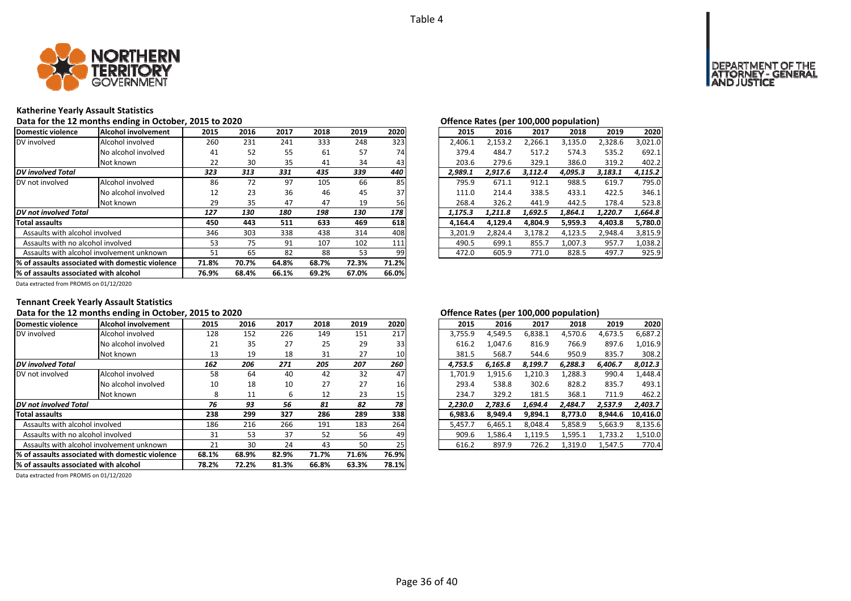

### **Katherine Yearly Assault Statistics**

Data for the 12 months ending in October, 2015 to 2020<br>**Data for the 12 months ending in October, 2015 to 2020** 

| Domestic violence                                | Alcohol involvement | 2015  | 2016  | 2017  | 2018  | 2019  | 2020  | 2015    | 2016    | 2017    | 2018    | 2019    | 2020    |
|--------------------------------------------------|---------------------|-------|-------|-------|-------|-------|-------|---------|---------|---------|---------|---------|---------|
| DV involved                                      | Alcohol involved    | 260   | 231   | 241   | 333   | 248   | 323   | 2.406.1 | 2,153.2 | 2,266.1 | 3,135.0 | 2,328.6 | 3,021.0 |
|                                                  | No alcohol involved | 41    | 52    | 55    | 61    | 57    | 74    | 379.4   | 484.7   | 517.2   | 574.3   | 535.2   | 692.1   |
|                                                  | Not known           | 22    | 30    | 35    | 41    | 34    | 43    | 203.6   | 279.6   | 329.1   | 386.0   | 319.2   | 402.2   |
| <b>DV</b> involved Total                         |                     | 323   | 313   | 331   | 435   | 339   | 440   | 2,989.1 | 2,917.6 | 3,112.4 | 4,095.3 | 3,183.1 | 4,115.2 |
| DV not involved                                  | Alcohol involved    | 86    | 72    | 97    | 105   | 66    | 85    | 795.9   | 671.1   | 912.1   | 988.5   | 619.7   | 795.0   |
|                                                  | No alcohol involved | 12    | 23    | 36    | 46    | 45    | 37    | 111.0   | 214.4   | 338.5   | 433.1   | 422.5   | 346.1   |
|                                                  | Not known           | 29    | 35    | 47    | 47    | 19    | 56    | 268.4   | 326.2   | 441.9   | 442.5   | 178.4   | 523.8   |
| DV not involved Total                            |                     | 127   | 130   | 180   | 198   | 130   | 178   | 1,175.3 | 1,211.8 | 1,692.5 | 1,864.1 | 1,220.7 | 1,664.8 |
| <b>Total assaults</b>                            |                     | 450   | 443   | 511   | 633   | 469   | 618   | 4.164.4 | 4,129.4 | 4.804.9 | 5,959.3 | 4,403.8 | 5,780.0 |
| Assaults with alcohol involved                   |                     | 346   | 303   | 338   | 438   | 314   | 408   | 3,201.9 | 2,824.4 | 3,178.2 | 4,123.5 | 2,948.4 | 3,815.9 |
| Assaults with no alcohol involved                |                     | 53    | 75    | 91    | 107   | 102   | 111   | 490.5   | 699.1   | 855.7   | 1,007.3 | 957.7   | 1,038.2 |
| Assaults with alcohol involvement unknown        |                     | 51    | 65    | 82    | 88    | 53    | 99    | 472.0   | 605.9   | 771.0   | 828.5   | 497.7   | 925.9   |
| 1% of assaults associated with domestic violence |                     | 71.8% | 70.7% | 64.8% | 68.7% | 72.3% | 71.2% |         |         |         |         |         |         |
| % of assaults associated with alcohol            |                     | 76.9% | 68.4% | 66.1% | 69.2% | 67.0% | 66.0% |         |         |         |         |         |         |

|                |      |      |      |      |      | enchec nates (per zee)eee popmaneny |         |         |         |         |         |         |  |
|----------------|------|------|------|------|------|-------------------------------------|---------|---------|---------|---------|---------|---------|--|
| 5              | 2016 | 2017 | 2018 | 2019 | 2020 |                                     | 2015    | 2016    | 2017    | 2018    | 2019    | 2020    |  |
| òб             | 231  | 241  | 333  | 248  | 323  |                                     | 2.406.1 | 2.153.2 | 2.266.1 | 3,135.0 | 2.328.6 | 3.021.0 |  |
| ١1             | 52   | 55   | 61   | 57   | 74   |                                     | 379.4   | 484.7   | 517.2   | 574.3   | 535.2   | 692.1   |  |
| :2             | 30   | 35   | 41   | 34   | 43   |                                     | 203.6   | 279.6   | 329.1   | 386.0   | 319.2   | 402.2   |  |
| 3              | 313  | 331  | 435  | 339  | 440  |                                     | 2.989.1 | 2.917.6 | 3.112.4 | 4.095.3 | 3.183.1 | 4,115.2 |  |
| 36             | 72   | 97   | 105  | 66   | 85   |                                     | 795.9   | 671.1   | 912.1   | 988.5   | 619.7   | 795.0   |  |
| $\overline{2}$ | 23   | 36   | 46   | 45   | 37   |                                     | 111.0   | 214.4   | 338.5   | 433.1   | 422.5   | 346.1   |  |
| و.             | 35   | 47   | 47   | 19   | 56   |                                     | 268.4   | 326.2   | 441.9   | 442.5   | 178.4   | 523.8   |  |
| 7              | 130  | 180  | 198  | 130  | 178  |                                     | 1.175.3 | 1.211.8 | 1.692.5 | 1.864.1 | 1.220.7 | 1.664.8 |  |
| Οί             | 443  | 511  | 633  | 469  | 618  |                                     | 4.164.4 | 4.129.4 | 4.804.9 | 5,959.3 | 4,403.8 | 5,780.0 |  |
| 16             | 303  | 338  | 438  | 314  | 408  |                                     | 3.201.9 | 2.824.4 | 3.178.2 | 4.123.5 | 2.948.4 | 3.815.9 |  |
| 53             | 75   | 91   | 107  | 102  | 111  |                                     | 490.5   | 699.1   | 855.7   | 1.007.3 | 957.7   | 1.038.2 |  |
| $\mathbf{1}$   | 65   | 82   | 88   | 53   | 99   |                                     | 472.0   | 605.9   | 771.0   | 828.5   | 497.7   | 925.9   |  |
|                |      |      |      |      |      |                                     |         |         |         |         |         |         |  |

Data extracted from PROMIS on 01/12/2020

## **Tennant Creek Yearly Assault Statistics**

## Data for the 12 months ending in October, 2015 to 2020<br> **Data for the 12 months ending in October, 2015 to 2020**

| Domestic violence                                | Alcohol involvement | 2015  | 2016  | 2017  | 2018  | 2019  | 2020  | 2015    | 2016    | 2017    | 2018    | 2019    | 2020     |
|--------------------------------------------------|---------------------|-------|-------|-------|-------|-------|-------|---------|---------|---------|---------|---------|----------|
| DV involved                                      | Alcohol involved    | 128   | 152   | 226   | 149   | 151   | 217   | 3,755.9 | 4,549.5 | 6,838.1 | 4,570.6 | 4,673.5 | 6,687.2  |
|                                                  | No alcohol involved | 21    | 35    | 27    | 25    | 29    | 33    | 616.2   | 1.047.6 | 816.9   | 766.9   | 897.6   | 1.016.9  |
|                                                  | Not known           | 13    | 19    | 18    | 31    | 27    | 10    | 381.5   | 568.7   | 544.6   | 950.9   | 835.7   | 308.2    |
| <b>DV</b> involved Total                         |                     | 162   | 206   | 271   | 205   | 207   | 260   | 4.753.5 | 6,165.8 | 8,199.7 | 6,288.3 | 6,406.7 | 8,012.3  |
| DV not involved                                  | Alcohol involved    | 58    | 64    | 40    | 42    | 32    | 47    | 1,701.9 | 1,915.6 | 1,210.3 | 1,288.3 | 990.4   | 1,448.4  |
|                                                  | No alcohol involved | 10    | 18    | 10    | 27    | 27    | 16    | 293.4   | 538.8   | 302.6   | 828.2   | 835.7   | 493.1    |
|                                                  | Not known           | 8     | 11    | ь     | 12    | 23    | 15    | 234.7   | 329.2   | 181.5   | 368.1   | 711.9   | 462.2    |
| DV not involved Total                            |                     | 76    | 93    | 56    | 81    | 82    | 78    | 2,230.0 | 2,783.6 | 1,694.4 | 2,484.7 | 2,537.9 | 2,403.7  |
| <b>Total assaults</b>                            |                     | 238   | 299   | 327   | 286   | 289   | 338   | 6,983.6 | 8,949.4 | 9,894.1 | 8,773.0 | 8,944.6 | 10,416.0 |
| Assaults with alcohol involved                   |                     | 186   | 216   | 266   | 191   | 183   | 264   | 5,457.7 | 6.465.1 | 8.048.4 | 5,858.9 | 5,663.9 | 8,135.6  |
| Assaults with no alcohol involved                |                     | 31    | 53    | 37    | 52    | 56    | 49    | 909.6   | 1,586.4 | 1,119.5 | 1,595.1 | 1,733.2 | 1,510.0  |
| Assaults with alcohol involvement unknown        |                     | 21    | 30    | 24    | 43    | 50    | 25    | 616.2   | 897.9   | 726.2   | 1,319.0 | 1,547.5 | 770.4    |
| 1% of assaults associated with domestic violence |                     | 68.1% | 68.9% | 82.9% | 71.7% | 71.6% | 76.9% |         |         |         |         |         |          |
| % of assaults associated with alcohol            |                     | 78.2% | 72.2% | 81.3% | 66.8% | 63.3% | 78.1% |         |         |         |         |         |          |

|                         |      |      |      |      |                 |         |         |         | . .     |         |          |
|-------------------------|------|------|------|------|-----------------|---------|---------|---------|---------|---------|----------|
| .5                      | 2016 | 2017 | 2018 | 2019 | 2020            | 2015    | 2016    | 2017    | 2018    | 2019    | 2020     |
| :8                      | 152  | 226  | 149  | 151  | 217             | 3,755.9 | 4.549.5 | 6,838.1 | 4,570.6 | 4,673.5 | 6,687.2  |
| !1                      | 35   | 27   | 25   | 29   | 33              | 616.2   | 1.047.6 | 816.9   | 766.9   | 897.6   | 1,016.9  |
| .3                      | 19   | 18   | 31   | 27   | 10 <sub>l</sub> | 381.5   | 568.7   | 544.6   | 950.9   | 835.7   | 308.2    |
| 2                       | 206  | 271  | 205  | 207  | 260             | 4.753.5 | 6.165.8 | 8.199.7 | 6.288.3 | 6.406.7 | 8.012.3  |
| $\overline{\mathbf{8}}$ | 64   | 40   | 42   | 32   | 47              | 1.701.9 | 1.915.6 | 1.210.3 | 1.288.3 | 990.4   | 1,448.4  |
| .0                      | 18   | 10   | 27   | 27   | 16              | 293.4   | 538.8   | 302.6   | 828.2   | 835.7   | 493.1    |
| 8                       | 11   | 6    | 12   | 23   | 15 <sub>l</sub> | 234.7   | 329.2   | 181.5   | 368.1   | 711.9   | 462.2    |
| 6                       | 93   | 56   | 81   | 82   | 78              | 2.230.0 | 2.783.6 | 1.694.4 | 2.484.7 | 2.537.9 | 2.403.7  |
| 18                      | 299  | 327  | 286  | 289  | 338             | 6.983.6 | 8.949.4 | 9.894.1 | 8.773.0 | 8.944.6 | 10,416.0 |
| 36                      | 216  | 266  | 191  | 183  | 264             | 5.457.7 | 6.465.1 | 8.048.4 | 5.858.9 | 5.663.9 | 8,135.6  |
| ا:                      | 53   | 37   | 52   | 56   | 49              | 909.6   | 1.586.4 | 1.119.5 | 1.595.1 | 1.733.2 | 1.510.0  |
|                         | 30   | 24   | 43   | 50   | 25              | 616.2   | 897.9   | 726.2   | 1,319.0 | 1,547.5 | 770.4    |
|                         |      |      |      |      |                 |         |         |         |         |         |          |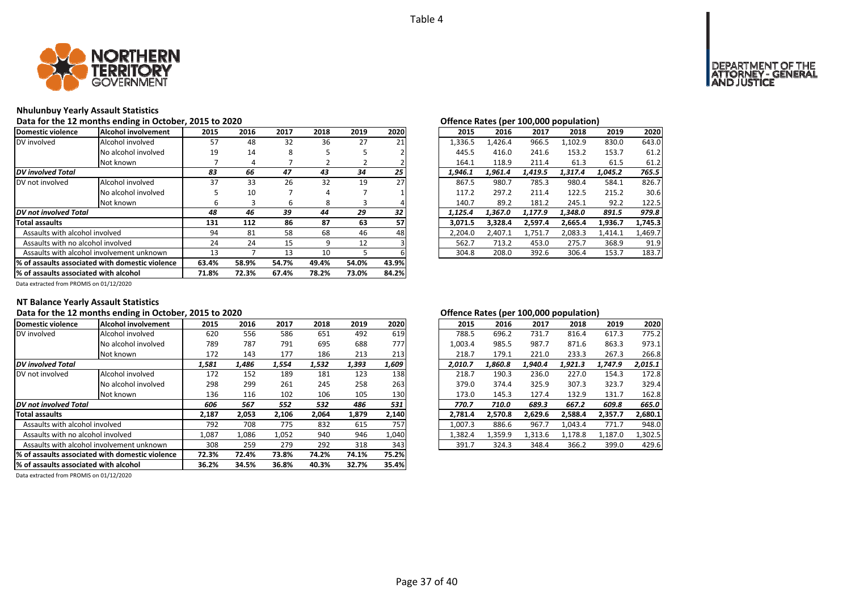

### **Nhulunbuy Yearly Assault Statistics**

Data for the 12 months ending in October, 2015 to 2020<br> **Data for the 12 months ending in October, 2015 to 2020** 

| Domestic violence                                | Alcohol involvement                       | 2015  | 2016  | 2017  | 2018  | 2019  | 2020  | 2015    | 2016    | 2017    | 2018    | 2019    | 2020    |
|--------------------------------------------------|-------------------------------------------|-------|-------|-------|-------|-------|-------|---------|---------|---------|---------|---------|---------|
| DV involved                                      | Alcohol involved                          | 57    | 48    | 32    | 36    | 27    | 21    | 1,336.5 | 1.426.4 | 966.5   | 1,102.9 | 830.0   | 643.0   |
|                                                  | No alcohol involved                       | 19    | 14    | 8     |       |       |       | 445.5   | 416.0   | 241.6   | 153.2   | 153.7   | 61.2    |
|                                                  | Not known                                 |       | 4     |       |       |       |       | 164.1   | 118.9   | 211.4   | 61.3    | 61.5    | 61.2    |
| <b>DV</b> involved Total                         |                                           | 83    | 66    | 47    | 43    | 34    | 25    | 1.946.1 | 1,961.4 | 1.419.5 | 1.317.4 | 1,045.2 | 765.5   |
| DV not involved                                  | Alcohol involved                          | 37    | 33    | 26    | 32    | 19    | 27    | 867.5   | 980.7   | 785.3   | 980.4   | 584.1   | 826.7   |
|                                                  | No alcohol involved                       |       | 10    |       | 4     |       |       | 117.2   | 297.2   | 211.4   | 122.5   | 215.2   | 30.6    |
|                                                  | Not known                                 | ь     |       | ь     | 8     | 3     |       | 140.7   | 89.2    | 181.2   | 245.1   | 92.2    | 122.5   |
| DV not involved Total                            |                                           | 48    | 46    | 39    | 44    | 29    | 32    | 1.125.4 | 1.367.0 | 1.177.9 | 1.348.0 | 891.5   | 979.8   |
| <b>Total assaults</b>                            |                                           | 131   | 112   | 86    | 87    | 63    | 57    | 3,071.5 | 3,328.4 | 2.597.4 | 2,665.4 | 1,936.7 | 1,745.3 |
| Assaults with alcohol involved                   |                                           | 94    | 81    | 58    | 68    | 46    | 48    | 2,204.0 | 2,407.1 | 1,751.7 | 2,083.3 | 1,414.1 | 1,469.7 |
| Assaults with no alcohol involved                |                                           | 24    | 24    | 15    | 9     | 12    |       | 562.7   | 713.2   | 453.0   | 275.7   | 368.9   | 91.9    |
|                                                  | Assaults with alcohol involvement unknown | 13    |       | 13    | 10    |       |       | 304.8   | 208.0   | 392.6   | 306.4   | 153.7   | 183.7   |
| 1% of assaults associated with domestic violence |                                           | 63.4% | 58.9% | 54.7% | 49.4% | 54.0% | 43.9% |         |         |         |         |         |         |
| % of assaults associated with alcohol            |                                           | 71.8% | 72.3% | 67.4% | 78.2% | 73.0% | 84.2% |         |         |         |         |         |         |

| שבט בי |      |      |      |      |      | Offered nates (per 100,000 population) |  |         |         |         |         |         |
|--------|------|------|------|------|------|----------------------------------------|--|---------|---------|---------|---------|---------|
| 5      | 2016 | 2017 | 2018 | 2019 | 2020 | 2015                                   |  | 2016    | 2017    | 2018    | 2019    | 2020    |
| 57     | 48   | 32   | 36   | 27   | 21   | 1,336.5                                |  | 1.426.4 | 966.5   | 1.102.9 | 830.0   | 643.0   |
| 9.     | 14   | 8    | 5    | 5    |      | 445.5                                  |  | 416.0   | 241.6   | 153.2   | 153.7   | 61.2    |
| 7      | 4    |      | 2    |      |      | 164.1                                  |  | 118.9   | 211.4   | 61.3    | 61.5    | 61.2    |
| 3      | 66   | 47   | 43   | 34   | 25   | 1.946.1                                |  | 1.961.4 | 1.419.5 | 1,317.4 | 1.045.2 | 765.5   |
| 17     | 33   | 26   | 32   | 19   | 27   | 867.5                                  |  | 980.7   | 785.3   | 980.4   | 584.1   | 826.7   |
| 5      | 10   |      | 4    |      |      | 117.2                                  |  | 297.2   | 211.4   | 122.5   | 215.2   | 30.6    |
| 6      | 3    | 6    | 8    | 3    | 4    | 140.7                                  |  | 89.2    | 181.2   | 245.1   | 92.2    | 122.5   |
| 8      | 46   | 39   | 44   | 29   | 32   | 1.125.4                                |  | 1.367.0 | 1.177.9 | 1,348.0 | 891.5   | 979.8   |
| ١1     | 112  | 86   | 87   | 63   | 57   | 3,071.5                                |  | 3,328.4 | 2,597.4 | 2,665.4 | 1,936.7 | 1,745.3 |
| 14     | 81   | 58   | 68   | 46   | 48   | 2.204.0                                |  | 2.407.1 | 1.751.7 | 2.083.3 | 1.414.1 | 1,469.7 |
| '4     | 24   | 15   | 9    | 12   |      | 562.7                                  |  | 713.2   | 453.0   | 275.7   | 368.9   | 91.9    |
| .3     |      | 13   | 10   | 5    | 6    | 304.8                                  |  | 208.0   | 392.6   | 306.4   | 153.7   | 183.7   |
|        |      |      |      |      |      |                                        |  |         |         |         |         |         |

Data extracted from PROMIS on 01/12/2020

### **NT Balance Yearly Assault Statistics**

## Data for the 12 months ending in October, 2015 to 2020<br> **Data for the 12 months ending in October, 2015 to 2020**

| Domestic violence                     | Alcohol involvement                              | 2015  | 2016  | 2017  | 2018  | 2019  | 2020  | 2015    | 2016    | 2017    | 2018    | 2019    | 2020    |
|---------------------------------------|--------------------------------------------------|-------|-------|-------|-------|-------|-------|---------|---------|---------|---------|---------|---------|
| DV involved                           | Alcohol involved                                 | 620   | 556   | 586   | 651   | 492   | 619   | 788.5   | 696.2   | 731.7   | 816.4   | 617.3   | 775.2   |
|                                       | No alcohol involved                              | 789   | 787   | 791   | 695   | 688   | 777   | 1,003.4 | 985.5   | 987.7   | 871.6   | 863.3   | 973.1   |
|                                       | Not known                                        | 172   | 143   | 177   | 186   | 213   | 213   | 218.7   | 179.1   | 221.0   | 233.3   | 267.3   | 266.8   |
| DV involved Total                     |                                                  | 1,581 | 1,486 | 1.554 | 1,532 | 1,393 | 1,609 | 2.010.7 | 1.860.8 | 1.940.4 | 1.921.3 | 1,747.9 | 2,015.1 |
| DV not involved                       | Alcohol involved                                 | 172   | 152   | 189   | 181   | 123   | 138   | 218.7   | 190.3   | 236.0   | 227.0   | 154.3   | 172.8   |
|                                       | No alcohol involved                              | 298   | 299   | 261   | 245   | 258   | 263   | 379.0   | 374.4   | 325.9   | 307.3   | 323.7   | 329.4   |
|                                       | Not known                                        | 136   | 116   | 102   | 106   | 105   | 130   | 173.0   | 145.3   | 127.4   | 132.9   | 131.7   | 162.8   |
| DV not involved Total                 |                                                  | 606   | 567   | 552   | 532   | 486   | 531   | 770.7   | 710.0   | 689.3   | 667.2   | 609.8   | 665.0   |
| <b>Total assaults</b>                 |                                                  | 2,187 | 2,053 | 2,106 | 2,064 | 1,879 | 2,140 | 2.781.4 | 2,570.8 | 2.629.6 | 2,588.4 | 2.357.7 | 2,680.1 |
| Assaults with alcohol involved        |                                                  | 792   | 708   | 775   | 832   | 615   | 757   | 1,007.3 | 886.6   | 967.7   | 1,043.4 | 771.7   | 948.0   |
| Assaults with no alcohol involved     |                                                  | 1,087 | 1,086 | 1,052 | 940   | 946   | 1,040 | 1,382.4 | 1,359.9 | 1,313.6 | 1,178.8 | 1,187.0 | 1,302.5 |
|                                       | Assaults with alcohol involvement unknown        | 308   | 259   | 279   | 292   | 318   | 343   | 391.7   | 324.3   | 348.4   | 366.2   | 399.0   | 429.6   |
|                                       | 1% of assaults associated with domestic violence | 72.3% | 72.4% | 73.8% | 74.2% | 74.1% | 75.2% |         |         |         |         |         |         |
| % of assaults associated with alcohol |                                                  | 36.2% | 34.5% | 36.8% | 40.3% | 32.7% | 35.4% |         |         |         |         |         |         |
|                                       |                                                  |       |       |       |       |       |       |         |         |         |         |         |         |

|              |       |       |       |       |       |         |         |         | . .     |         |         |
|--------------|-------|-------|-------|-------|-------|---------|---------|---------|---------|---------|---------|
| .5           | 2016  | 2017  | 2018  | 2019  | 2020  | 2015    | 2016    | 2017    | 2018    | 2019    | 2020    |
| 0            | 556   | 586   | 651   | 492   | 619   | 788.5   | 696.2   | 731.7   | 816.4   | 617.3   | 775.2   |
| 39           | 787   | 791   | 695   | 688   | 777   | 1.003.4 | 985.5   | 987.7   | 871.6   | 863.3   | 973.1   |
| '2           | 143   | 177   | 186   | 213   | 213   | 218.7   | 179.1   | 221.0   | 233.3   | 267.3   | 266.8   |
| 1            | 1,486 | 1,554 | 1,532 | 1.393 | 1,609 | 2.010.7 | 1,860.8 | 1.940.4 | 1.921.3 | 1.747.9 | 2.015.1 |
| $^{\prime}2$ | 152   | 189   | 181   | 123   | 138   | 218.7   | 190.3   | 236.0   | 227.0   | 154.3   | 172.8   |
| 18           | 299   | 261   | 245   | 258   | 263   | 379.0   | 374.4   | 325.9   | 307.3   | 323.7   | 329.4   |
| 16           | 116   | 102   | 106   | 105   | 130   | 173.0   | 145.3   | 127.4   | 132.9   | 131.7   | 162.8   |
| 6            | 567   | 552   | 532   | 486   | 531   | 770.7   | 710.0   | 689.3   | 667.2   | 609.8   | 665.0   |
| 17           | 2.053 | 2.106 | 2.064 | 1.879 | 2,140 | 2.781.4 | 2.570.8 | 2.629.6 | 2.588.4 | 2.357.7 | 2.680.1 |
| 12           | 708   | 775   | 832   | 615   | 757   | 1.007.3 | 886.6   | 967.7   | 1.043.4 | 771.7   | 948.0   |
|              | 1,086 | 1,052 | 940   | 946   | 1,040 | 1.382.4 | 1,359.9 | 1,313.6 | 1,178.8 | 1,187.0 | 1,302.5 |
| 18           | 259   | 279   | 292   | 318   | 343   | 391.7   | 324.3   | 348.4   | 366.2   | 399.0   | 429.6   |
|              |       |       |       |       |       |         |         |         |         |         |         |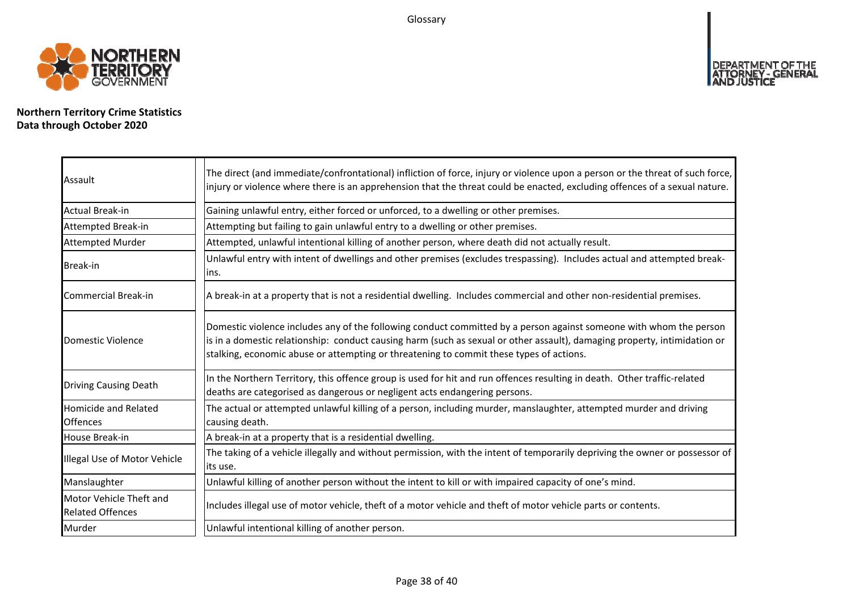Glossary



**Northern Territory Crime Statistics Data through October 2020**

| Assault                                            | The direct (and immediate/confrontational) infliction of force, injury or violence upon a person or the threat of such force,<br>injury or violence where there is an apprehension that the threat could be enacted, excluding offences of a sexual nature.                                                                                |
|----------------------------------------------------|--------------------------------------------------------------------------------------------------------------------------------------------------------------------------------------------------------------------------------------------------------------------------------------------------------------------------------------------|
| <b>Actual Break-in</b>                             | Gaining unlawful entry, either forced or unforced, to a dwelling or other premises.                                                                                                                                                                                                                                                        |
| Attempted Break-in                                 | Attempting but failing to gain unlawful entry to a dwelling or other premises.                                                                                                                                                                                                                                                             |
| <b>Attempted Murder</b>                            | Attempted, unlawful intentional killing of another person, where death did not actually result.                                                                                                                                                                                                                                            |
| <b>Break-in</b>                                    | Unlawful entry with intent of dwellings and other premises (excludes trespassing). Includes actual and attempted break-<br>ins.                                                                                                                                                                                                            |
| Commercial Break-in                                | A break-in at a property that is not a residential dwelling. Includes commercial and other non-residential premises.                                                                                                                                                                                                                       |
| Domestic Violence                                  | Domestic violence includes any of the following conduct committed by a person against someone with whom the person<br>is in a domestic relationship: conduct causing harm (such as sexual or other assault), damaging property, intimidation or<br>stalking, economic abuse or attempting or threatening to commit these types of actions. |
| <b>Driving Causing Death</b>                       | In the Northern Territory, this offence group is used for hit and run offences resulting in death. Other traffic-related<br>deaths are categorised as dangerous or negligent acts endangering persons.                                                                                                                                     |
| <b>Homicide and Related</b><br><b>Offences</b>     | The actual or attempted unlawful killing of a person, including murder, manslaughter, attempted murder and driving<br>causing death.                                                                                                                                                                                                       |
| House Break-in                                     | A break-in at a property that is a residential dwelling.                                                                                                                                                                                                                                                                                   |
| Illegal Use of Motor Vehicle                       | The taking of a vehicle illegally and without permission, with the intent of temporarily depriving the owner or possessor of<br>its use.                                                                                                                                                                                                   |
| Manslaughter                                       | Unlawful killing of another person without the intent to kill or with impaired capacity of one's mind.                                                                                                                                                                                                                                     |
| Motor Vehicle Theft and<br><b>Related Offences</b> | Includes illegal use of motor vehicle, theft of a motor vehicle and theft of motor vehicle parts or contents.                                                                                                                                                                                                                              |
| Murder                                             | Unlawful intentional killing of another person.                                                                                                                                                                                                                                                                                            |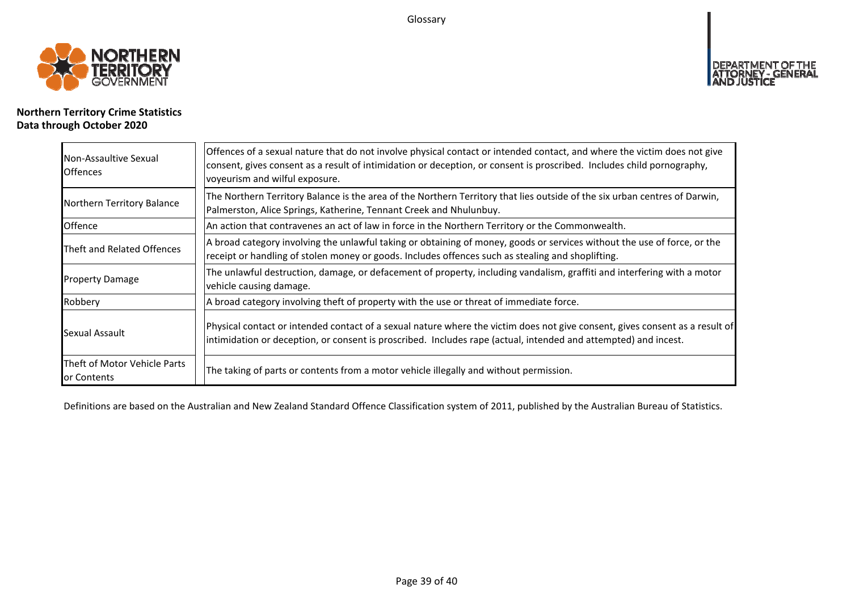Glossary



## **Northern Territory Crime Statistics Data through October 2020**

| Non-Assaultive Sexual<br><b>Offences</b>    | Offences of a sexual nature that do not involve physical contact or intended contact, and where the victim does not give<br>consent, gives consent as a result of intimidation or deception, or consent is proscribed. Includes child pornography,<br>voyeurism and wilful exposure. |
|---------------------------------------------|--------------------------------------------------------------------------------------------------------------------------------------------------------------------------------------------------------------------------------------------------------------------------------------|
| Northern Territory Balance                  | The Northern Territory Balance is the area of the Northern Territory that lies outside of the six urban centres of Darwin,<br>Palmerston, Alice Springs, Katherine, Tennant Creek and Nhulunbuy.                                                                                     |
| Offence                                     | An action that contravenes an act of law in force in the Northern Territory or the Commonwealth.                                                                                                                                                                                     |
| Theft and Related Offences                  | A broad category involving the unlawful taking or obtaining of money, goods or services without the use of force, or the<br>receipt or handling of stolen money or goods. Includes offences such as stealing and shoplifting.                                                        |
| <b>Property Damage</b>                      | The unlawful destruction, damage, or defacement of property, including vandalism, graffiti and interfering with a motor<br>vehicle causing damage.                                                                                                                                   |
| Robbery                                     | A broad category involving theft of property with the use or threat of immediate force.                                                                                                                                                                                              |
| Sexual Assault                              | Physical contact or intended contact of a sexual nature where the victim does not give consent, gives consent as a result of<br>intimidation or deception, or consent is proscribed. Includes rape (actual, intended and attempted) and incest.                                      |
| Theft of Motor Vehicle Parts<br>or Contents | The taking of parts or contents from a motor vehicle illegally and without permission.                                                                                                                                                                                               |

Definitions are based on the Australian and New Zealand Standard Offence Classification system of 2011, published by the Australian Bureau of Statistics.